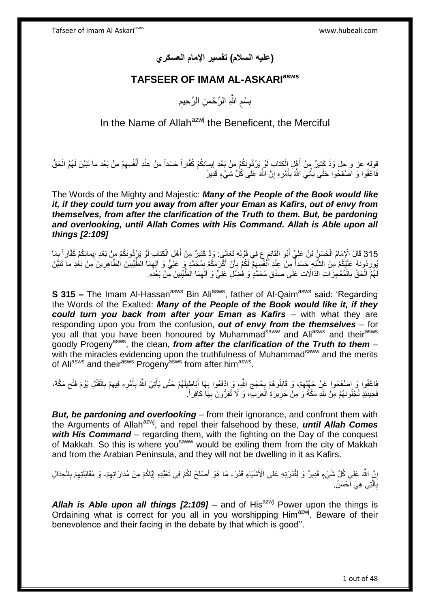**)عليه السالم( تفسير اإلمام العسكري**

## **TAFSEER OF IMAM AL-ASKARIasws**

ِ بِسْمِ اللَّهِ الرَّحْمنِ الرَّحِيمِ ِ ِ

In the Name of Allah $a^{z}$  the Beneficent, the Merciful

قوله عز و جل وَدَّ كَثِيرٌ مِنْ أَهْلِ اِلْكِتابِ لَوْ بِرُدُّونَكُمْ مِنْ بَعْدِ إِيمانِكُمْ كُفَّاراً حَسَداً مِنْ عِنْدِ أَنْفُسِهِمْ مِنْ بَعْدِ ما تَبَيَّنَ لَهُمُ الْحَقُّ ِ ْ َ ْ ِ َ فَاعْفُوا وَ اصْفَحُوا حَتَّى يَأْتِيَ اللَّهُ بِأَمْرِهِ إِنَّ اللَّهَ عَلى كُُلِّ شَيْءٍ قَدِيرٌ ِ **∶** َ ِ ْ

The Words of the Mighty and Majestic: *Many of the People of the Book would like it, if they could turn you away from after your Eman as Kafirs, out of envy from themselves, from after the clarification of the Truth to them. But, be pardoning*  and overlooking, until Allah Comes with His Command. Allah is Able upon all *things [2:109]*

315 قَالَ الْإِمَامُ الْحَسَنُ بْنُ عَلِيٍّ أَبُو الْقَائِمِ ع فِي قَوْلِهِ تَعَالَى: وَدَّ كَثِيرٌ مِنْ أَهْلِ الْكِتابِ لَوْ يَرُدُّونَكُمْ مِنْ بَعْدِ إِيمانِكُمْ كُفَّاراً بِمَا<br>وَيَسْتَمِمُونَ مَعَ الْمَسَلَمِينَ مِن ْ ْ ِ ِ ْ َ يُورِدُونَهُ عَلَيْكُمْ مِنَ الشُّبَهِ حَسَداً مِنْ عِنْدِ أَنْفُسِهِمْ لَكُمْ بِإَنْ أَكْرَمَكُمْ بِمُحَمَّدٍ وَ عَلَيٍّ وَ آلِهِمَا الطَّيِّبِينَ الطَّاهِرِينَ مِنْ بَعْدِ ما نَبَيَّنَ ِ َ ِ ِ ِ َ **∶** لَهُمَ الْحَقُ بِالْمُعْجِزَاتِ الذَّالَاتِ عَلَى صِدْقِ مُحَمَّدٍ وَ فَضَٰلِ عَلِيٍّ وَ ٰ اللِّهِمَا الْطَّيِّبِينَ مِّنْ بَعْدِهِ. ْ ِ ِ ْ **∶** 

**S 315** - The Imam Al-Hassan<sup>asws</sup> Bin Ali<sup>asws</sup>, father of Al-Qaim<sup>asws</sup> said: 'Regarding the Words of the Exalted: *Many of the People of the Book would like it, if they could turn you back from after your Eman as Kafirs* – with what they are responding upon you from the confusion, *out of envy from the themselves* – for you all that you have been honoured by Muhammad<sup>saww</sup> and Ali<sup>asws</sup> and their<sup>asws</sup> goodly Progenyasws, the clean, *from after the clarification of the Truth to them* – with the miracles evidencing upon the truthfulness of Muhammad<sup>saww</sup> and the merits of Ali<sup>asws</sup> and their<sup>asws</sup> Progeny<sup>asws</sup> from after him<sup>asws</sup>.

فَاعْفُوا وَ اصْفَحُوا عَنْ جَهْلِهِمْ، وَ قَابِلُوهُمْ بِحُجَجِ اللَّهِ، وَ ادْفَعُوا بِهَا أَبَاطِيلَهُمْ حَتَّى يَأْتِيَ اللَّهُ بِأَمْرِهِ فِيهِمْ بِالْقَتْلِ يَوْمَ فَتْحِ مَكَّةَ، َ **∶**  $\zeta$ ِ ِ ِ ِ َ ِ ْ ْ ِ ِ ِ فَحِينَئِذٍ تُجْلُونَهُمْ مِنْ بَلَدِ مَكَّةَ وَ ٰ مِنْ جَزِيرَةِ ٰ الْعَرَبِّ، وَ لَا تُقِرُّونَ بِهَا كَافِراً. ِ ا<br>ا **ٍ** 

*But, be pardoning and overlooking* – from their ignorance, and confront them with the Arguments of Allah<sup>azwj</sup>, and repel their falsehood by these, *until Allah Comes with His Command* – regarding them, with the fighting on the Day of the conquest of Makkah. So this is where you<sup>saww</sup> would be exiling them from the city of Makkah and from the Arabian Peninsula, and they will not be dwelling in it as Kafirs.

إِنَّ اللَّهَ عَلٰي كُلِّ شَيْءٍ قَدِيرٌ وَ لِقُدْرَتِهِ عَلَى الْأَشْيَاءِ قَدَّرَ ـ مَا هُوَ أَصْلَحُ لَكُمْ فِي تَعَبُّدِهِ إِيَّاكُمْ مِنْ مُدَارَاتِهِمْ- وَ مُقَابَلَتِهِمْ بِالْجِدَالِ ِ ِ َ ْ ِ ِ بِالَّتِ*ي هِيَ* أَحْسَنُ ا<br>ا ه **∶** 

**Allah is Able upon all things**  $[2:109]$  – and of His<sup>azwj</sup> Power upon the things is Ordaining what is correct for you all in you worshipping Him<sup>azwj</sup>. Beware of their benevolence and their facing in the debate by that which is good''.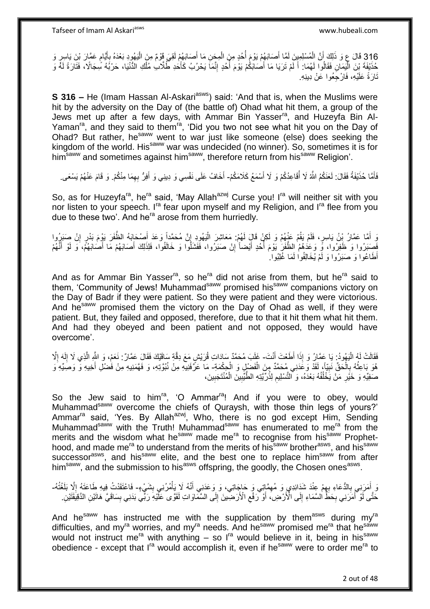316 قَالَ عِ وَ ذَلِكَ أَنَّ الْمُسْلِمِينَ لَمَّا أَصَابَهُمْ يَوْمَ أُحُدٍ مِنَ الْمِجَنِ مَا أَصَابَهُمْ لَقِيَ قَوْمٌ مِنَ الْيَهُودِ بَعْدَهُ بِأَيَّامٍ عَمَّارَ بْنَ يَاسِرٍ وَ ِ ْ َ ْ ؚ<br>ۣ َ ْ ֧֖֧֖֖֖֖֧֧֚֚֚֚֚֚֝֝֟֓֓֝֓֟֓֓֝֓**֓** اُ حُذَيْفَةَ بْنَ الْيَمَانِ فَقَالُوا لَهُمَا: أَ لَمْ تَرَيَا مَا أَصَابَكُمْ يَوُمَ أُحُدٍ إِنَّمَاً يَحْرُبُ كَأَحدِ طَلَّالٍ مُلْكِ الدُّنْيَا، حَرْيَهُ سِجَالًا، فَتَارَةً لَهً وَ ِ اً<br>ا َ لَ اً<br>ا ֧֦֧֦֧֦֧֦֧֦֧֦֧֦֧֦֧֦֧֦֧֦֧֦֧֦֧֦֘֝֝֟֓֞֟֓֞֟֓֞ ْ َ لَ نَارَةً عَلَيْهِ، فَارْجَِعُوا عَنْ دِينِهِ.

**S 316 –** He (Imam Hassan Al-Askari<sup>asws</sup>) said: 'And that is, when the Muslims were hit by the adversity on the Day of (the battle of) Ohad what hit them, a group of the Jews met up after a few days, with Ammar Bin Yasser<sup>ra</sup>, and Huzeyfa Bin Al-Yaman<sup>ra</sup>, and they said to them<sup>ra</sup>, 'Did you two not see what hit you on the Day of Ohad? But rather, he<sup>saww</sup> went to war just like someone (else) does seeking the kingdom of the world. His<sup>saww</sup> war was undecided (no winner). So, sometimes it is for him<sup>saww</sup> and sometimes against him<sup>saww</sup>, therefore return from his<sup>saww</sup> Religion'.

فَأَمَّا حُذَيْفَةُ فَقَالَ: لَعَنَكُمُ اللَّهُ لَا أُقَاعِدُكُمْ وَ لَا أَسْمَعُ كَلامَكُمْ- أَخَافُ عَلَى نَفْسِي وَ دِينِي وَ أَفِرُّ بِهِمَا مِنْكُمْ. وَ قَامَ عَنْهُمْ يَسْعَى. ُ َ َ ِ َ َ

So, as for Huzeyfa<sup>ra</sup>, he<sup>ra</sup> said, 'May Allah<sup>azwj</sup> Curse you! I<sup>ra</sup> will neither sit with you nor listen to your speech. I<sup>ra</sup> fear upon myself and my Religion, and I<sup>ra</sup> flee from you due to these two'. And he<sup>ra</sup> arose from them hurriedly.

وَ أَمَّا عَمَّارُ بِنْ يَاسِرٍ، فَلَمْ يَقُمْ عَنْهُمْ وَ لَكِنْ قَالٍَ لَهُمْ: مَعَاشِرَ الْيَهُودِ إِنَّ مُحَمَّداً وَعَدَ أَصْحَابَهُ الظَّفَرَ يَوْمَ بَدْرٍ إِنْ صَبَرٍوا ِ ْ َ ِ َ فَصَبَرُوا وَ ۖ ظَفِرُوا، وٍّ وَعَدَهُمُ الظُّفَرِۢ يَوْمَ أُحُدٍ أَيْضاًۚ إِنْ صَبَرَوا، فَفَشَلُوا وَ خَالَفُوا، فَلِذَلِكَ أَصَابَهُمْ مَا أَصَابَهُمّْ، وَ لَوْ أَتَّهُمْ ِ َ ِ<br>ا َ َ َ أَطَاعُوا وَ صَبَرُوا وَ لَمْ يُخَالِفُواْ لَمَا غُلِبُوا ِ

And as for Ammar Bin Yasser<sup>ra</sup>, so he<sup>ra</sup> did not arise from them, but he<sup>ra</sup> said to them, 'Community of Jews! Muhammad<sup>saww</sup> promised his<sup>saww</sup> companions victory on the Day of Badr if they were patient. So they were patient and they were victorious. And he<sup>saww</sup> promised them the victory on the Day of Ohad as well, if they were patient. But, they failed and opposed, therefore, due to that it hit them what hit them. And had they obeyed and been patient and not opposed, they would have overcome'.

فَقَالَتْ لَهُ الْيَهُودُ: يَا عَمَّارُ وَ إِذَا أَطَعْتَ أَنْتَ- غَلَبَ مُحَمَّدٌ سَادَاتِ قُرَيْشٍ مَعَ دِقَّةٍ سَاقَيْكَ فَقَالَ عَمَّارٌ . نَعَمْ، وَ اللَّهِ الَّذِي لَا إِلَهَ إِلَّ<br>فَقَالَ عَمَّارٌ : نَعَمْ، وَ اللَ ا<br>ا ْ َ ِ لَ ِ ه هُوَ بَاعِثُهُ بِالْحَقِّ نَبِيًّا)، لَقَدْ وَعَدَنِي مُحَمَّدٌ مِنَ الْفَضْلِ وَ الْحِكْمَةِ- مَا عَرَّفَنِيهِ مِنْ نُبُوَّتِهِ، وَ فَهَمَنِيهِ مِنْ فُضْلِ أَخِيهِ وَ وَصَيِّهِ وَ ْ ْ **∣** ْ **∶** َ صَفِيِّهِ وَ خَيْرٍ مَنْ يَخْلُفُهُ بَعْدَهُ، وَ ٱلتَّسْلِيمِ لِذُرِّيَّتِهِ الطَّيِّبِينَ الْمُنْتَجِبِينَ، **!** ْ ِ ِ ا<br>ا **∶** 

So the Jew said to him<sup>ra</sup>, 'O Ammar<sup>ra</sup>! And if you were to obey, would Muhammad<sup>saww</sup> overcome the chiefs of Quraysh, with those thin legs of yours?' Ammar<sup>ra</sup> said, 'Yes. By Allah<sup>azwj</sup>, Who, there is no god except Him, Sending Muhammad<sup>saww</sup> with the Truth! Muhammad<sup>saww</sup> has enumerated to me<sup>ra</sup> from the merits and the wisdom what he<sup>saww</sup> made me<sup>ra</sup> to recognise from his<sup>saww</sup> Prophethood, and made me<sup>ra</sup> to understand from the merits of his<sup>saww</sup> brother<sup>asws</sup>, and his<sup>saww</sup> successor<sup>asws</sup>, and his<sup>saww</sup> elite, and the best one to replace him<sup>saww</sup> from after him<sup>saww</sup>, and the submission to his<sup>asws</sup> offspring, the goodly, the Chosen ones<sup>asws</sup>.

نَ أَمَرَنِي بِالدُّعَاءِ بِهِمْ عِنْدَ شَدَائِدِي وَ مُهِمَّاتِي وَ حَاجَاتِي، وَ وَعَدَنِي أَنَّهُ لَا بِأَهْرُنِي بِشَيْءٍ- فَاعْتَقَدْتُ فِيهِ طَاعَتَهُ إِلَّا بَلَغْتُهُ-ِ **∶** ِ ْ َ ِ ا<br>ا حَتَّى لَوْ أَمَرَنِي بِحَطِّ السَّمَاءِ إِلَى الْأَرْضِ) أَوْ رَفْعِ الْأَرَضِينَ إِلَى السَّمَاوَاتِ لَقَوَّى عَلَّيْهِ رَبِّي بَدَنِي بِسَاقَيَّ هَاتَيْنِ الدَّقِيَّقَيْنِ. ِ ِ َ  $\frac{1}{2}$ ِ َ ِ

And he<sup>saww</sup> has instructed me with the supplication by them<sup>asws</sup> during my<sup>ra</sup> difficulties, and my<sup>ra</sup> worries, and my<sup>ra</sup> needs. And he<sup>saww</sup> promised me<sup>ra</sup> that he<sup>saww</sup> would not instruct me<sup>ra</sup> with anything – so  $I<sup>ra</sup>$  would believe in it, being in his<sup>saww</sup> obedience - except that  $I^{ra}$  would accomplish it, even if he<sup>saww</sup> were to order me<sup>ra</sup> to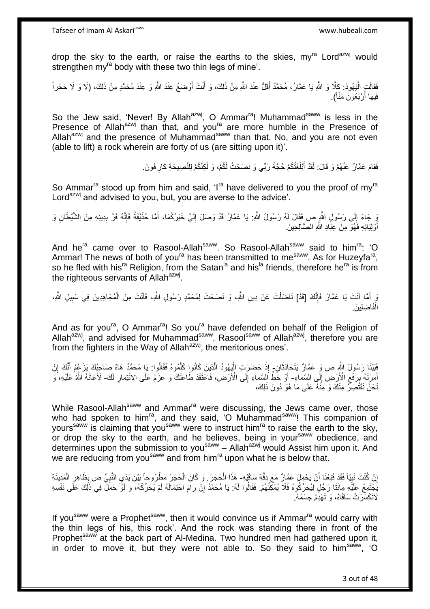drop the sky to the earth, or raise the earths to the skies,  $mv^{ra}$  Lord<sup>azwj</sup> would strengthen my<sup>ra</sup> body with these two thin legs of mine'.

فَقَالَتِ الْيَهُودُ: كَلَّا وَ اللَّهِ يَا عَمَّارُ، مُحَمَّدٌ أَقَلُّ عِنْدَ اللَّهِ مِنْ ذَلِكَ، وَ أَنْتَ أَوْضَعُ عِنْدَ اللَّهِ وَ عِنْدَ مُحَمَّدٍ مِنْ ذَلِكَ، (لَا وَ لَا حَجَراً َ َ ֦֦֦֦֧֦֧֦֧֦֧֦֧֦֧֦֧֦֧֦֧֦֧֝֟֟֓֕֝֟֓֕֝֟֓֓֡֟֓֟֓֡֟֓֡֟֓֡֟֓֓֞֟֓֡֟֓֓֞֓֞֓֞֟֓֡֟֓֓֞֟֓֟֓֓֞֓֞֓֟֓֝֬֝ فِيهَا أَرْبَعُونَ مَنَّاً). َ

So the Jew said, 'Never! By Allah<sup>azwj</sup>, O Ammar<sup>ra</sup>! Muhammad<sup>saww</sup> is less in the Presence of Allah<sup>azwj</sup> than that, and you<sup>ra</sup> are more humble in the Presence of Allah<sup>azwj</sup> and the presence of Muhammad<sup>saww</sup> than that. No, and you are not even (able to lift) a rock wherein are forty of us (are sitting upon it)'.

> فَقَامَ عَمَّارٌ ۚ عَنْهُمْ وَ قَالَ: لَقَدْ أَبْلَغْتُكُمْ حُجَّةَ رَبِّي وَ نَصَحْتُ لَكُمْ، وَ لَكِنَّكُمْ لِلنَّصِيحَةِ كَارِ هُونَ َ **∶**

So Ammar<sup>ra</sup> stood up from him and said, 'I<sup>ra</sup> have delivered to you the proof of my<sup>ra</sup> Lord<sup>azwj</sup> and advised to you, but, you are averse to the advice'.

يَ جَاءَ إِلَى رَسُولِ الثَّمِ صِ فَقَالَ لَهُ رَسُولُ اللَّهِ: يَا عَمَّارُ قَدْ وَصَلَ إِلَيَّ خَبَرُكُمَا، أَمَّا حُذَيْفَةُ فَإِنَّهُ فَرَّ بِدِينِهِ مِنَ الشَّيْطَانِ وَ ∣∣<br>∶ ِ ا∣<br>ِ∘ َ لَ ِ أَوْلِيَائِهِ فَهُوَ مِنْ عِبَادِ اللَّهِ الصَّالِحِينَ َ

And he<sup>ra</sup> came over to Rasool-Allah<sup>saww</sup>. So Rasool-Allah<sup>saww</sup> said to him<sup>ra</sup>: 'O Ammar! The news of both of you<sup>ra</sup> has been transmitted to me<sup>saww</sup>. As for Huzeyfa<sup>ra</sup>, so he fled with his<sup>ra</sup> Religion, from the Satan<sup>la</sup> and his<sup>la</sup> friends, therefore he<sup>ra</sup> is from the righteous servants of Allah<sup>azwj</sup>.

وَ أَمَّا أَنْتَ يَا عَمَّارُ فَإِنَّكَ [قَدْ] نَاضَلْتَ عَنْ دِينِ اللَّهِ، وَ نَصَحْتَ لِمُحَمَّدٍ رَسُولِ اللَّهِ، فَأَنْتَ مِنَ الْمُجَاهِدِينَ فِي سَبِيلِ اللَّهِ، ْ ِ َ َ ِ ْ َ فَاضِبا ْ الْفَاضِلِينَ.

And as for you<sup>ra</sup>, O Ammar<sup>ra</sup>! So you<sup>ra</sup> have defended on behalf of the Religion of Allah<sup>azwj</sup>, and advised for Muhammad<sup>saww</sup>, Rasool<sup>saww</sup> of Allah<sup>azwj</sup>, therefore you are from the fighters in the Way of Allahazwj, the meritorious ones'.

فَيَيْنَا رَسُولُ اللَّهِ ص وَ عَمَّارٌ يَتَحَادَثَانِ- إِذْ حَضَرَتِ الْيَهُودُ الَّذِينَ كَانُوا كَلَّمُوهُ فَقَالُوا: يَا مُحَمَّدُ هَاهْ صَاحِبُكَ يَزْعُمُ أَنَّكَ إِنْ َ ُ ه ه ْ **ٔ** ِ َ أَمَرْتَهُ بِرَفْعِ الْأَرْضِ إِلَى السِّمَاءِ- أَوْ خَطٍّ اَلسَّمَاءِ إِلَى الْأَرْضِ، فَاعْتَقَدَ طَاعَتَكَ وَ عَزَمَ عَلَى الِائْتِمَارِ لَكَ- لَأَعَانَهُ اللَّهُ عَلَيْهِ، وَ  $\frac{1}{2}$  $\ddot{\phantom{0}}$ **∣** َ  $\frac{1}{2}$ لَ ِ َنْحْنُ نَقْتَصِرٌّ مِنْكَ وَ مِنْهُ عَلَى مَا هُوَ دُونَ ذَلِكَ،

While Rasool-Allah<sup>saww</sup> and Ammar<sup>ra</sup> were discussing, the Jews came over, those who had spoken to him<sup>ra</sup>, and they said, 'O Muhammad<sup>saww</sup>! This companion of yours<sup>saww</sup> is claiming that you<sup>saww</sup> were to instruct him<sup>ra</sup> to raise the earth to the sky, or drop the sky to the earth, and he believes, being in your<sup>saww</sup> obedience, and determines upon the submission to you<sup>saww</sup> - Allah<sup>azwj</sup> would Assist him upon it. And we are reducing from you<sup>saww</sup> and from him<sup>ra</sup> upon what he is below that.

إِنْ كُنْتَ نَبِيّاً فَقَدْ قَنِعْنَا أَنْ يَحْمِلَ عَمَّارٌ مَعَ دِقَّةِ سَاقَيْهِ- هَذَا الْحَجَرَ . وَ كَانَ الْحَجَرُ مَطْرُوحاً بَيْنَ يَدَي النَّبِيِّ ص بِظَاهِرِ الْمَدِينَةِ اُ **∣** ا  $\frac{1}{2}$ ْ ْ ْ ِ ∫<br>∶ ِ يَخْتَمِعُ عَلَيْهِ مِائَتَا رَجُلٍ لِيُحَرِّكُوهُ فَلَا يُمْكِّنُهُمْ. فَقَالُوا لَهُ: يَا مُحَمَّدُ إِنْ رَامَ احْتِمَالَهُ لَمْ يُحَرِّكُهُ، وَ لَوْ حَمَلَ فِي ذَلِكَ عَلَى نَفْسِهِ ِ .<br>لَانْكَسَرَ تْ سَاقَاهُ، وَ تَهْدِّمُ جِسْمُهُ

If you<sup>saww</sup> were a Prophet<sup>saww</sup>, then it would convince us if Ammar<sup>ra</sup> would carry with the thin legs of his, this rock'. And the rock was standing there in front of the Prophet<sup>saww</sup> at the back part of Al-Medina. Two hundred men had gathered upon it, in order to move it, but they were not able to. So they said to him<sup>saww</sup>, 'O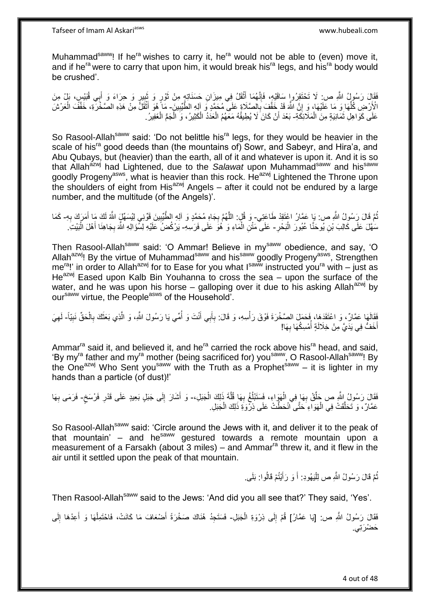Tafseer of Imam Al Askariasws www.hubeali.com

Muhammad<sup>saww</sup>! If he<sup>ra</sup> wishes to carry it, he<sup>ra</sup> would not be able to (even) move it, and if he<sup>ra</sup> were to carry that upon him, it would break his<sup>ra</sup> legs, and his<sup>ra</sup> body would be crushed'.

ْقَالَ رَسُولُ اللَّهِ ص: لَا تَخْتَقِرُوا سَاقَيْهِ، فَإِنَّهُمَا أَثْقَلُ فِي مِيزَانِ حَسَنَاتِهٍ مِنْ ثَوْرٍ وَ ثَبِيرٍ وَ حِرَاءَ وَ أَبِي قُبَيْسٍ، بَلْ مِنَ<br>\*\*\* **ٔ** َ ∣اٍ<br>∶ َ ِ َ َ الْأَرْضِ كُلِّهَا وَ مَا عَلَيْهَا، وَ إِنَّ اللَّهَ قَدْ خَفَّفَ بِالصَّلَاةِ عَلَى مُحَمَّدٍ وَ إلِهِ الطَّيِّبِينَ- مَا هُوَ أَثْقَلُ مِنْ هَذِهِ الصَّخْرَةِ، خَفَّفَ الْعَرْشَ ِ ِّ ِ **∶** ْ ْ َ عَلَى كَوَاهِلِ ثَمَانِيَةٍ مِنَ الْمَلَائِكَةِ- بَعْدَ أَنْ كَانَ لَا يُطِيقُهُ مَعَهُمُ الْعَدَدُ الْكَثِيرُ، وَ الْجَمُّ الْغَفِيرُ. ْ َ ْ ْ ْ ْ َ

So Rasool-Allah<sup>saww</sup> said: 'Do not belittle his<sup>ra</sup> legs, for they would be heavier in the scale of his<sup>ra</sup> good deeds than (the mountains of) Sowr, and Sabeyr, and Hira'a, and Abu Qubays, but (heavier) than the earth, all of it and whatever is upon it. And it is so that Allahazwj had Lightened, due to the *Salawat* upon Muhammadsaww and hissaww goodly Progeny<sup>asws</sup>, what is heavier than this rock. He<sup>azwj</sup> Lightened the Throne upon the shoulders of eight from His $^{azwj}$  Angels – after it could not be endured by a large number, and the multitude (of the Angels)'.

نُمَّ قَالَ رَسُولُ اللَّهِ ص: يَا عَمَّارُ اعْتَقِدْ طَاعَتِي- وَ قُلٍ: اللَّهُمَّ بِجَاهِ مُحَمَّدٍ وَ أَلِهِ الطَّيِّبِينَ فَوِّنِي لِيُسَهِّلٍَ اللَّهُ لَكَ مَا أَمَرَكَ بِهِ- كَمَا ِ َ ِ ِ ه مَهَّلَ عَلَى كَالِبَ بْنِ يُوحَنَّا عُبُورَ الْبَحْرِ- عَلَى مَثْنِ الْمَاءِ وَ هُوَ عَلَى فَرَسِهِ- يَرْكُضُ عَلَيْهِ لِسُؤَالِهِ اللَّهَ بِجَاهِذَا أَهْلَ الْبَيْتَ. ِ :<br>ا ْ ْ َ **∶** 

Then Rasool-Allah<sup>saww</sup> said: 'O Ammar! Believe in my<sup>saww</sup> obedience, and say, 'O Allah<sup>azwj</sup>! By the virtue of Muhammad<sup>saww</sup> and his<sup>saww</sup> goodly Progeny<sup>asws</sup>, Strengthen me<sup>ra</sup>!' in order to Allah<sup>azwj</sup> for to Ease for you what I<sup>saww</sup> instructed you<sup>ra</sup> with – just as  $He^{azwj}$  Eased upon Kalb Bin Youhanna to cross the sea – upon the surface of the water, and he was upon his horse – galloping over it due to his asking Allah<sup>azwj</sup> by our<sup>saww</sup> virtue, the People<sup>asws</sup> of the Household'.

فَقَالَهَا عَمَّالٌ ، وَ اعْتَقَدَهَا، فَحَمَلَ الصَّخْرَةَ فَوْقَ رَأْسِهِ، وَ قَالَ: بِأَبِي أَنْتَ وَ أُمِّي يَا رَسُولَ اللَّهِ، وَ الَّذِي بَعَثَكَ بِالْحَقِّ نَبِيّاً- لَهِيَ<br>إِنَّهَا أَوْلَى مَعَالٌ ، وَ اعْتَقَدَه ُ َ اً **∶** ْ ِ َ ِ ِ أَخَفُّ فِي يَدَيَّ مِنْ خِلَالَةٍ أَمْسِكُهَا بِهَا! **∶** ُ َ

Ammar<sup>ra</sup> said it, and believed it, and he<sup>ra</sup> carried the rock above his<sup>ra</sup> head, and said, 'By myra father and myra mother (being sacrificed for) yousaww, O Rasool-Allahsaww! By the One<sup>azwj</sup> Who Sent you<sup>saww</sup> with the Truth as a Prophet<sup>saww</sup> – it is lighter in my hands than a particle (of dust)!'

فَقَالَ رَسُولُ اللَّهِ ص حَلِّقْ بِهَا فِي الْهَوَاءِ، فَسَتَبْلُغُ بِهَا قُلَّةَ ذَلِكَ الْجَبَلِ، وَ أَشَارَ إِلَى جَبَلٍ بَعِيدٍ عَلَى قَدْرِ فَرْسَخٍ- فَرَمَى بِهَا ْ ِ ا<br>ا ْ **∶** ِّ ِ َ ٍ ِ ِ عَمَّارٌ، وَ تَحَلَّقَتْ فِي الْهَوَاءِ حَتَّى أَنْحَطَّتْ عَلَى ذِرْوَةِ ذَلِكَ الْجَبَلِ. ْ ْ ه

So Rasool-Allah<sup>saww</sup> said: 'Circle around the Jews with it, and deliver it to the peak of that mountain'  $-$  and he<sup>saww</sup> gestured towards a remote mountain upon a measurement of a Farsakh (about 3 miles) – and Ammar<sup>ra</sup> threw it, and it flew in the air until it settled upon the peak of that mountain.

> ثُمَّ قَالَ رَسُولُ اللَّهِ ص لِلْيَهُودِ: أَ وَ رَأَيْتُمْ قَالُوا: بَلَى ِ َ َ ْ ُ

Then Rasool-Allah<sup>saww</sup> said to the Jews: 'And did you all see that?' They said, 'Yes'.

فَقَالَ رَسُولُ اللَّهِ ص: [يَا عَمَّارُ] قُمْ إِلَى ذِرْوَةِ الْجَبَلِ- فَسَتَجِدُ هُنَاكَ صَخْرَةً أَصْعَافَ مَا كَانَتْ، فَاحْتَمِلْهَا وَ أَعِدْهَا إِلَى ْ ِ ِ َ ْ َ حَضْر*َتِي.*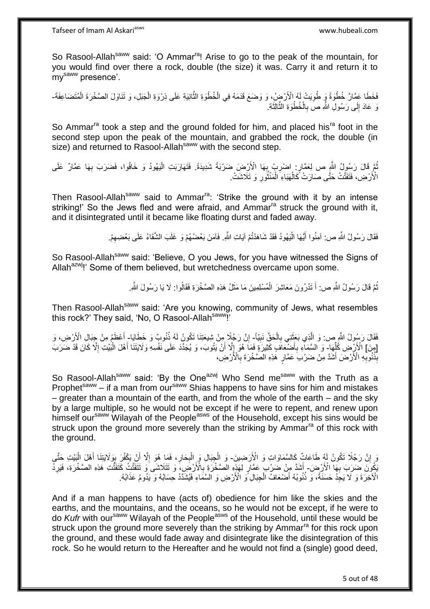So Rasool-Allah<sup>saww</sup> said: 'O Ammar<sup>ra</sup>! Arise to go to the peak of the mountain, for you would find over there a rock, double (the size) it was. Carry it and return it to mysaww presence'.

فَخَطَا عَمَّارٌ خُطْوَةً وَ طُوِيَتْ لَهُ الْأَرْضِِ ُ، وَ وَضَعَ قَدَمَهُ فِي الْخُطْوَةِ الثَّانِيَةِ عَلَى ذِرْوَةِ الْجَبَلِ، وَ تَنَاوَلَ الصَّخْرَةَ الْمُتَضَاعِفَةَ۔ ِ ْ ْ وَ عَادَ إِلَى رَسُولِ اللَّهِ صَ بِالْخُطْوَةِ الثَّالِثَةِ. ة<br>أ ه **∶** יִן<br>;

So Ammar<sup>ra</sup> took a step and the ground folded for him, and placed his<sup>ra</sup> foot in the second step upon the peak of the mountain, and grabbed the rock, the double (in size) and returned to Rasool-Allah<sup>saww</sup> with the second step.

ثُمَّ قَالَ رَسُولُ اللَّهِ ص لِعَمَّارٍ: اضْرِبْ بِهَا الْأَرْضِ ضَرْبَةً شَدِيدَةً. فَتَهَارَبَتِ الْيَهُودُ وَ خَافُوا، فَضَرَبَ بِهَا عَمَّارٌ عَلَى ِ ِ ِ ْ الْأَرْضِ، ۚ فَتَفَثَّتْ حَتَّى صَارَتْ ۚ كَالْهَبَاءِ ۖ الْمَنْثُورِ ۚ وَ تَلَاشَتْ ۚ ِ ُ ْ ْ

Then Rasool-Allah<sup>saww</sup> said to Ammar<sup>ra</sup>: 'Strike the ground with it by an intense striking!' So the Jews fled and were afraid, and Ammar<sup>ra</sup> struck the ground with it, and it disintegrated until it became like floating durst and faded away.

> فَقَالَ رَسُولُ اللَّهِ ص: آمِنُوا أَيُّهَا الْيَهُودُ فَقَدْ شَاهَدْتُمْ آيَاتِ اللَّهِ. فَآمَنَ بَعْضُهُمْ وَ غَلَبَ الشَّقَاءُ عَلَى بَعْضِهِمْ. ْ َ ِ

So Rasool-Allah<sup>saww</sup> said: 'Believe, O you Jews, for you have witnessed the Signs of Allah<sup>azwj</sup>!' Some of them believed, but wretchedness overcame upon some.

> نُّمَّ قَالَ رَسُولُ اللَّهِ ص: أَ تَدْرُونَ مَعَاشِرَ الْمُسْلِمِينَ مَا مَثَلُ هَذِهِ الصَّخْرَةِ فَقَالُوا: لَا يَا رَسُولَ اللَّهِ. ُ ُ َ ْ َ

Then Rasool-Allah<sup>saww</sup> said: 'Are you knowing, community of Jews, what resembles this rock?' They said, 'No, O Rasool-Allah<sup>saww</sup>!'

فَقَالَ رَسُولُ اللَّهِ ص: وَ الَّذِي بَعَثَنِي بِالْحَقِّ نَبِيّاً- إِنَّ رَجُلًا مِنْ شِيعَتِنَا تَكُونُ لَهُ ذُنُوبٌ وَ خَطَايَا- أَعْظَمُ مِنْ جِبَالِ الْأَرْضِ، وَ ِ ْ ِ ٔ, ه ِ َ [مِنَ] الْأَرْضِ كُلِّهَا ۖ وَ السَّمَاءِ بِأَضْبَعَافَ كَثِيرَةٍ فَمَا ۖ هُوَ إِلَّا أَنْ يَتُوبَ، وَ يُجَدِّدَ عَلَى نَفْسِهِ وَلَايَتَنَا أَهْلَ الْبَيْتِ إِلَّا كَانَ قَدْ ضَرَبَ ِّ ْ َ اُ  $\frac{1}{2}$ َ ِ بِذُوْبِهِ الْأَرْضَ أَشَدَّ مِنْ ضَرْبَ عَمَّارٍ هَٰذِهِ الْصَّخْرَةَ بِالْأَرْضِ، **∶** َ **∶** 

So Rasool-Allah<sup>saww</sup> said: 'By the One<sup>azwj</sup> Who Send me<sup>saww</sup> with the Truth as a Prophet<sup>saww</sup> – if a man from our<sup>saww</sup> Shias happens to have sins for him and mistakes  $-$  greater than a mountain of the earth, and from the whole of the earth  $-$  and the sky by a large multiple, so he would not be except if he were to repent, and renew upon himself our<sup>saww</sup> Wilayah of the People<sup>asws</sup> of the Household, except his sins would be struck upon the ground more severely than the striking by Ammar<sup>ra</sup> of this rock with the ground.

وَ إِنَّ رَجُلًا تَكُونُ لَهُ طَاعَاتٌ كَالسَّمَاوَاتِ وَ الْأَرَضِينَ- وَ الْجِبَالِ وَ الْبِحَارِ، فَمَا هُوَ إِلَّا أَنْ يَكْفُرَ بِوَلَايَتِنَا أَهْلَ الْبَيْتِ حَتَّى ِ **∶** ْ ْ َ ِ َ ا<br>ا يَكُونَ ضَرَبَ بِهَاۤ الْأَرْضَ- أَشَدَّ مِنْ ضَرْب ۖ عَمَّارٍ لِهَذِهِ الصَّخْرَةِ بِالْأَرْضِ، ۚ وَ تَتَلَاشَى ۚ وَ تَتَفَتَّتُ كَتَفَتَّتُ هَذِهِ الصَّخْرَةِ، فَيَرِدُّ **∶ ∶** ِ الْآخِرَةَ وَ لَا يَجِدُ حَسَنَةً، وَ ذُنُوبُهُ أَصْنَعَافُ الْجِبَالِ ۖ وَ الْأَرْضِ وَ السَّمَاءِ فَيُشَدَّدُ حِسَابُهُ وَ يَدُومُ عَذَابُهُ. ْ

And if a man happens to have (acts of) obedience for him like the skies and the earths, and the mountains, and the oceans, so he would not be except, if he were to do *Kufr* with our<sup>saww</sup> Wilayah of the People<sup>asws</sup> of the Household, until these would be struck upon the ground more severely than the striking by Ammar<sup>ra</sup> for this rock upon the ground, and these would fade away and disintegrate like the disintegration of this rock. So he would return to the Hereafter and he would not find a (single) good deed,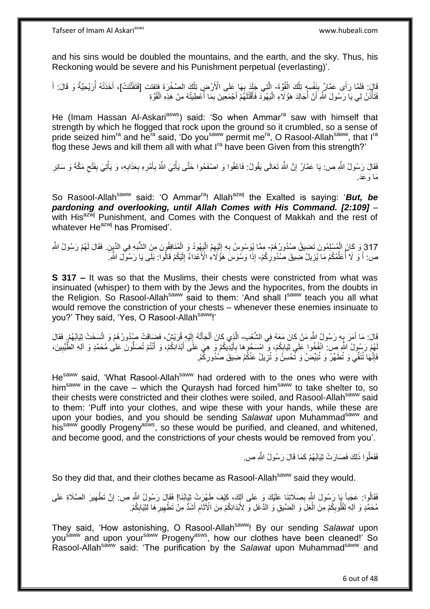and his sins would be doubled the mountains, and the earth, and the sky. Thus, his Reckoning would be severe and his Punishment perpetual (everlasting)'.

قَالَ: فَلَمَّا رَأَى عَمَّارٌ بِنَفْسِهِ تِلْكَ الْقُوَّةَ- الَّتِي جَلَدَ بِهَا عَلَى الْأَرْضِ تِلْكَ الصَّخْرَةَ فِتفتت [فَتَفَتَّتَتْ]، أَخَذَتْهُ أُرَيْحِيَّةٌ وَ قَالَ: أَ ْ ْ **ِ** ْ ֦֧<u>֓</u> ه ا<br>ا َ َ فَتَأْذَنُ لِي يَا رَسُولَ اللَّهِ أَنْ أُجَالِدَ هَؤُلَاءِ الْيَهُودَ فَأَقْتُلَهُمْ أَجْمَعِينَ بِمَا أُعْطِيتُهُ مِنْ هَذِهِ الْقُوَّةِ ال<br>المناطق ِ َ لَ َ ْ :<br>ا :<br>ا ْ

He (Imam Hassan Al-Askari<sup>asws</sup>) said: 'So when Ammar<sup>ra</sup> saw with himself that strength by which he flogged that rock upon the ground so it crumbled, so a sense of pride seized him<sup>ra</sup> and he<sup>ra</sup> said, 'Do you<sup>saww</sup> permit me<sup>ra</sup>, O Rasool-Allah<sup>saww</sup>, that I<sup>ra</sup> flog these Jews and kill them all with what I<sup>ra</sup> have been Given from this strength?'

فَقَالَ رَسُولُ النَّهِ ص: يَا عَمَّارُ إِنَّ اللَّهَ تَعَالَى يَقُولُ: فَاعْفُوا وَ اصْفَحُوا حَتَّى يَأْتِيَ اللَّهُ بِأَمْرِهِ بِعَذَابِهِ، وَ يَأْتِيَ بِفَنْحِ مَكَّةَ وَ سَائِرِ َ ِ ْ **إ** ِ  $\zeta$ ِ ْ ِ ِ َما َو َعَد.

So Rasool-Allah<sup>saww</sup> said: 'O Ammar<sup>ra</sup>! Allah<sup>azwj</sup> the Exalted is saying: '*But, be pardoning and overlooking, until Allah Comes with His Command. [2:109]* – with His<sup>azwj</sup> Punishment, and Comes with the Conquest of Makkah and the rest of whatever  $He^{azwj}$  has Promised'.

317 وَ كَانَ الْمُسْلِمُونَ تَضِيقُ صُدُورُ هُمْ- مِمَّا يُوَسْوِسُ بِهِ إِلَيْهِمُ الْيَهُودُ وَ الْمُنَافِقُونَ مِنَ الشَّبَهِ فِي الدِّيِنِ. فَقَالَ لَهُمْ رَسُولُ اللَّهِ ْ ْ لَ  $\frac{1}{2}$ ْ ص: أَ وَ لَا أُعَلِّمُكُمْ مَا يُزِيلُ ضَبِيقَ صُنُدُورِكُمْ- إِذَا وَسُوَسَ هَؤُلَاءِ الْأَعْدَاءُ إِلَيْكُمْ قَالُواً: بَلَّى يَا رَسُولَ اللَّهِ ۖ لَ ِ َ ِ ِّ ا<br>أ َ

**S 317 –** It was so that the Muslims, their chests were constricted from what was insinuated (whisper) to them with by the Jews and the hypocrites, from the doubts in the Religion. So Rasool-Allah<sup>saww</sup> said to them: 'And shall Isaww teach you all what would remove the constriction of your chests – whenever these enemies insinuate to you?' They said, 'Yes, O Rasool-Allah<sup>saww</sup>!'

قَالَ: مَا أَمَرَ بِهِ رَسُولُ اللَّهِ مَنْ كَانَ مَعَهُ فِي الشَّعْبِ- الَّذِي كَانَ أَلْجَأَتْهُ إِلَيْهِ قُرَيْشٌ، فَضِآقَتْ صُدُورُ هُمْ وَ اتَّسَخَتْ ثِيَابُهُمْ فَقَالَ **∶** َ لَ ِ َ ْ َ لَهُمْ رَسُولُ اللَّهِ ص: انْفُخُوا عَلَى ثِيَابِكُمْ، وَ ۗ امْسَحُوهَا بِأَيْدِيكُمْ وَ هِيَ عَلَى أَبْدَانِكُمْ، وَ أَنْتُمْ تُصَلُّونَ عَلَى مُحَمَّدٍ وَ آلِهِ الطَّيِّبِينَ، َ ِ ِ ِ َ َ فَإِنَّهَا تُنَفِّي وَ تُطَهِّرُ وَ تُبَيِّضُ وَ تُحْسِنُ وَ تُزِيلُ عَنْكُمْ ضَبِيقَ صُدُورِكُمْ. ِ **∶** ِ

He<sup>saww</sup> said, 'What Rasool-Allah<sup>saww</sup> had ordered with to the ones who were with him<sup>saww</sup> in the cave – which the Quraysh had forced him<sup>saww</sup> to take shelter to, so their chests were constricted and their clothes were soiled, and Rasool-Allah<sup>saww</sup> said to them: 'Puff into your clothes, and wipe these with your hands, while these are upon your bodies, and you should be sending *Salawat* upon Muhammad<sup>saww</sup> and his<sup>saww</sup> goodly Progeny<sup>asws</sup>, so these would be purified, and cleaned, and whitened, and become good, and the constrictions of your chests would be removed from you'.

فَفَعَلُوا ذَلِكَ فَصَارَتْ ثِيَابُهُمْ كَمَا قَالَ رَسُولُ اللَّهِ ص.

So they did that, and their clothes became as Rasool-Allah<sup>saww</sup> said they would.

فَقَالُوا: عَجَباً بِمَا رَسُولَ اللَّهِ بِصَلَاتِنَا عَلَيْكَ وَ عَلَى ٱلِكَ، كَيْفَ طَهُرَتْ ثِيَابُنَا! فَقَالَ رَسُولُ اللَّهِ ص: إِنَّ تَطْهِيرَ الصَّلَاةِ عَلَى ِ ِ ِ مُحَمَّدٍ وَ آلِهِ لِقُلُوبِكُمْ مِنَ الْغِلِّ وَ الضِّيقِ وَ الذَّغَلِ وَ لِأَبْدَانِكُمْ مِنَ الْآثَامِ أَشَدُّ مِنْ تَطْهِيرِ هَا لِنْيَابِكُمْ. ِ ْ ِ ِ ِ َ ِ َ

They said, 'How astonishing, O Rasool-Allah<sup>saww</sup>! By our sending Salawat upon yousaww and upon your<sup>saww</sup> Progeny<sup>asws</sup>, how our clothes have been cleaned!' So Rasool-Allah<sup>saww</sup> said: 'The purification by the Salawat upon Muhammad<sup>saww</sup> and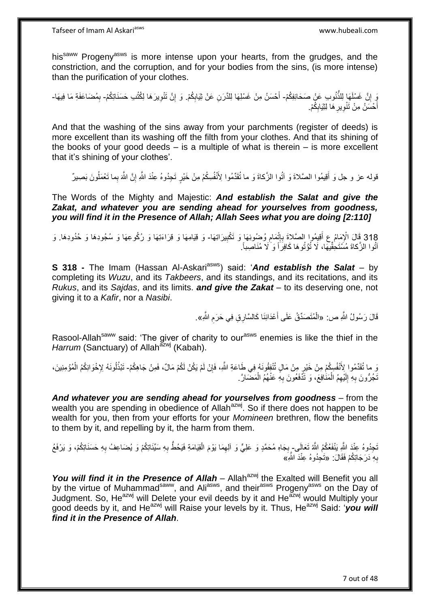his<sup>saww</sup> Progeny<sup>asws</sup> is more intense upon your hearts, from the grudges, and the constriction, and the corruption, and for your bodies from the sins, (is more intense) than the purification of your clothes.

وَ إِنَّ غَسْلَهَا لِلذُّنُوبِ عَنْ صَحَائِفِكُمْ- أَحْسَنُ مِنْ غَسْلِهَا لِلدَّرَنِ عَنْ ثِيَابِكُمْ. وَ إِنَّ تَنْوِيرَهَا لِكُتُبِ حَسَنَاتِكُمْ- بِمُضَاعَفَةِ مَا فِيهَا-יֲ<br>י َ ِ ِ ِ ِ أَحْسَنُ مِنْ تَنْوِيرِ هَا لِثِّيَابِكُمْ. ِ ِ ِ َ

And that the washing of the sins away from your parchments (register of deeds) is more excellent than its washing off the filth from your clothes. And that its shining of the books of your good deeds – is a multiple of what is therein – is more excellent that it's shining of your clothes'.

قوله عز و جل وَ أَقِيمُوا الصَّلاةَ وَ آتُوا الزَّكاةَ وَ ما تُقَدِّمُوا لِأَنْفُسِكُمْ مِنْ خَيْرٍ تَجِدُوهُ عِنْدَ اللَّهِ إِنَّ اللَّهَ بِما تَعْمَلُونَ بَصِيرٌ ُ ِ

The Words of the Mighty and Majestic: *And establish the Salat and give the Zakat, and whatever you are sending ahead for yourselves from goodness, you will find it in the Presence of Allah; Allah Sees what you are doing [2:110]*

318 قَالَ الْإِمَامُ عِ أَقِيمُوا الصَّلاةَ بِإِثْمَامِ وُضُوئِهَا وَ تَكْبِيرَاتِهَا- وَ قِيَامِهَا وَ قِرَاءَتِهَا وَ رُكُوعِهَا وَ سُجُودِهَا وَ حُدُودِهَا. وَ<br>ثم سندس الله المُمَسَلات الله عليه الله عليه الله عليه الل **!** ِ ِ َ اَتُوا الزَّكاةَ مُسَّتَحِقِّيْهَا، لَا تُؤْتُوهَا كَافِرَاً وَ َلَا مُنَاصِباً.

**S 318 -** The Imam (Hassan Al-Askari<sup>asws</sup>) said: 'And establish the Salat – by completing its *Wuzu*, and its *Takbeers*, and its standings, and its recitations, and its *Rukus*, and its *Sajdas*, and its limits. *and give the Zakat* – to its deserving one, not giving it to a *Kafir*, nor a *Nasibi*.

> قَالَ رَسُولُ اللَّهِ ص: «الْمُتَصَدِّقُ عَلَى أَعْدَائِنَا كَالسَّارِ قِ فِي حَرَمِ اللَّهِ». ِ َ ْ

Rasool-Allah<sup>saww</sup> said: 'The giver of charity to our<sup>asws</sup> enemies is like the thief in the *Harrum* (Sanctuary) of Allah<sup>azwj</sup> (Kabah).

ر ما تُقَدِّمُوا لِأَنْفُسِكُمْ مِنْ خَيْرٍ مِنْ مَالٍ تُنْفِقُونَهُ فِي طَاعَةِ اللَّهِ، فَإِنْ لَمْ يَكُنْ لَكُمْ مَالٌ، فَمِنْ جَاهِكُمْ- تَبْذُلُونَهُ لِإِخْوَانِكُمُ الْمُؤْمِنِينَ، ِ ُ ْ نَجُرُّونَ بِهِ إِلَيْهِمُ الْمَذَافِعَ، وَ تَذَّفَعُونَ بِهِ عَنْهُمُ الْمَضْمَارَّ ـِ ْ ِ ْ لَ  $\frac{1}{2}$ ِ

*And whatever you are sending ahead for yourselves from goodness* – from the wealth you are spending in obedience of Allah<sup>azwj</sup>. So if there does not happen to be wealth for you, then from your efforts for your *Momineen* brethren, flow the benefits to them by it, and repelling by it, the harm from them.

تَجِدُوهُ عِنْدَ اللَّهِ يَنْفَعُكُمُ اللَّهُ تَعَالَى۔ بِجَاهِ مُحَمَّدٍ وَ عَلِيٍّ وَ اَلِهِمَا يَوْمَ الْقِيَامَةِ فَيَحُطُّ بِهِ سَيِّئَاتِكُمْ وَ يُضاعِفُ بِهِ حَسَنَاتِكُمْ، وَ يَرْفَعُ ْ ِ **∶** ِ ِ بِهِ دَرَجَاتِكُمْ فَقَالَ: «تَـٰجِدُوهُ عِنْدَ اللَّهِ﴾ **∶** 

*You will find it in the Presence of Allah* – Allah<sup>azwj</sup> the Exalted will Benefit you all by the virtue of Muhammad<sup>saww</sup>, and Ali<sup>asws</sup>, and their<sup>asws</sup> Progeny<sup>asws</sup> on the Day of Judgment. So, He<sup>azwj</sup> will Delete your evil deeds by it and He<sup>azwj</sup> would Multiply your good deeds by it, and He<sup>azwj</sup> will Raise your levels by it. Thus, He<sup>azwj</sup> Said: '*you will find it in the Presence of Allah*.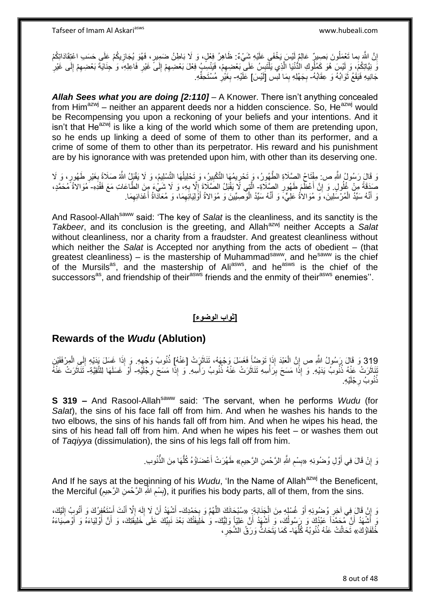إِنَّ اللَّهَ بِما تَعْمَلُونَ بَصِبِرٍ ۗ عَالِمٌ لَيْسَ بَخْفَي عَلَيْهِ شَيْءٌ: ظَاهِرُ فِعْلٍ، وَ لَا بَاطِنُ ضَمِبِرٍ، فَهُوَ يُجَازِيكُمْ عَلَى حَسَب اعْتِقَادَاتِكُمْ ا ِ َوَ يَبْاتِكُمْ، وَ لَيْسَ هُوَ كَمُلُوكِ الْذُّنْيَا الَّذِي يَلْتَبِسُ عَلَى بَعْضِهِمْ، فَيَنْسِبُ فِعْلَ بَعْضِهِمْ إِلَى غَيْرِ ِ ْ ه ِ ِ ِ ِ ِ ِ ِ جَانِيهِ فَيَقَعُ ثَوَابُهُ وَ عِقَابُهُ- بِجَهْلِهِ بِمَا لَبِس [َلَيْسَ] عَلَيْهِ- بِغَيْرِ مُسْتَحِقِّهِ. ٔ, ِ **∶** ِ ِ

*Allah Sees what you are doing [2:110]* – A Knower. There isn't anything concealed from Him<sup>azwj</sup> – neither an apparent deeds nor a hidden conscience. So, He<sup>azwj</sup> would be Recompensing you upon a reckoning of your beliefs and your intentions. And it isn't that  $He^{azwj}$  is like a king of the world which some of them are pretending upon, so he ends up linking a deed of some of them to other than its performer, and a crime of some of them to other than its perpetrator. His reward and his punishment are by his ignorance with was pretended upon him, with other than its deserving one.

وَ قَالَ رَسُولُ اللَّهِ ص: مِفْتَاحُ الصَّلَاةِ الطَّهُورُ، وَ تَحْرِيمُهَا التَّكْبِيرُ، وَ تَحْلِيلُهَا التَّسْلِيمُ، وَ لَا يَقْنِلُ اللَّهُ صَلَاةً بِغَيْرِ طَهُورٍ، وَ لَا ُ ِ ِ ِ ِ صَدَقَةً مِنْ غُلُولٍ. وَ إِنَّ أَعْظَمَ طَهُورِ الصِّلَاةِ- الَّذِي لَا يَقْبَلُ الصَّلَاةَ إِلَّا بِهِ، وَ لَا شَيْءَ مِِنَ الطَّاعَاتِ مَعَ فَقْدِهِ- مُوَالاةُ مُحَمَّدٍ، ِ ا<br>ا ِ **∶**  $\frac{1}{2}$ وَ أَنَّهُ سَبِّدُ الْمُرْسَّلِينَ، َو مُوَالاةُ عَلِيٍّ، وَ أَنَّهُ سَيِّدُ الْوَصِيِّينَ وَ مُوَالاةُ أَوْلِيَائِهِمَا، وَ مُعَاذَاةُ أَعْدَائِهِمَا. ِ َ ْ َ ْ َ ِ

And Rasool-Allah<sup>saww</sup> said: 'The key of Salat is the cleanliness, and its sanctity is the *Takbeer*, and its conclusion is the greeting, and Allah<sup>azwj</sup> neither Accepts a Salat without cleanliness, nor a charity from a fraudster. And greatest cleanliness without which neither the *Salat* is Accepted nor anything from the acts of obedient – (that greatest cleanliness) – is the mastership of Muhammad<sup>saww</sup>, and he<sup>saww</sup> is the chief of the Mursils<sup>as</sup>, and the mastership of Ali<sup>asws</sup>, and he<sup>asws</sup> is the chief of the successors<sup>as</sup>, and friendship of their<sup>asws</sup> friends and the enmity of their<sup>asws</sup> enemies".

#### **]ثواب الوضوء[**

## **Rewards of the** *Wudu* **(Ablution)**

319 وَ قَالَ رَسُولُ اللَّهِ ص إِنَّ الْعَبْدَ إِذَا تَوَضِّأَ فَغَسَلَ وَجْهَهُ، تَتَاثَرَتْ [عَنْهُ] ذُنُوبُ وَجْهِهِ. وَ إِذَا غَسَلَ يَدَيْهِ إِلَى الْمِرْفَقَيْنِ ْ ِ َ ِ ُ  $\ddot{\phantom{0}}$ **∫** :<br>نا ِ ْ ِ ْتَنَاثَرَتْ عَنْهُ ذُنُوبُ يَدَيْهِ. وَ إِذَا مَسَحَ بِرَأْسِهِ تَنَاثَرَتْ عَنْهُ ذُنُوبُ رَأْسِهِ. وَ إِذَا مَسَحَ رِجْلَيْهِ- أَوْ غَسَلَهَا لِلتَّقِيَّةِ- تَتَأَثَّرَتْ عَنْهُ ة<br>ا ِ ِ َ ْي ِه. نُنُوبُ رجْلَه ِ

**S 319 –** And Rasool-Allah<sup>saww</sup> said: 'The servant, when he performs *Wudu* (for *Salat*), the sins of his face fall off from him. And when he washes his hands to the two elbows, the sins of his hands fall off from him. And when he wipes his head, the sins of his head fall off from him. And when he wipes his feet – or washes them out of *Taqiyya* (dissimulation), the sins of his legs fall off from him.

> زَ إِنْ قَالَ فِي أَوَّلِ وُضُوئِهِ «بِسْمِ اللَّهِ الرَّحْمنِ الرَّحِيمِ» طَهُرَتْ أَعْضَاؤُهُ كُلُّهَا مِنَ الذَّنُوبِ. َ **׀** ِ ِ **∣** ُّ َ

And If he says at the beginning of his *Wudu*, 'In the Name of Allah<sup>azwj</sup> the Beneficent, the Merciful (بِسْمِ اللَّهِ الزَّحْمنِ الزَّحِيمِ), it purifies his body parts, all of them, from the sins. ِ ِ ِ

رَ إِنْ قَالَ فِي آخِرِ وُضُوئِهِ أَوْ غُسْلِهِ مِنَ الْجَذَابَةِ: «سُبْحَانَكَ اللَّهُمَّ وَ بِحَمْدِكَ- أَشْهَدُ أَنْ لَا إِلَهَ إِلَّا أَنْتَ أَسِنْغُفِرُكَ وَ أَتُوبُ إِلَيْكَ، ْ َ ِ ِ **∶** ه ا<br>بالا لَ ِ اُ َ لَ ِ َ َ َ بَ أَشْهَدُ أَنَّ مُحَمَّداً عَبْدُكَ وَ رَسُولُكَ، وَ أَشْهَدُ أَنَّ عَلِيّاً وَلِيُّكَ- وَ خَلِيفَتُكَ بَعْدَ نَبِيِّكَ عَلَى خَلِيقَتِكَ، وَ أَنَّ أَوْلِيَاءَهُ وَ أَوْصَبِيَاءَهُ َ َ اُ َ َ َ َ َ ِ خُُلَفَاؤُكَ» ثَحَاتَتْ عَنْهُ ذُنُوبُهُ كُلُّهَا- كَمَا يَتَحَاتُّ وَرَقُ الشَّجَرِ ، ُّ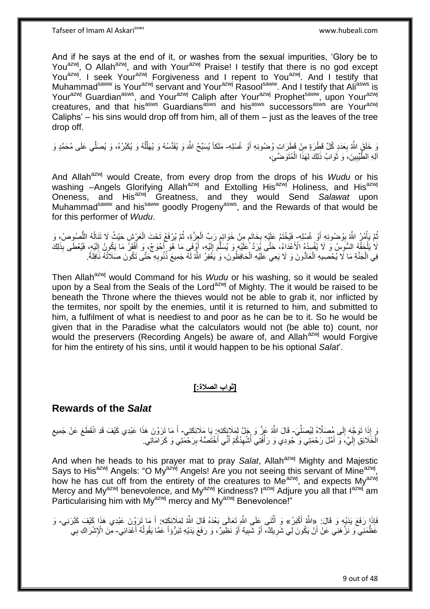And if he says at the end of it, or washes from the sexual impurities, 'Glory be to You<sup>azwj</sup>, O Allah<sup>azwj</sup>, and with Your<sup>azwj</sup> Praise! I testify that there is no god except You<sup>azwj</sup>. I seek Your<sup>azwj</sup> Forgiveness and I repent to You<sup>azwj</sup>. And I testify that Muhammad<sup>saww</sup> is Your<sup>azwj</sup> servant and Your<sup>azwj</sup> Rasool<sup>saww</sup>. And I testify that Ali<sup>asws</sup> is Yourazwj Guardian<sup>asws</sup>, and Your<sup>azwj</sup> Caliph after Your<sup>azwj</sup> Prophet<sup>saww</sup>, upon Your<sup>azwj</sup> creatures, and that his<sup>asws</sup> Guardians<sup>asws</sup> and his<sup>asws</sup> successors<sup>asws</sup> are Your<sup>azwj</sup> Caliphs' – his sins would drop off from him, all of them – just as the leaves of the tree drop off.

يَ خَلَقَ اللَّهُ بِعَدَدِ كُلِّ قَطْرَةٍ مِنْ قَطْرَاتٍ وُضمُوئِهِ أَوْ غُسْلِهِـ مَلَكاً يُسَبِّحُ اللَّهَ وَ يُقَدِّسُهُ وَ يُهَلَّلُهُ وَ يُكَبِّرُهُ، وَ يُصَلِّي عَلَى مُحَمَّدٍ وَ ِ َ ُ ِّ الْكِ الطَّيِّبِينَ، َو ثَوَابُ ذَلِكَ لِهَذَا الْمُتَوَضِّئِ، ْ رو<br>ا **∣** 

And Allah<sup>azwj</sup> would Create, from every drop from the drops of his *Wudu* or his washing –Angels Glorifying Allah<sup>azwj</sup> and Extolling His<sup>azwj</sup> Holiness, and His<sup>azwj</sup> Oneness, and Hisazwj Greatness, and they would Send *Salawat* upon Muhammad<sup>saww</sup> and his<sup>saww</sup> goodly Progeny<sup>asws</sup>, and the Rewards of that would be for this performer of *Wudu*.

تُمَّ يَأْمُرُ اللَّهُ بِوُضُوئِهِ أَوْ غُسْلِهِ- فَيُخْتَمُ عَلَيْهِ بِخَاتَمٍ مِنْ خَوَاتِمٍ رَبِّ الْعِزَّةِ، ثُمَّ يُرْفَعُ تَحْتَ الْعَزِّشِ حَيْثُ لَا تَتَالُّهُ اللَّصُوِصُ، وَ َ ِ **ٔ** ُّ  $\overline{a}$ ْ ُ ْ ِ ֧֖֖֖֧֧֖֧֧֧֧֧ׅ֧֧֧֧֧֚֚֚֚֓֝֝֝֝֟֓֟֓֝֬֝֓֝֓֝֬֟֓֟֓֟֓֟֓֝֬֝֬֝֓֝֬֜֓֝֬֝֓֝֬֝֬֝ ِ لَا يَلْحَقُّهُ السُّوِسُ وَ لَا يُفْسِدُهُ الْأَعْدَاءُ، حَتَّى بَيْرَدَّ عَلَيْهِ وَ يُسَلِّمَ إِلَيْهِ، أَوْفَى مَا هُوَ أَحْوَجُ، وَ أَفْقَلَ مَا يَكُونُ إِلَيْهِ، فَيُعْطَى بِذَلِكَ ْ َ لَ  $\frac{1}{2}$ ه لَ ِ َ َ فِي الْجَنَّةِ مَا لَّا يُحْصِيهِ الْعَادُّونَ وَ لَا يَعِي عَلَيْهِ الْحَافِظُونَ، وَ ٰيَغْفِرُ اللَّهُ لَهُ جَمِيعَ ذُنُوبِهِ حَتَّى تَكُونَ صَلَاثُهُ نَافِلَةً. ِ ْ ْ

Then Allah<sup>azwj</sup> would Command for his *Wudu* or his washing, so it would be sealed upon by a Seal from the Seals of the Lord<sup>azwj</sup> of Mighty. The it would be raised to be beneath the Throne where the thieves would not be able to grab it, nor inflicted by the termites, nor spoilt by the enemies, until it is returned to him, and submitted to him, a fulfilment of what is neediest to and poor as he can be to it. So he would be given that in the Paradise what the calculators would not (be able to) count, nor would the preservers (Recording Angels) be aware of, and Allah<sup>azwj</sup> would Forgive for him the entirety of his sins, until it would happen to be his optional *Salat*'.

#### **]ثواب الصالة:[**

## **Rewards of the** *Salat*

مَ إِذَا تَوَجَّهَ إِلَى مُصَلَّاهُ لِيُصَلِّيَ- قَالَ اللَّهُ عَزَّ وَ جَلَّ لِمَلَائِكَتِهِ. إِيا مَلَائِكَتِي- أَ مَا تَرَوْنَ هَذَا عَبْدِي كَيْفَ قَدِ انْقَطَعَ عَنْ جَمِيعِ ِ ِ َ الْخَلَائِقِ إِلَيَّ، وَ أَمَّلَ رَحْمَتِي وَ جُودِي وَ رَأْفَتِي أَشْهِدُكُمْ أَنِّي أُخْتَصُّهُ بِرَحْمَتِي وَ كَرَامَاتِي. ِ َ َ ِ ُ :<br>ا َ لَ ∣∣<br>∶ ْ

And when he heads to his prayer mat to pray Salat, Allah<sup>azwj</sup> Mighty and Majestic Says to His<sup>azwj</sup> Angels: "O My<sup>azwj</sup> Angels! Are you not seeing this servant of Mine<sup>azwj</sup>, how he has cut off from the entirety of the creatures to Me<sup>azwj</sup>, and expects My<sup>azwj</sup> Mercy and My<sup>azwj</sup> benevolence, and My<sup>azwj</sup> Kindness? I<sup>azwj</sup> Adjure you all that I<sup>azwj</sup> am Particularising him with My<sup>azwj</sup> mercy and My<sup>azwj</sup> Benevolence!"

فَإِذَا رَفَعَ يَدَيْهِ وَ قَالَ: «اللَّهُ أَكْبَرُ» وَ أَثْنَى عَلَى اللَّهِ تَعَالَى بَعْدَهُ قَالَ اللَّهُ لِمَلَائِكَتِهِ: أَ مَا تَرَوْنَ عَبْدِي هَذَا كَيْفَ كَبَرَنِي- وَ َ َ عَظَّمَنِي ۖ وَ نَزَّ هَنِي عَنْ أَنْ يَكُونَ لِي شَرِيكٌ، أَوْ شَبِيهٌ أَوْ نَظِيرٌ، وَ رَفَعَ يَدَيْهِ تَبَرُّوْاً عَمَّا يَقُولُهُ أَعْدَائِي- مِّنَ الْإِشْرَاكِ بِي **!** َ ِ َ **∶**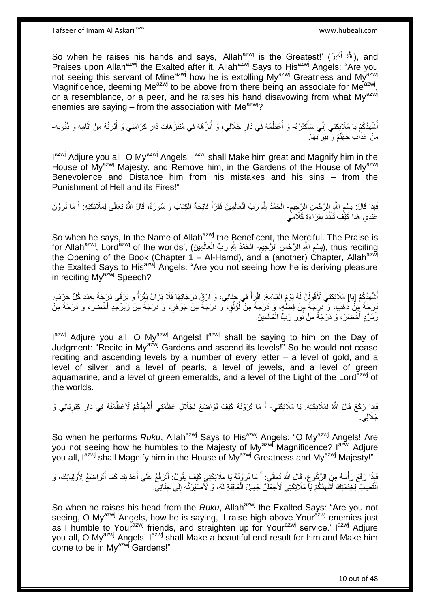So when he raises his hands and says, 'Allah<sup>azwj</sup> is the Greatest!' (اللَّهُ أَكْبَرُ), and َ Praises upon Allah<sup>azwj</sup> the Exalted after it, Allah<sup>azwj</sup> Says to His<sup>azwj</sup> Angels: "Are you not seeing this servant of Mine<sup>azwj</sup> how he is extolling My<sup>azwj</sup> Greatness and My<sup>azwj</sup> Magnificence, deeming Me<sup>azwj</sup> to be above from there being an associate for Me<sup>azwj</sup>, or a resemblance, or a peer, and he raises his hand disavowing from what My<sup>azwj</sup> enemies are saying – from the association with  $Me^{azw}$ ?

اُشْهِدُكُمْ يَا مَلَائِكَتِي إِنِّي سَأُكَبِّرُهُ- وَ أُعَظِّمُهُ فِي دَارِ جَلَالِي، وَ أُنَزِّهُهُ فِي مُتَنَزَّهَاتِ دَارِ كَرَامَتِي وَ أُبْرِئُهُ مِنْ آثَامِهِ وَ ذُنُوبِهِ-ِ ِ ُ ان<br>ا ِ َ ِ ُ ِ ُ ِ مِنْ َعَذَابِ جَهَنَّمَ وَ نِيَرَ آنِهَا.

I<sup>azwj</sup> Adjure you all, O My<sup>azwj</sup> Angels! I<sup>azwj</sup> shall Make him great and Magnify him in the House of My<sup>azwj</sup> Majesty, and Remove him, in the Gardens of the House of My<sup>azwj</sup> Benevolence and Distance him from his mistakes and his sins – from the Punishment of Hell and its Fires!"

فَإِذَا قَالَ: بِسْرِ اللَّهِ إِلزَّحْمنِ الزِّحِيمِ- الْحَمْدُ لِلَّهِ رَبِّ الْعالَمِينَ فَقَرَأَ فَاتِحَةَ الْكِتَابِ وَ سُورَةً، قَالَ اللَّهُ تَعَالَى لِمَلَائِكَتِهِ: أَ مَا تَرَوْنَ ِ **ِ** ِ ْ ْ َ َ عََّدِي هَذَا َكَيَّفَ ثَلَذَّذَ بِقِرَاءَةِ كَلَامِي **∣** 

So when he says, In the Name of Allah<sup>azwj</sup> the Beneficent, the Merciful. The Praise is for Allah<sup>azwj</sup>, Lord<sup>azwj</sup> of the worlds', (بِسْمِ اللَّهِ الرَّحْمنِ الْاَحِيمِ- الْحَمْدُ بِلَّهِ رَبِّ الْعالَمِينَ), thus reciting ِ ِ **∣** ْ ْ the Opening of the Book (Chapter 1 – Al-Hamd), and a (another) Chapter, Allah<sup>azwj</sup> the Exalted Says to His<sup>azwj</sup> Angels: "Are you not seeing how he is deriving pleasure in reciting My<sup>azwj</sup> Speech?

أُسْهِدُكُمْ [يَا] مَلَائِكَتِي لَأَقُولَنَّ لَهُ يَوْمَ الْقِيَامَةِ: اقْرَأْ فِي جِنَانِي، وَ ارْقٍ دَرَجَاتِهَا فَلَا يَزَالُ يَقْرَأُ وَ يَرْقَى دَرِجَةً بِعَدَدِ كُلِّ حَرِيْفٍ: *<u>t</u>* ْ ِ ِ ا<br>ا َرَبَجَةً مِنْ نُهَبٍ، وَ ۖدَرَجَةً مِنْ فِضَّةٍ، وَ دَرَجَةً مِنْ أُؤُلُوٍْ، وَ دَرَجَةً مِنْ جَوْهَرٍ، وَ دَرَجَةً مِنْ ذَبَرْجَدٍ أَخْضَرَ، وَ دَرَجَةً مِنْ ُ ا<br>ا َ زُمُرُّدٍ أَخْضَرَ، وَ دَرَجَةً مِنْ نُورِ رَبٍّ الْعَالَمِينَ. ْ ِ َ

I<sup>azwj</sup> Adjure you all, O My<sup>azwj</sup> Angels! I<sup>azwj</sup> shall be saying to him on the Day of Judgment: "Recite in Myazwj Gardens and ascend its levels!" So he would not cease reciting and ascending levels by a number of every letter – a level of gold, and a level of silver, and a level of pearls, a level of jewels, and a level of green aguamarine, and a level of green emeralds, and a level of the Light of the Lord<sup>azwj</sup> of the worlds.

فَإِذَا رَكَعَ قَالَ اللَّهُ لِمَلَائِكَتِهِ: يَا مَلَائِكَتِي- أَ مَا تَرَوْنَهُ كَيْفَ تَوَاضَعَ لِجَلَالِ عَظَمَتِي أُسْهِدُكُمْ لَأُعَظِّمَنَّهُ فِي دَارِ كِبْرِيَائِي وَ ِ ِ ِ ُ َجََّللِي.

So when he performs *Ruku*, Allah<sup>azwj</sup> Says to His<sup>azwj</sup> Angels: "O My<sup>azwj</sup> Angels! Are you not seeing how he humbles to the Majesty of My<sup>azwj</sup> Magnificence? I<sup>azwj</sup> Adjure you all, Iazwi shall Magnify him in the House of Myazwi Greatness and Myazwi Majesty!"

بَاذَا رَفَعَ رَأْسَهُ مِنَ الرُّكُوعِ، قَالَ اللَّهُ تَعَالَى: أَ مَا تَرَوْنَهُ يَا مَلَائِكَتِي كَيْفَ يَقُولُ: أَتَرَفَّعُ عَلَى أَعْدَائِكَ كَمَا أَتَوَاضَعُ لِأَوْلِيَائِكَ، وَ َ ِ :<br>ا َ اْنْتُصِبٌ لِخِدْمَتِكَ ۚ أَشْهِدُكُمْ يَا مَلَائِكَتِي لَأَجْعَلْنَّ جَمِيلَ الْعَاقِبَةِ لَهُ، وَ ٰ لَأُصَيِّرَنّهُ إِلَى جِنَانِي. ِ ْ ِ ِ<br>ا َ

So when he raises his head from the *Ruku*, Allah<sup>azwj</sup> the Exalted Says: "Are you not seeing, O My<sup>azwj</sup> Angels, how he is saying, 'I raise high above Your<sup>azwj</sup> enemies just as I humble to Your<sup>azwj</sup> friends, and straighten up for Your<sup>azwj</sup> service.' I<sup>azwj</sup> Adjure you all, O My<sup>azwj</sup> Angels! I<sup>azwj</sup> shall Make a beautiful end result for him and Make him come to be in Mv<sup>azwj</sup> Gardens!"

10 out of 48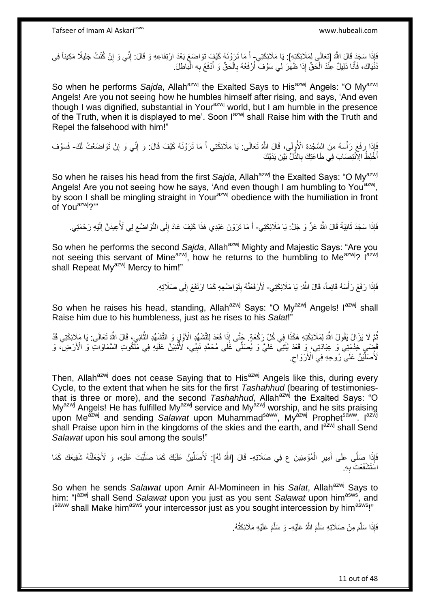أَإِذَا سَجَدَ قَالَ اللَّهُ [تَعَالَى لِمَلَائِكَتِهِ]: يَا مَلَائِكَتِي- أَ مَا تَرَوْنَهُ كَيْفَ تَوَاضَعَ بَعْدَ ارْتِفَاعِهِ وَ قَالَ: إِنِّي وَ إِنْ كُنْتُ جَلِيلًا مَكِيناً فِي<br>فَإِنَّهُمْ يَسْتَمِمُونَ اللَّهُ [تَ ِ ِ دُّنْيَاكَ، فَأَنَا ذَلِيلٌ عِنْْدَ الْحَقِّ إِذَا ظَهَّرَ لِي سَوْفَ أَرْفَعُهُ بِالْحَقِّ وَ أَدْفَعُ بِهِ الْبَاطِلَ. َ ْ ِ اُ ْ َ ْ ِ

So when he performs *Sajda*, Allah<sup>azwj</sup> the Exalted Says to His<sup>azwj</sup> Angels: "O My<sup>azwj</sup> Angels! Are you not seeing how he humbles himself after rising, and says, 'And even though I was dignified, substantial in Your<sup>azwj</sup> world, but I am humble in the presence of the Truth, when it is displayed to me'. Soon  $1^{a}$  shall Raise him with the Truth and Repel the falsehood with him!"

اِ َفَعَ رَأْسَهُ مِنَ السِّجْدَةِ الْأُولَى، قَالَ اللَّهُ تَعَالَى: يَا مَلَائِكَتِي أَ مَا تَرَوْنَهُ كَيْفَ قَالَ: وَ إِنَّى وَ إِنْ تَوَاضَعْتُ لَكَ- فَسَوْفَ ِ َ أَخَّلِطُ الِاَنْتِصَابَ فِي طَاعَتِكَ بِالذَّلِّ بِّيْنَ يَدَيْكَ ِ َ

So when he raises his head from the first *Sajda*, Allah<sup>azwj</sup> the Exalted Says: "O My<sup>azwj</sup> Angels! Are you not seeing how he says, 'And even though I am humbling to You<sup>azwj</sup>, by soon I shall be mingling straight in Your<sup>azwj</sup> obedience with the humiliation in front of Youazwj?'"

فَإِذَا سَجَدَ ثَانِيَةً قَالَ اللَّهُ عَزَّ وَ جَلَّ: يَا مَلَائِكَتِي- أَ مَا تَرَوْنَ عَبْدِي هَذَا كَيْفَ عَادَ إِلَى النَّوَاضُعِ لِي لَأُعِيدَنَّ إِلَيْهِ رَحْمَتِي.  $\ddot{\phantom{0}}$ لَ ِ ِ ِ َ

So when he performs the second Sajda, Allah<sup>azwj</sup> Mighty and Majestic Says: "Are you not seeing this servant of Mine<sup>azwj</sup>, how he returns to the humbling to Me<sup>azwj</sup>? I<sup>azwj</sup> shall Repeat My<sup>azwj</sup> Mercy to him!"

> فَإِذَا رَفَعَ رَأْسَهُ قَائِماً، قَالَ اللَّهُ: يَا مَلَائِكَتِي- لَأَرْفَعَنَّهُ بِتَوَاضُعِهِ كَمَا ارْتَفَعَ إِلَى صَلَاتِهِ. ،<br>ا ِ **!**

So when he raises his head, standing, Allah<sup>azwj</sup> Says: "O My<sup>azwj</sup> Angels! I<sup>azwj</sup> shall Raise him due to his humbleness, just as he rises to his *Salat*!"

ثُمَّ لَا يَزَالُ يَقُولُ اللَّهُ لِمَلَائِكَتِهِ هَكَذَا فِي كُلِّ رَكْعَةٍ. جَتَّى إِذَا قَعَدَ لِلتَّشَهُّدِ الأَوَّلِي وَ التَّشَهُّدِ الثَّانِيِ، قَالَ اللَّهُ تَعَالَى: يَا مَلَإِئِكَتِي قَدْ ه َفْضِيَ خَدْمَتِي ۖ وَ عِبَادَتِي، وَ قَعَدَ يُثْنِي عَلَيَّ وَ يُصَلِّي عَلَى مُحَمَّدٍ نَبِيِّي، لَأُثْنِيَنَّ عَلَيْهِ فِي مَلْكُوتِ السَّمَاوَاتِ وَ الْأَرْضِ، وَ **ٔ ! ٔ** لَأُصَلِّينَّ عَلَى رُوحِهِ فِي الْأَرْوَاحِ ِ ِّأ

Then, Allah<sup>azwj</sup> does not cease Saying that to His<sup>azwj</sup> Angels like this, during every Cycle, to the extent that when he sits for the first *Tashahhud* (bearing of testimoniesthat is three or more), and the second *Tashahhud*, Allah<sup>azwj</sup> the Exalted Says: "O My<sup>azwj</sup> Angels! He has fulfilled My<sup>azwj</sup> service and My<sup>azwj</sup> worship, and he sits praising upon Me<sup>azwj</sup> and sending *Salawat* upon Muhammad<sup>saww</sup>, My<sup>azwj</sup> Prophet<sup>saww</sup>. I<sup>azwj</sup> shall Praise upon him in the kingdoms of the skies and the earth, and l<sup>azwj</sup> shall Send *Salawat* upon his soul among the souls!"

َإِذَا صَلَّى عَلَى أَمِيرِ الْمُؤْمِنِينَ ع فِي صَلَاتِهِ- قَالَ [اللَّهُ لَهُ]: لَأُصَلِّيْنَ عَلَيْكَ كَمَا صَلَّيْتَ عَلَيْهِ، وَ لَأَجْعَلَنَّهُ شَفِيعَكَ كَمَا<br>يَزِيهِ مَسَلِّي عَلَى أَمِيرِ الْمُؤْمِنِينَ ع فِي صَل ْ ِ َ ه ِّ اسَتَشْفَعْتَ بِهِ **∶** 

So when he sends *Salawat* upon Amir Al-Momineen in his *Salat*, Allah<sup>azwj</sup> Says to him: "Iazwj shall Send *Salawat* upon you just as you sent *Salawat* upon himasws, and I<sup>saww</sup> shall Make him<sup>asws</sup> your intercessor just as you sought intercession by him<sup>asws</sup>!"

> فَإِذَا سَلَّمَ مِنْ صَلَاتِهِ سَلَّمَ اللَّهُ عَلَيْهِ- وَ سَلَّمَ عَلَيْهِ مَلَائِكَتُهُ. ه ه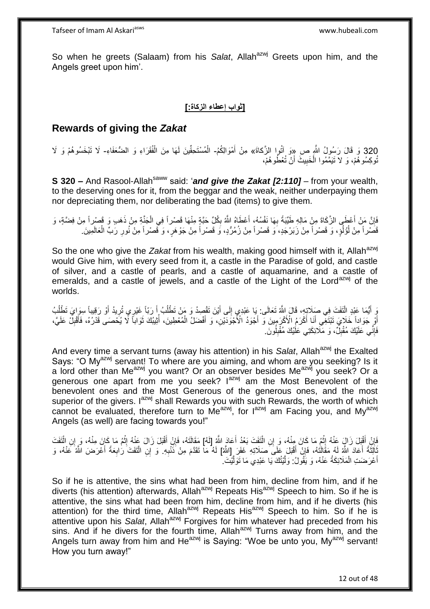So when he greets (Salaam) from his Salat, Allah<sup>azwj</sup> Greets upon him, and the Angels greet upon him'.

**]ثواب إعطاء الزكاة:[**

## **Rewards of giving the** *Zakat*

320 وَ قَالَ رَسُولُ اللَّهِ ص ِ«ِوَ آَتُوا الزَّكاةَ» مِنْ أَمْوَالِكُمُ- الْمُسْتَحِقِّينَ لَهَا مِنَ الْفُقَرَاءِ وَ الضُّعَفَاءِ- لَا تَبْخَسُوهُمْ وَ لَا ْ ْ َ تُوكِسُو هُمْ، وَ لاَ تَيَمَّمُوا الْخَبِيثَ أَنْ تُعْطُو هُمْ، ِ ْ َ

**S 320 –** And Rasool-Allah<sup>saww</sup> said: 'and give the Zakat [2:110] – from your wealth, to the deserving ones for it, from the beggar and the weak, neither underpaying them nor depreciating them, nor deliberating the bad (items) to give them.

فَإِنَّ مَنْ أَعْطَى الزَّكَاةَ مِنْ مَالِهِ طَيِّبَةً بِهَا نَفْسُهُ، أَعْطَاهُ اللَّهُ بِكُلِّ حَبَّةٍ مِنْهَا قَصْراً فِي الْجَنَّةِ مِنْ ذَهَبٍ وَ قَصْرِاً مِنْ فِضَّةٍ، وَ ا<br>ا ِ ْ ِ َ ِ ِ قَصْر أَ مِنْ لُؤُلُوٍۢ ، وَ قَصْر أَ مِنْ زَبَرْجَدٍ، َو قَصْر أَ مِنْ زُمُرُّدٍ، وَ قَصْر أَ مِنْ جَوْهَرٍ ، وَ قَصْر أَ مِنْ نُورِ رَبِّ الْعَالَمِينَ ـ ُ ار<br>و ْ

So the one who give the *Zakat* from his wealth, making good himself with it, Allah<sup>azwj</sup> would Give him, with every seed from it, a castle in the Paradise of gold, and castle of silver, and a castle of pearls, and a castle of aquamarine, and a castle of emeralds, and a castle of jewels, and a castle of the Light of the Lord<sup>azwj</sup> of the worlds.

ِّي أَيُّمَا عَبْدِ الْتَفَتَ فِي صَلاَتٍهِ، قَالَ اللَّهُ تَعَالَى: بَا عَبْدِي إِلَى أَيْنَ تَقْصِدُ وَ مَنْ تَطْلُبُ أَ رَبّاً غَيْرِي ثُرِيدُ أَوْ رَقِيباً سِرَايَ تَطْلُبُ َ ُ َ ِ ْ ُ َ ِ أَوِّ جَوَاداً خَلَايَ تَبْتَغِي أَنَا أَكْرَمُ الْأَكْرَمِينَ وَّ أَجْوَدُ الْأَجْوَدَيْنِ، وَ أَفْضَلُ الْمُعْطِينَ، أُثِيبُكَ ثَوَاباً لَا يُخْصَى قَدْرُهُ، فَأَقْبِلْ عَلَيَّ، َ َ َ ا<br>ا ِ َ َ ر<br>اُ ْ َ فَإِنِّي عَلَيْكَ مُقْبِلٌ، وَ مَلَائِكَتِي عَلَيْكَ مُقْبِلُونَ. ِ ِ ِ

And every time a servant turns (away his attention) in his *Salat*, Allah<sup>azwj</sup> the Exalted Says: "O My<sup>azwj</sup> servant! To where are you aiming, and whom are you seeking? Is it a lord other than Me<sup>azwj</sup> you want? Or an observer besides Me<sup>azwj</sup> you seek? Or a generous one apart from me you seek? I<sup>azwj</sup> am the Most Benevolent of the benevolent ones and the Most Generous of the generous ones, and the most superior of the givers.  $I^{azwj}$  shall Rewards you with such Rewards, the worth of which cannot be evaluated, therefore turn to Me<sup>azwj</sup>, for lazwj am Facing you, and My<sup>azwj</sup> Angels (as well) are facing towards you!"

ْفَإِنْ أَقْبَلَ زَالٍ عَنْهُ إِنْهُ مَا كَانَ مِنْهُ، وَ إِنِ الْتَفَتَ بَعْدُ أَعَادَ اللَّهُ [لَهُ] مَقَالَتَهُ، فَإِنْ أَقْبَلَ زَالَ عَنْهُ إِثْم مَا كَانَ مِنْهُ، وَ إِنِ الْتَفَتَ<br>ثَنِيَ أَقْبَلَ زَالٍ عَنْهُ إِثْم َ ْ ْ ֺ֦֧֦֧֦֦֖֦֧֦֦֧֦֧֦֧֦֧֦֧֦֧֦֧֦֧֦֧֦֧֦֧֦֧֦֧֦֧֧֦֧֦֚֚֚֚֚֚֝֝֝֝֝֬֝֝֓֝֜ َ ِ َ ∣ļ ْ ْ ِ ِ ْأَلِثَةً أَعَادَ اللَّهُ مَقَالَتُهُ، فَإِنْ أَقْبَلَ عَلَى صَلَاتِهِ غَفَرَ إِللَّهُ] لَهُ مَا تَقَدَّمَ مِنْ ذَنْبِهِ. وَ إِنِ الْنَفَتَ رَٰابِعَةً أَعْرَضَ اللَّهُ عَنْهُ، وَ<br>إِن الْتَفَتَ رَابِعَةً أَعْرَضَ اللَّهُ ع ٔ, َ ِ َ ِ ْ أَعْرَضَتِ الْمَلَائِكَةُ عَنْهُ، وَ يَقُولُ: وَلَّيْتُكَ يَا عَبْدِي مَا تَوَلَّيْتَ . ه ه ْ َ

So if he is attentive, the sins what had been from him, decline from him, and if he diverts (his attention) afterwards, Allah<sup>azwj</sup> Repeats His<sup>azwj</sup> Speech to him. So if he is attentive, the sins what had been from him, decline from him, and if he diverts (his attention) for the third time, Allah<sup>azwj</sup> Repeats His<sup>azwj</sup> Speech to him. So if he is attentive upon his *Salat*, Allah<sup>azwj</sup> Forgives for him whatever had preceded from his sins. And if he divers for the fourth time, Allah<sup>azwj</sup> Turns away from him, and the Angels turn away from him and He<sup>azwj</sup> is Saying: "Woe be unto you, My<sup>azwj</sup> servant! How you turn away!"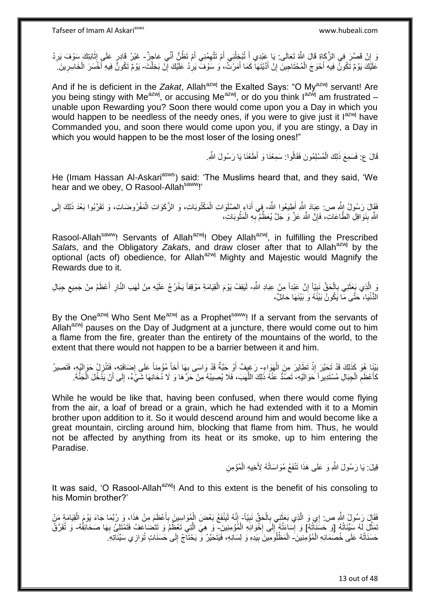وَ إِنْ قَصَّرَ فِي الزَّكَاةِ قَالَ اللَّهُ تَعَالَى: يَا عَيْدِي أَ تُبْخِلُنِي أَمْ تَتَّهِمُنِي أَمْ تَظُنُّ أَنِّي عَاجِزٌ - غَيْرُ قَادِرٍ عَلَى إِثَابَتِكَ سَوْفَ يَرِدُ َ َ ِ ُ َ  $\sum_{i=1}^{n}$ ِ َ ِ عَلَيْكَ يَوْمٌ تَكُونُ فِيهِ أَحْوَجَ الْمُحْتَاجِينَ إِنْ أَدَّيْتَهَا كَمَا أَمَرْتُ، وَ سَوْفٌ يَرِدُ عَلَيْكَ إِنْ بَخِلْتَ- يَوْمٌ تَكُونُّ فِيهِ أَخْسَرَ الْخَاسِرِينَ ِ ْ יֲ<br>י ِ َ َ ِ ْ َ ِ ْ َ

And if he is deficient in the Zakat, Allah<sup>azwj</sup> the Exalted Says: "O My<sup>azwj</sup> servant! Are you being stingy with Me<sup>azwj</sup>, or accusing Me<sup>azwj</sup>, or do you think  $I^{ax\dot{w}j}$  am frustrated – unable upon Rewarding you? Soon there would come upon you a Day in which you would happen to be needless of the needy ones, if you were to give just it lazwj have Commanded you, and soon there would come upon you, if you are stingy, a Day in which you would happen to be the most loser of the losing ones!"

> قَالَ ع: فَسَمِعَ ذَلِكَ الْمُسْلِمُونَ فَقَالُوا: سَمِعْنَا وَ أَطَعْنَا يَا رَسُولَ اللَّهِ. ْ

He (Imam Hassan Al-Askari<sup>asws</sup>) said: 'The Muslims heard that, and they said, 'We hear and we obey, O Rasool-Allah<sup>saww</sup>!'

فَقَالَ رَسُولُ الِثَّهِ ص: عِبَادَ اللَّهِ أَطِيعُوا اللَّهَ- فِي أَدَاءٍ الصَّلَوَاتِ الْمَكْتُوبَاتِ، وَ الزَّكَوَاتِ الْمَفْرُوضَاتِ، وَ تَقَرَّبُوا بَعْدَ ذَلِكَ إِلَى َ ْ ْ لَ ِ اللَّهِ بِنَوَافِلِ الطَّاعَاتِ، فَإِنَّ اللَّهَ عَزَّ وَ جَلَّ يُعَظِّمْ بِهِ الْمَثُوبَاتِ، ر ده ۲۰۰۰ با ْ **∶** ِ **∣** 

Rasool-Allah<sup>saww</sup>! Servants of Allah<sup>azwj</sup>! Obey Allah<sup>azwj</sup>, in fulfilling the Prescribed Salats, and the Obligatory Zakats, and draw closer after that to Allah<sup>azwj</sup> by the optional (acts of) obedience, for Allah<sup>azwj</sup> Mighty and Majestic would Magnify the Rewards due to it.

وَ إِلَّذِي بَعَثَنِي بِالْحَقِّ نَبِيّاً إِنَّ عَبْداً مِنْ عِبَادِ اللَّهِ- لَيَقِفُ يَوْمَ الْقِيَامَةِ مَوْقِفاً يَخْرُجُ عَلَيْهِ مِنْ لَهَبِ الذَّارِ أَعْظَمُ مِنْ جَمِيعِ جِبَالِ ِ **∣** ْ ِ َ ْ ِ َ ِ الدُّنْيَا، ۚ حَتَّى مَّا يَكُونُ بَيْنََهُ وَ بَيْنَهَا حَائِلٌ،

By the One<sup>azwj</sup> Who Sent Me<sup>azwj</sup> as a Prophet<sup>saww</sup>! If a servant from the servants of Allah<sup>azwj</sup> pauses on the Day of Judgment at a juncture, there would come out to him a flame from the fire, greater than the entirety of the mountains of the world, to the extent that there would not happen to be a barrier between it and him.

َبَيْنَا هُوَ كَذَلِكَ قَدْ تَحَيَّرَ إِذْ تَطَايَرَ مِنَ الْهَوَاءِ- رَغِيفٌ أَوْ حَبَّةٌ قَدْ وَاسَى بِهَا أَخاً مُؤْمِناً عَلَى إِضَافَتِهِ، فَتَثْرِلُ حَوَالَيْهِ، فَتَصِيرُ ْ **ٔ** ِ ِ ِ َ كَأَعْظَمِ الْجِبَالِ مُسْتَدِير أَ حَوَ الَيْهِ، تَصُدُّ عَنْهُ ذَلِكَ اللَّهَبَ، فَلَا يُصِيبُهُ مِنْ حَرِّهَا وَ لَا دُخَانِهَا شَيْءٌ، إِلَى أَنْ يَدْخُلَ الْجَنَّةَ. ه ْ ِ ِ ْ َ

While he would be like that, having been confused, when there would come flying from the air, a loaf of bread or a grain, which he had extended with it to a Momin brother upon addition to it. So it would descend around him and would become like a great mountain, circling around him, blocking that flame from him. Thus, he would not be affected by anything from its heat or its smoke, up to him entering the Paradise.

> قِيلَ: يَا رَسُولَ اللَّهِ وَ عَلَى هَذَا تَنْفَعُ مُوَاسَاتُهُ لِأَخِيهِ الْمُؤْمِنِ ْ

It was said, 'O Rasool-Allah<sup>azwj</sup>! And to this extent is the benefit of his consoling to his Momin brother?'

فَقَالَ رَسُولُ اللَّهِ ص: إِي وَ الَّذِي بَعَثَنِي بِالْحَقِّ نَبِيّاً- إِنَّهُ لَيَنْفَعُ بَعْضَ الْمُوَاسِينَ بِأَعْظَمَ مِنْ هَذَا، وَ رُبَّمَا جَاءَ يَوْمَ الْقِيَامَةِ مَنْ **!** ْ ِ َ ه ْ ِ ْ َ ِ نَمَثَّلَ لَهُ سَيِّئَاتُهُ [وَ حَسَنَآتُهُ] وَ إِسَاءَتُهُ إِلَى إِخْوَانِهِ الْمُؤْمِنِينَ- وَ هِيَ الَّتِي تَعْظُمُ وَ تَتَضَاعَفُ فَتَمْثَلِئُ بِهَا صَحَافِفُهُ- وَ تُفَرَّقُ ه ْ **∶**  $\frac{1}{2}$ ا<br>؛ ِ حَسَنَاتُهُ عَلَى خُصَمَائِهِ الْمُؤْمِنِينَ ۖ الْمَظْلُوَمِينَ بِيَدِهِ وَ لِسَانِهِ، فَيَتَحَيَّرُ وَ يَحْتَآجُ إِلَى حَسَنَاتٍ تُوَازِي سَيِّئَاتِهِ ۖ ْ **∶** ِ **!** ْ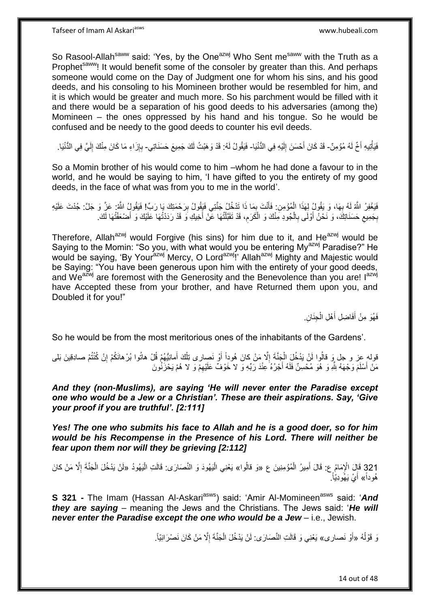Tafseer of Imam Al Askariasws www.hubeali.com

So Rasool-Allah<sup>saww</sup> said: 'Yes, by the One<sup>azwj</sup> Who Sent me<sup>saww</sup> with the Truth as a Prophet<sup>saww</sup>! It would benefit some of the consoler by greater than this. And perhaps someone would come on the Day of Judgment one for whom his sins, and his good deeds, and his consoling to his Momineen brother would be resembled for him, and it is which would be greater and much more. So his parchment would be filled with it and there would be a separation of his good deeds to his adversaries (among the) Momineen – the ones oppressed by his hand and his tongue. So he would be confused and be needy to the good deeds to counter his evil deeds.

فَيَأْتِيهِ أَخٌ لَهُ مُؤْمِنٌ- قَدْ كَانَ أَحْسَنَ إِلَيْهِ فِي الدُّنْيَا- فَيَقُولُ لَهُ: قَدْ وَهَبْتُ لَكَ جَمِيعَ حَسَنَاتِي- بِإِزَاءِ مَا كَانَ مِنْكَ إِلَيَّ فِي الدُّنْيَا. ْ لَ ِ ∣اٍ **∶** لَ ِ

So a Momin brother of his would come to him –whom he had done a favour to in the world, and he would be saying to him, 'I have gifted to you the entirety of my good deeds, in the face of what was from you to me in the world'.

فَيَغْفِرُ اللَّهُ لَهُ بِهَا، وَ يَقُولُ لِهَذَا الْمُؤْمِنِ. فَأَنْتَ بِمَا ذَا تَدْخُلُ جَنَّتِي فَيَقُولُ بِرَحْمَتِكَ يَا رَبِّ! فَيَقُولُ اللَّهُ: عَنَّ وَ جَلَّ: جُدْتَ عَلَيْهِ ِ ِ َ ْ **∶** حَسَنَاتِكَ، وَ نَحْنُ أَوْلَى بِالْجُودِ مِنْكَ وَ الْكَرَمِ، قَدْ تَقَبَّلْتُهَا عَنْ أَخِيكِ وَ قَدْ رَدَدْتُهَا عَلَيْكَ وَ أَصْحَفْتُهَا لَكَ. ْ ْ ِ  $\zeta$ ِ َ َ ْ ِ

Therefore, Allah<sup>azwj</sup> would Forgive (his sins) for him due to it, and He<sup>azwj</sup> would be Saying to the Momin: "So you, with what would you be entering My<sup>azwj</sup> Paradise?" He would be saying, 'By Your<sup>azwj</sup> Mercy, O Lord<sup>azwj</sup>!' Allah<sup>azwj</sup> Mighty and Majestic would be Saying: "You have been generous upon him with the entirety of your good deeds, and We<sup>azwj</sup> are foremost with the Generosity and the Benevolence than you are! I<sup>azwj</sup> have Accepted these from your brother, and have Returned them upon you, and Doubled it for you!"

> فَهُوَ مِنْ أَفَاضِلِ أَهْلِ الْجِنَانِ. ْ َ َ

So he would be from the most meritorious ones of the inhabitants of the Gardens'.

قولهِ عِز و جل وَ قالُوا لَنْ يَدْخُلَ الْجَنَّةَ إِلَّا مَنْ كانَ هُوداً أَوْ نَصِارى تِلْكَ أَمانِيُّهُمْ قُلْ هاتُوا بُرْهانَكُمْ إِنْ كُنْتُمْ صادِقِينَ بَلى َ ِ ْ ِ َ ْ مَنْ أَسْلَمَ وَجْهَهُ لِلَّهِ وَ هُوَ مُحْسِنٌ فَلَهُ أَجْرُهُ عِنْدَ رَبِّهِ وَ لا خَوْفٌ عَلَيْهِمْ وَ لا هُمْ يَحْزَنُونَ ِ َ

*And they (non-Muslims), are saying 'He will never enter the Paradise except one who would be a Jew or a Christian'. These are their aspirations. Say, 'Give your proof if you are truthful'. [2:111]*

*Yes! The one who submits his face to Allah and he is a good doer, so for him would be his Recompense in the Presence of his Lord. There will neither be fear upon them nor will they be grieving [2:112]*

321 قَإِلَ الْإِمَامُ عِ: قَالَ أَمِيرُ الْمُؤْمِنِينَ ع «وَ قالُوا» يَعْنِي الْيَهُودَ وَ النَّصَارَى: قَالَت<br>121 قَإِلَ الْإِمَامُ عِ: قَالَ أَمِيرُ الْمُؤْمِنِينَ ع «وَ قالُوا» يَعْنِي الْيَهُودَ وَ النَّصَارَى: قَالَت ِ ْ ْ ْ ْ َ هُوداً» أَيْ يَهُودِيَّاً. َ

**S 321 -** The Imam (Hassan Al-Askari<sup>asws</sup>) said: 'Amir Al-Momineen<sup>asws</sup> said: 'And *they are saying* – meaning the Jews and the Christians. The Jews said: '*He will never enter the Paradise except the one who would be a Jew* – i.e., Jewish.

> وَ قَوْلُهُ «أَوْ نَصارى» يَعْنِي وَ قَالَتِ النَّصَارَى: لَنْ يَدْخُلَ الْجَنَّةَ إِلَّا مَنْ كَانَ نَصْرَانِيَّاً. ُ َ ِ ْ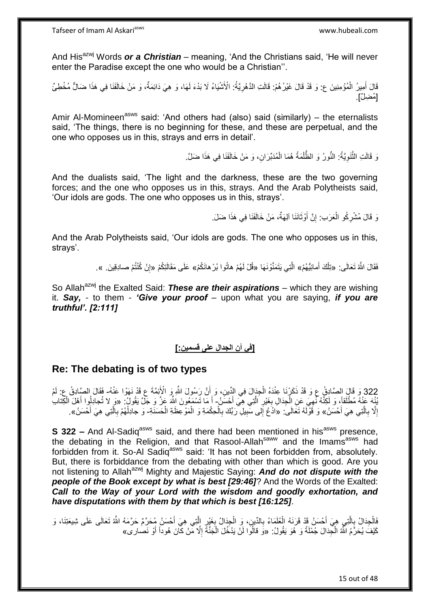And His<sup>azwj</sup> Words *or a Christian* – meaning, 'And the Christians said, 'He will never enter the Paradise except the one who would be a Christian''.

قَالَ أَمِيرُ الْمُؤْمِنِينَ ع: وَ قَدْ قَالَ غَيْرُهُمْ: قَالَتِ الدَّهْرِيَّةُ: الْأَشْيَاءُ لَا بَدْءَ لَهَا، وَ هِيَ دَائِمَةٌ، وَ مَنْ خَالَفَنَا فِي هَذَا ضَالٌّ مُخْطِئٌ ْ **∶** [مُضِلٌ]

Amir Al-Momineen<sup>asws</sup> said: 'And others had (also) said (similarly) – the eternalists said, 'The things, there is no beginning for these, and these are perpetual, and the one who opposes us in this, strays and errs in detail'.

> وَ قَالَتِ الثَّنَوِيَّةُ: النُّورُ وَ الظُّلْمَةُ هُمَا الْمُدَبِّرَانِ، وَ مَنْ خَالَفَنَا فِي هَذَا ضَلَّ ۖ ْ ْ **∶** ه

And the dualists said, 'The light and the darkness, these are the two governing forces; and the one who opposes us in this, strays. And the Arab Polytheists said, 'Our idols are gods. The one who opposes us in this, strays'.

> نَ قَالَ مُشْرِكُو الْعَرَبِ: إِنَّ أَوْثَانَنَا آلِهَةٌ، مَنْ خَالَفَنَا فِي هَذَا ضَلَ. ة<br>أ יֲ<br>י ْ **∶**

And the Arab Polytheists said, 'Our idols are gods. The one who opposes us in this, strays'.

> فَقَالَ اللَّهُ تَعَالَى: «تِلْكَ أَمانِيُّهُمْ» الَّتِي يَتَمَنَّوْنَـهَا «قُلْ لَهُمْ هاتُوا بُرْ هانَكُمْ» عَلَى مَقَالَتِكُمْ «إِنْ كُنْتُمْ صـادِقِينَ. ». َ ْ

So Allah<sup>azwj</sup> the Exalted Said: **These are their aspirations** – which they are wishing it. *Say,* - to them - *'Give your proof* – upon what you are saying, *if you are truthful'. [2:111]* 

### **]في أن الجدال على قسمين:[**

### **Re: The debating is of two types**

322 وَ قَالَ الصَّادِقُ ع وَ قَدْ ذَكَرْنَا عِنْدَهُ الْجِدَالَ فِي الدِّينِ، وَ أَنَّ رَسُولَ اللَّهِ وَ الْأَئِمَّةَ ع قَدْ نَهَوْا عَنْهُ- فَقَالَ الصَّادِقُ ع: لَمْ َ ْ ُنْيه عَنْهُ مُطْلَقاً، وَ لَكِنَّهُ نُمِيَ عَنِ الْجِدَالِ بِغَيْرِ الَّتِي هِيَ أَحْسَنُ- أَ مَا تَسْمَعُونَ اللَّه عَزَّ وَ جَلَّ يَقُولُ: «وَ لا تُجادِلُوا أَهْلَ الْكِنَابُ ه ِ **∶** ْ ِ ْ َ إِلَّا بِالَّتِي هِيَ أَحْسَنُ» وَ قَوْلَهُ تَعَالَى ۖ «ادْعُ إِلى سَبِيلِ رَبِّكَ بِالْحِكْمَةِ وَ الْمَوْعِظَةِ الْحَسَنَةِ- وَ جادِلْهُمْ بِالَّتِي هِيَ أَحْسَنُ». ه **∶**  ِ َ ه ِ ْ ْ ْ  $\frac{1}{2}$ 

**S 322 –** And Al-Sadiq<sup>asws</sup> said, and there had been mentioned in his<sup>asws</sup> presence, the debating in the Religion, and that Rasool-Allah<sup>saww</sup> and the Imams<sup>asws</sup> had forbidden from it. So-Al Sadiqasws said: 'It has not been forbidden from, absolutely. But, there is forbiddance from the debating with other than which is good. Are you not listening to Allah<sup>azwj</sup> Mighty and Majestic Saying: And do not dispute with the *people of the Book except by what is best [29:46]*? And the Words of the Exalted: *Call to the Way of your Lord with the wisdom and goodly exhortation, and have disputations with them by that which is best [16:125]*.

َالْجِدَالُ بِالَّذِي هِيَ أَحْسَنُ قَدْ قَرَنَهُ الْعُلَمَاءُ بِالدِّينِ، وَ الْجِدَالُ بِغَيْرٍ الَّذِي هِيَ أَحْسَنُ مُحَرَّمٌ حَرَّمَهُ اللَّهُ تَعَالَى عَلَى شِيعَتِنَا، وَ ه **∶** َ ه ِ **∶** ْ ِ كَيْفَ يُحَرَّمُ اللَّهُ الْجِدَالَ جُمْلَةً وَ هُوَ يَقُولُ: «وَ قالُوا لَنْ يَدْخُلَ الْجَنَّةَ إِلَّا مِّنْ كَانَ هُوداً أَوْ نَصارى» ْ َ ِ ْ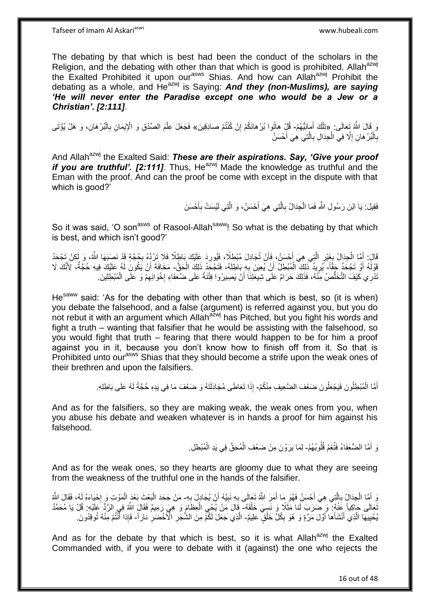The debating by that which is best had been the conduct of the scholars in the Religion, and the debating with other than that which is good is prohibited. Allahazwj the Exalted Prohibited it upon our<sup>asws</sup> Shias. And how can Allah<sup>azwj</sup> Prohibit the debating as a whole, and He<sup>azwj</sup> is Saying: **And they (non-Muslims), are saying** *'He will never enter the Paradise except one who would be a Jew or a Christian'. [2:111]*.

رَ قَالَ اللَّهُ تَعَالَى: «تِلْكَ أَمانِيُّهُمْ- قُلْ هاتُوا بُرْهانَكُمْ إِنْ كُنْتُمْ صـادِقِينَ» فَجَعَلَ عِلْمَ الصِّدْقِ وَ الْإِيمَانِ بِالْبُرْهَانِ، وَ هَلْ يُؤْتَى َ ِ ْ ِ ْ بِالْبُرْ هَانِ إِلَّا فِي الْجِدَالِ بِالَّتِي هِيَ أَحْسَنُ َ ه ِ ْ ِ ْ ِ

And Allah<sup>azwj</sup> the Exalted Said: These are their aspirations. Say, 'Give your proof *if* you are truthful'. [2:111]. Thus, He<sup>azwj</sup> Made the knowledge as truthful and the Eman with the proof. And can the proof be come with except in the dispute with that which is good?'

> فَقِيلَ: يَا ابْنَ رَسُولِ اللَّهِ فَمَا الْجِدَالُ بِالَّتِي هِيَ أَحْسَنُ، وَ الَّتِي لَيْسَتْ بِأَحْسَنَ ْ ه **∶** َ ِ ه

So it was said, 'O son<sup>asws</sup> of Rasool-Allah<sup>saww</sup>! So what is the debating by that which is best, and which isn't good?'

قَالَ: أَمَّا الْجِدَالُ بِغَيْرِ الَّتِي هِيَ أَحْسَنُ، فَأَنْ تُجَادِلَ مُبْطِلًا، فَيُورِدَ عَلَيْكَ بَاطِلًا فَلَا تَرُدَّهُ بِجُجَّةٍ قَدْ نَصِبَهَا اللَّهُ، وَ لَكِنْ تَجْحَدُ ِ ْ َ ِ ِ َ َ ه ِ قَوْلَهُ أَوْ تَجْحَدُ جَقَّاً- يُرِيدُ ۖذَلِكَ ۖ الْمُبْطِلُ أَنْ يُعِينَ بِهِ بَاطِلَهُ، فَتَجْحَدُ ذَلِكَ الْحَقّ- مَخَافَةَ أَنْ يَكُونَ لَهُ عَلَيْكَ فِيهِ حُجَّةٌ، لِأَنَّكَ لَا َ ِ َ ْ ِ اُ نْدْرِي كَيْفَ التَّخَلُّصُ مِنْهُ، فَذَلِكَ حَرَامٌ عَلَى شِيعَتِنَاَ أَنْ يَصِيرُوا فِتْنَةً عَلَى ضُعَفَاءِ إِخْوَانِهِمْ وَ عَلَى الْمُبْطِلِينَ ِ יִי.<br>י اُ ُّ ْ

He<sup>saww</sup> said: 'As for the debating with other than that which is best, so (it is when) you debate the falsehood, and a false (argument) is referred against you, but you do not rebut it with an argument which Allah<sup>azwj</sup> has Pitched, but you fight his words and fight a truth – wanting that falsifier that he would be assisting with the falsehood, so you would fight that truth – fearing that there would happen to be for him a proof against you in it, because you don't know how to finish off from it. So that is Prohibited unto our<sup>asws</sup> Shias that they should become a strife upon the weak ones of their brethren and upon the falsifiers.

> أَمَّا الْمُبْطِلُونَ فَيَجْعَلُونَ ضَعْفَ الضَّعِيفِ مِنْكُمْ- إِذَا تَعَاطَى مُجَادَلَتَهُ وَ ضَعْفَ مَا فِي يَدِهِ حُجَّةً لَهُ عَلَى بَاطِلِهِ. ْ لَ

And as for the falsifiers, so they are making weak, the weak ones from you, when you abuse his debate and weaken whatever is in hands a proof for him against his falsehood.

> وَ أَمَّا الضُّعَفَاءُ فَتُغَمُ قُلُوبُهُمْ- لِمَا يَرَوْنَ مِنْ ضَعْفِ الْمُحِقِّ فِي يَدِ الْمُبْطِلِ. ُ ْ ْ

And as for the weak ones, so they hearts are gloomy due to what they are seeing from the weakness of the truthful one in the hands of the falsifier.

وَ أَمَّا الْجِدَالُِ بِالَّتِي هِيَ أَحْسَنُ فَهُوَ مَا أَمَرَ اللَّهُ تَعَالَى بِهِ نَبِيَّهُ أَنْ يُجَادِلَ بِهِ- مَنْ جَحَدَ الْبَعْثَ بَعْدَ الْمَوْتِ وَ إِحْيَاءَهُ لَهُ، فَقَالَ اللَّهُ ْ َ ه ِ َ ِ َ ِ ِ ┆ ْ ْ تَعَالَى حَاكِياً عََنْهُ: وَ ضَرَبَ لَنا مَثَلًا وَ نَسِيَ خَلْقَهُ- قَالَ مَنْ يُحْيِ الْعِظَامَ وَ هِيَ رَمِيمٌ فَقَالَ اللَّهُ فِي الرَّدِّ عَلَيْهِ: قُلْ يَا مُحَمَّدُ ْ ْ ِ يُحْيِيهَا الَّذِي أَنْشَأَها أَوَّلَ مَرَّةٍ وَ هُوَ بِكُلِّ خَلْقٍ عَلِيمٌ- الَّذِي جَعَلَ لَكُمْ مِنَ الشُّجَرِ الْأَخْضَرِ ناراً- فَإِذا أَنْتُمْ مِنْهُ تُوقِدُونَ ْ ِ َ َ ه ِ ِ ِ َ

And as for the debate by that which is best, so it is what Allah $^{azwj}$  the Exalted Commanded with, if you were to debate with it (against) the one who rejects the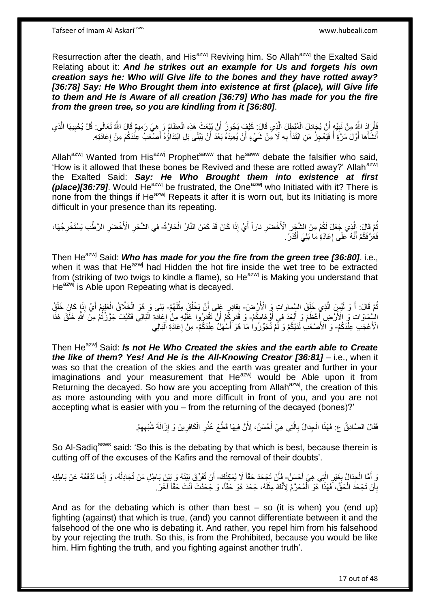Resurrection after the death, and His<sup>azwj</sup> Reviving him. So Allah<sup>azwj</sup> the Exalted Said Relating about it: *And he strikes out an example for Us and forgets his own creation says he: Who will Give life to the bones and they have rotted away? [36:78] Say: He Who Brought them into existence at first (place), will Give life to them and He is Aware of all creation [36:79] Who has made for you the fire from the green tree, so you are kindling from it [36:80]*.

فَأَرَادَ اللَّهُ مِنْ نَبِيِّهٍ أَنْ يُجَادِلَ الْمُبْطِلَ الَّذِي قَالَ: كَيْفٍ يَجُوزُ أَنْ يُبْعَثَ هَذِهِ الْعِظَامُ وَ هِيَ رَمِيمٌ قَالَ اللَّهُ تَعَالَى: قُلْ يُحْيِيهَا الَّذِي ْ َ ه ْ **!** َ ه ِ أَنْثَنَأُها أَوَّلَ مَرَّةٍ أَ فَيَعْجِزُ مَنِ ابْتَدَأَ بِهِ لَا مِنْ شَيْءٍ أَنْ يُعِيدَهُ بَعْدَ أَنْ يَبْلَى بَلِ ابْتِدَاؤُهُ أَصْنَعَبُ عِنْدَكُمْ مِنْ إِعَادَتِهِ ِ َ َ َ َ َ ِ َ اُ اُ

Allah<sup>azwj</sup> Wanted from His<sup>azwj</sup> Prophet<sup>saww</sup> that he<sup>saww</sup> debate the falsifier who said, 'How is it allowed that these bones be Revived and these are rotted away?' Allah<sup>azwj</sup> the Exalted Said: *Say: He Who Brought them into existence at first (place)[36:79]*. Would He<sup>azwj</sup> be frustrated, the One<sup>azwj</sup> who Initiated with it? There is none from the things if He<sup>azwj</sup> Repeats it after it is worn out, but its Initiating is more difficult in your presence than its repeating.

نْمَ قَالَ: الَّذِي جَعَلَ لَكُمْ مِنَ الشَّجَرِ الْأَخْضَرِ ناراً أَيْ إِذَا كَانَ قَدْ كَمَنَ النَّارُ الْحَارَّةُ- فِي الشَّجَرِ الْأَخْضَرِ الرَّطْبِ يَسْتَخْرِجُهَا، َ **∶ ∶** ه ُ ْ ِ ِ ِ فَعَرَّ فَكُمْ أَنَّهُ ۚ عَلَى إِعَادَةِ مَا بَلِيَ أَقْدَرُ ۚ ِ َ

Then He<sup>azwj</sup> Said: **Who has made for you the fire from the green tree [36:80].** i.e., when it was that  $He^{azwj}$  had Hidden the hot fire inside the wet tree to be extracted from (striking of two twigs to kindle a flame), so He<sup>azwj</sup> is Making you understand that He<sup>azwj</sup> is Able upon Repeating what is decayed.

نُمَّ قَالَ: أَ وَ لَيْسٍ الَّذِي خَلَقَ السَّماواتِ وَ الْأَرْضَ- بِقادِرٍ عَلِي أَنْ يَخْلُقَ مِثْلَهُمْ- بَلى وَ هُوَ الْخَلَّاقُ الْعَلِيمُ أَيْ إِذَا كَانَ خَلْقُ اً َ ُ **∫** لَ **ٔ** ُ ْ ْ ْ َ السِّمَاوَاتِ وِّ الْأَرْضِ أَعْظَمَ وَ أَبْعَدَ فِي أَوْ هَامِكُمْ- وَ قَدَرِكِمْ أَنْ تَقْدِرُوا عَلَيْهِ مِنْ إِعَادَةِ الْبَالِي فَكَيْفَ جَوَّرْتُمْ مِنَ الشَّرِ خَلْقَ هَذَا َ َ ِ ْ ِ َ ْ الْأَعْجَبِ عِنْدَكُمْ- وَ الْأَصْعَبِ لَدَيْكُمْ وَ لَّمْ تُجَوِّزُوا مَا هُوَ أَسْهَلُ عِنْدَكُمْ- مِنْ إِعَادَةِ اَلْبَالِي َ ْ ِ

Then He<sup>azwj</sup> Said: *Is not He Who Created the skies and the earth able to Create the like of them? Yes! And He is the All-Knowing Creator [36:81]* – i.e., when it was so that the creation of the skies and the earth was greater and further in your  $im_{\alpha}$  imaginations and your measurement that He $^{a}$ <sup>y</sup> would be Able upon it from Returning the decayed. So how are you accepting from Allah<sup>azwj</sup>, the creation of this as more astounding with you and more difficult in front of you, and you are not accepting what is easier with you – from the returning of the decayed (bones)?'

> فَقَالَ الصَّادِقُ ع: فَهَذَا الْجِدَالُ بِالَّتِي هِيَ أَحْسَنُ، لِأَنَّ فِيهَا قَطْعَ عُذْرِ الْكَافِرِينَ وَ إِزَالَةَ شُبَهِهِمْ. َ ه **∶** ْ ِ ِ ِ ْ ِ **ٔ**

So Al-Sadiq<sup>asws</sup> said: 'So this is the debating by that which is best, because therein is cutting off of the excuses of the Kafirs and the removal of their doubts'.

وَ أَمَّا الْجِدَالُ بِغَيْرِ الَّتِي هِيَ أَحْسَنُ- فَأَنْ تَجْحَدَ حَقّاً لَا يُمْكِنُكَ- أَنْ تُفَرِّقَ بَيْنَهُ وَ بَيْنَ بَاطِلِ مَنْ تُجَادِلُهُ، وَ إِنَّمَا تَدْفَعُهُ عَنْ بَاطِلِهِ َ ه ِ ِ اُ ِ ا<br>ا َ بِأَنْ تَجْحَدَ الْحَقَّ، فَهَذَا أَهُوَ الْمُحَرَّمُ لِأَنَّكَ مِثْلَهُ، جَحَدَ هُوَ حَقّاً، وَ جَحَدْتَ أَنْتَ حَقّاً آخَرَ ـ لَ ْ ْ ْ ز<br>ا ِ َ

And as for the debating which is other than best  $-$  so (it is when) you (end up) fighting (against) that which is true, (and) you cannot differentiate between it and the falsehood of the one who is debating it. And rather, you repel him from his falsehood by your rejecting the truth. So this, is from the Prohibited, because you would be like him. Him fighting the truth, and you fighting against another truth'.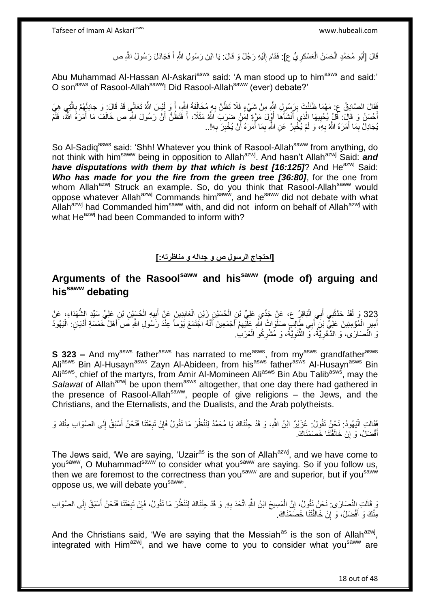قَالَ [أَبُو مُحَمَّدٍ الْحَسَنُ الْعَسْكَرِيُّ ع]: فَقَامَ إِلَيْهِ رَجُلٌ وَ قَالَ: يَا ابْنَ رَسُولِ اللَّهِ أَ فَجَادَلَ رَسُولُ اللَّهِ ص ِ ْ ْ َ لَ  $\frac{1}{2}$ 

Abu Muhammad Al-Hassan Al-Askari<sup>asws</sup> said: 'A man stood up to him<sup>asws</sup> and said:' O son<sup>asws</sup> of Rasool-Allah<sup>saww</sup>! Did Rasool-Allah<sup>saww</sup> (ever) debate?'

فَقَالَ الصَّادِقُ ع: مَهْمَا ظَنَنْتَ بِرَسُولِ الثَّهِ مِنْ شَيْءٍ فَلَا تَظُنَّ بِهِ مُخَالَفَةَ الثَّهِ، أَ وَ لَئِسَ اللَّهُ تَعَالَى قَدْ قَالَ: وَ جادِلْهُمْ بِالَّتِي هِيَ ِ َ ِ ه ِ ْ أَحْسَنُ وَ قَالٍ ۖ: قُلْ يُحْبِيهَا اِلَّذِي َأَنْشَأَهَا أَوَّلَ مَرَّةٍ لِٓمَٰنٍ ضَرَبَ اللَّهُ مَثَلًا، أَ فَتَظُنُّ أَنَّ رَسُولَ اللَّهِ ص خَالَفَ مَا أَمَرَٰهُ الثَّمَّ، فَلَّم َ َ ه ِ َ َ َ ُبَجَادِلْ بِمَا أَمَرَهُ اللَّهُ بِهِ، وَ لَمْ يُخْبِرْ عَنِ اللَّهِ بِمَا أَمَرَهُ أَنْ يُخْبِرَ بِهِ!.. ِ ِ اُ َ ِ ِ ِ َ ِ

So Al-Sadig<sup>asws</sup> said: 'Shh! Whatever you think of Rasool-Allah<sup>saww</sup> from anything, do not think with him<sup>saww</sup> being in opposition to Allah<sup>azwj</sup>. And hasn't Allah<sup>azwj</sup> Said: *and have disputations with them by that which is best [16:125]*? And He<sup>azwj</sup> Said: *Who has made for you the fire from the green tree [36:80]*, for the one from whom Allah<sup>azwj</sup> Struck an example. So, do you think that Rasool-Allah<sup>saww</sup> would oppose whatever Allah<sup>azwj</sup> Commands him<sup>saww</sup>, and he<sup>saww</sup> did not debate with what Allah<sup>azwj</sup> had Commanded him<sup>saww</sup> with, and did not inform on behalf of Allah<sup>azwj</sup> with what He<sup>azwj</sup> had been Commanded to inform with?

### **]احتجاج الرسول ص و جداله و مناظرته:[**

# **Arguments of the Rasoolsaww and hissaww (mode of) arguing and hissaww debating**

323 وَ لَقَدْ حَدَّثَنِي أَبِي الْبَاقِرُ ع، عَنْ جَدِّي عَلِيِّ بْنِ الْحُسَيْنِ زَيْنِ الْعَابِدِينَ عَنْ أَبِيهِ الْحُسَيْنِ بْنِ عَلِيِّ سَيِّدِ الشُّهَدَاءِ، عَنْ ْ ِ َ **!** ْ ْ ْ ِ َ أَمِيرٍ الْمُؤْمِنِينَ عَلِيٍّ بْنِ ۖ أَبِي طَأِلِبِ صَلَوَاتُ اللَّهِ عَلَّيْهِمْ أَجْمَعِينَ أَنَّهُ اجْتَمَعَ يَوْماً عِنْدَ رَسُولِ اللَّهِ صَ أَهْلُ خَمْسَةِ أَدْيَانٍ: الْيَهُودُ ِ ْ ِ َ َ َ ْ وَ النَّصَارَى، وَ الذَّهْرِيَّةُ، وَ الثَّنَوِيَّةُ، وَ مُشْرِكُو الْعَرَبِ ِ ْ **∶ ∶** ه ِ

**S 323 –** And my<sup>asws</sup> father<sup>asws</sup> has narrated to me<sup>asws</sup>, from my<sup>asws</sup> grandfather<sup>asws</sup> Ali<sup>asws</sup> Bin Al-Husayn<sup>asws</sup> Zayn Al-Abideen, from his<sup>asws</sup> father<sup>asws</sup> Al-Husayn<sup>asws</sup> Bin Aliasws, chief of the martyrs, from Amir Al-Momineen Aliasws Bin Abu Talib<sup>asws</sup>, may the *Salawat* of Allah<sup>azwj</sup> be upon them<sup>asws</sup> altogether, that one day there had gathered in the presence of Rasool-Allahsaww, people of give religions – the Jews, and the Christians, and the Eternalists, and the Dualists, and the Arab polytheists.

فَقَالَتِ الْيَهُودُ: نَحْنُ نَقُولُ: عُزَيْرٌ ابْنُ اللَّهِ، وَ قَدْ جِئْنَاكَ يَا مُحَمَّدُ لِنَنْظُرَ مَا تَقُولُ فَإِنْ تَبِعْتَنَا فَنَحْنُ أَسْبَقُ إِلَى الصَّوَابِ مِنْكَ وَ ∣ļ :<br>ا ِ َ **∶** أَفْضَلُ، وَ إِنْ خَالَفْتَنَا خَصَمْنَاكَ. ֧<u>׀</u> َ

The Jews said, 'We are saying, 'Uzair<sup>as</sup> is the son of Allah<sup>azwj</sup>, and we have come to you<sup>saww</sup>, O Muhammad<sup>saww</sup> to consider what you<sup>saww</sup> are saying. So if you follow us, then we are foremost to the correctness than you<sup>saww</sup> are and superior, but if you<sup>saww</sup> oppose us, we will debate you<sup>saww</sup>.

وَ قَالَتِ النَّصَارَى: نَحْنُ نَقُولُ، إِنَّ الْمَسِيحَ ابْنُ اللَّهِ اتَّحَدَ بِهِ. وَ قَدْ جِئْنَاكَ لِنَنْظُرَ مَا تَقُولُ، فَإِنْ تَبِعْتَنَا فَنَحْنُ أَسْبَقُ إِلَى الصَّوَاب ِ ْ ِ لَ ِ َ ِ ِ مِنْكَ وَ أَفْضَلُ، وَ إِنْ خَالَفْتَنَا خَصَمْنَاكَ. יֲ<br>י َ

And the Christians said, 'We are saying that the Messiah<sup>as</sup> is the son of Allah<sup>azwj</sup>, integrated with Him<sup>azwj</sup>, and we have come to you to consider what you<sup>saww</sup> are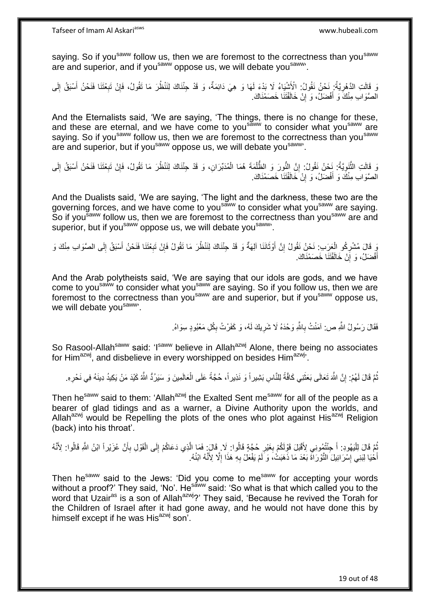saying. So if you<sup>saww</sup> follow us, then we are foremost to the correctness than you<sup>saww</sup> are and superior, and if you<sup>saww</sup> oppose us, we will debate you<sup>saww</sup>.

وَ قَالَتِ الدَّهْرِيَّةُ: نَحْنُ نَقُولُ: الْأَشْيَاءُ لَا بَدْءَ لَهَا وَ هِيَ دَائِمَةٌ، وَ قَدْ جِئْنَاكَ لِنَنْظُرَ مَا تَقُولُ، فَإِنْ تَبِعْتَنَا فَنَحْنُ أَسْبَقُ إِلَى **∶** لَ ِ َ ِ ِ الصَّوَابِ مِنْكَ وَ أَفْضَلُ، وَ إِنْ خَالَفْتَنَا خَصَمْنَاكَ. ِ َ

And the Eternalists said, 'We are saying, 'The things, there is no change for these, and these are eternal, and we have come to you<sup>saww</sup> to consider what you<sup>saww</sup> are saying. So if you<sup>saww</sup> follow us, then we are foremost to the correctness than you<sup>saww</sup> are and superior, but if you<sup>saww</sup> oppose us, we will debate you<sup>saww</sup>.

وَ قَالَتِ الثَّنَوِيَّةُ: نَحْنُ نَقُولُ: إِنَّ النُّورَ وَ الظَّلْمَةَ هُمَا الْمُدَبِّرَانِ، وَ قَدْ جِئْنَاكَ لِنَنْظُرَ مَا نَقُولُ، فَإِنْ تَبِعْتَنَا فَنَحْنُ أَسْبَقُ إِلَى ْ ْ ِ **∶** ه ِ َ ِ ِ الصَّوَابِ مِنْكَ وَ أَفْضَلُ، وَ إِنْ خَالَفْتَنَا خَصَمْنَاكَ. ِ َ

And the Dualists said, 'We are saying, 'The light and the darkness, these two are the governing forces, and we have come to you<sup>saww</sup> to consider what you<sup>saww</sup> are saying. So if you<sup>saww</sup> follow us, then we are foremost to the correctness than you<sup>saww</sup> are and superior, but if you<sup>saww</sup> oppose us, we will debate you<sup>saww</sup>.

وَ قَالَ مُشْرِكُو الْعَرَبِ: نَحْنُ نَقُولُ إِنَّ أَوْثَانَنَا آلِهَةٌ وَ قَدْ جِئْنَاكَ لِنَنْظُرَ مَا تَقُولُ فَإِنْ تَبِعْتَنَا فَنَحْنُ أَسْبَقُ إِلَى الصَّوَابِ مِنْكَ وَ ِ ∣ļ َ َ ِ ْ ِ ِ َ أَفْضَلُ، وَ إِنْ خَالَفْتَنَا خَصَمْنَاكَ. ֧<u>׀</u> َ

And the Arab polytheists said, 'We are saying that our idols are gods, and we have come to you<sup>saww</sup> to consider what you<sup>saww</sup> are saying. So if you follow us, then we are foremost to the correctness than you<sup>saww</sup> are and superior, but if you<sup>saww</sup> oppose us, we will debate you<sup>saww</sup>.

> فَقَالَ رَسُولُ اللَّهِ ص: آمَنْتُ بِاللَّهِ وَحْدَهُ لَا شَرِيكَ لَمُه، وَ كَفَرْتُ بِكُلِ مَعْبُودٍ سِوَاهُ. ِ ِ ِ

So Rasool-Allah<sup>saww</sup> said: 'Isaww believe in Allahazwj Alone, there being no associates for Him<sup>azwj</sup>, and disbelieve in every worshipped on besides Him<sup>azwj</sup>.

نُّمَّ قَالَ لَهُمْ: إِنَّ اللَّهَ تَعَالَى بَعَثَنِي كَافَّةً لِلنَّاسِ بَشِيراً وَ نَذِيراً، حُجَّةً عَلَى الْعَالَمِينَ وَ سَيَرُدُّ اللَّهُ كَيْدَ مَنْ يَكِيدُ دِينَهُ فِي نَحْرِهِ. ٔ, יֲ<br>י ْ ِ

Then he<sup>saww</sup> said to them: 'Allah<sup>azwj</sup> the Exalted Sent me<sup>saww</sup> for all of the people as a bearer of glad tidings and as a warner, a Divine Authority upon the worlds, and Allah<sup>azwj</sup> would be Repelling the plots of the ones who plot against His<sup>azwj</sup> Religion (back) into his throat'.

ُبَّعَ قَالَ لِلْيَهُودِ: أَ جِئْتُهُونِي لِأَقْبَلَ قَوْلَكُمْ بِغَيْرِ حُجَّةٍ قَالُوا: لَا فَالَ: فَمَا الَّذِي دَعَاكُمْ إِلَى الْقَوْلِ بِأَنَّ عُزَيْراً ابْنُ اللَّهِ قَالُوا: لِأَنَّهُ ِ ِ َ ا<br>ا َ ِ ْ ِ ه أَخْيَا لِبَنِي إِسْرَائِيلَ النَّوْرَاةَ بَعْدَ مَا ذَهَبَتْ، وَ لَمْ يَفْعَلْ بِهِ هَذَا إِلَّا لِأَنَّهُ ابْنُهُ. ِ َ ِ **∶** 

Then he<sup>saww</sup> said to the Jews: 'Did you come to me<sup>saww</sup> for accepting your words without a proof?' They said, 'No'. He<sup>saww</sup> said: 'So what is that which called you to the word that Uzair<sup>as</sup> is a son of Allah<sup>azwj</sup>?' They said, 'Because he revived the Torah for the Children of Israel after it had gone away, and he would not have done this by himself except if he was His<sup>azwj</sup> son<sup>7</sup>.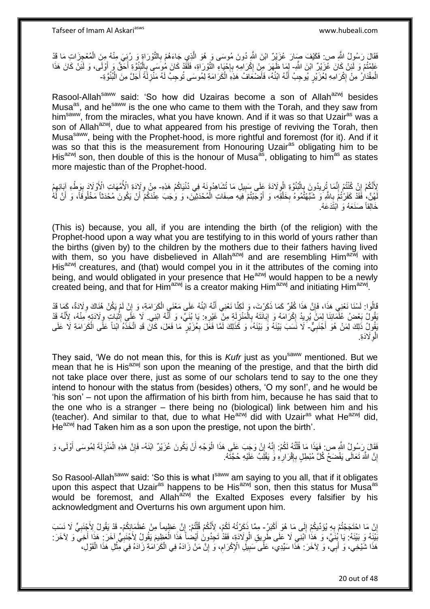فَقَالَ رَسُولُ اللَّهِ ص: فَكَيْفَ صَارَ عُزَيْرٌ ابْنَ اللَّهِ دُونَ مُوسَى وَ هُوَ الَّذِي جَاءَهُمْ بِالتَّوْرَاةِ وَ رُبِيَ مِنْهُ مِنَ الْمُعْجِزَاتِ مَا قَدْ ْ ِ ه عَلِمْتُمْ وَ لَئِنْ كَانَ عُزَيْرٌ ابْنَ اللَّهِ- لِمَا ظَهَرَ مِنْ إِكْرَامِهِ بِإِحْيَاءِ النَّوْرَاةِ، فَلَقَّدْ كَانَ هُوسَى بِالْبُنُوَّةِ أَحَقَّ وَ أَوْلَى، وَ لَئِنْ كَانَ هَذَا ْ ِ יֲ. ِ ِ َ َ ِ الْمِقْدَارُ مِنْ إِكْرَامِهِ لِعُزَيْرٍ يُوجِبُ أَنَّهُ ابْنُهُ، فَأَصْنَعَافُ هَذِهِ الْكَرَامَةِ لِمُوسَى تُوجِبُ لَهُ مَنْزِلَةً أَجَلَّ مِنَ الْبُنُوَّةِ۔ ْ َ َ ِ ْ َ

Rasool-Allah<sup>saww</sup> said: 'So how did Uzairas become a son of Allah<sup>azwj</sup> besides Musa<sup>as</sup>, and he<sup>saww</sup> is the one who came to them with the Torah, and they saw from him<sup>saww</sup>, from the miracles, what you have known. And if it was so that Uzair<sup>as</sup> was a son of Allah<sup>azwj</sup>, due to what appeared from his prestige of reviving the Torah, then Musa<sup>saww</sup>, being with the Prophet-hood, is more rightful and foremost (for it). And if it was so that this is the measurement from Honouring Uzair<sup>as</sup> obligating him to be His<sup>azwj</sup> son, then double of this is the honour of Musa<sup>as</sup>, obligating to him<sup>as</sup> as states more majestic than of the Prophet-hood.

لِأَنَّكُمْ إِنْ كُنْتُمْ إِنَّمَا تُرِيدُونَ بِالْبُنُوَّةِ الْوِلَادَةَ عَلَى سَبِيلِ مَا تُشَاهِدُونَهُ فِي دُنْيَاكُمْ هَذِهِ- مِنْ وِلَإِدَةِ الْأُمَّهَاتِ الْأَوْلَادَ بِوَطْءِ آبَائِهِمْ ِ ِ :<br>ا **∶** ِ ֺ֧֖ׅ֧ׅ֧֧֚֚֚֚֚֚֚֚֚֚֚֚֚֚֝֝֬֓֡֡֓֡֟֡֡֡֡֡֡֬֓֡֟֓֡֟֓֡֟֓֡֡֡֬֩֓֓֩ ِ َ ِ ِ ِ لَهُنَّ، فَقَدْ كَفَرْتُمْ بِاللَّهِ وَ شَبَّهْتُمُوهُ بِخَلْقِهِ، وَ أَوْجَبْتُمْ فِيهِ صِفَاتِ الْمُحْدَثِيْنَ، وَ وَجَبَ عِنْدَكُمْ أَنْ يَكُونَ مُحْدَثاً مَخْلُوقَاً، وَ أَنَّ لَهُ ْ َ ْ **∶** l<br>∶ َ َ خَالِقاً صَنَعَهُ وَ اَبْتَٰدَعَهُ.

(This is) because, you all, if you are intending the birth (of the religion) with the Prophet-hood upon a way what you are testifying to in this world of yours rather than the births (given by) to the children by the mothers due to their fathers having lived with them, so you have disbelieved in Allah<sup>azwj</sup> and are resembling Him<sup>azwj</sup> with His<sup>azwj</sup> creatures, and (that) would compel you in it the attributes of the coming into being, and would obligated in your presence that He<sup>azwj</sup> would happen to be a newly created being, and that for  $\lim_{n \to \infty}$  is a creator making  $\lim_{n \to \infty}$  and initiating  $\lim_{n \to \infty}$ .

قَالُوا: لَسْنَا نَعْنِي هَذَا، فَإِنَّ هَذَا كُفْرٌ كَمَا ذَكَرْتَ، وَ لَكِنَّا نَعْنِي أَنَّهُ ابْنُهُ عَلَى مَعْنَيِ الْكَرَامَةِ، وَ إِنْ لَمْ يَكُنْ هُنَاكَ وِلَادَةٌ، كَمِا قَدْ َ ِ ِ ِ ْ يَقُولُ بَعْضُ عُلَّمَائِنَا لِمَنْ يُرِيدُ إِكْرَامَهُ وَ إِبَانَتَهُ بِالْمَنْزِلَةِ مِنْ ۖ غَيْرِهِ: يَا بُنَيَّ، وَ أَنَّهُ الْنِي لَا عَلْي إِثْبَاتِ وِلَادَتِهِ مِنْهُ، لِأَنَّهُ قَدْ ِ َ ِ لَ ِ ْ ِ ∣l<br>∶ ┆ **∶** ِ **ٔ** يَقُولُ ذَلِكَ لِمَنْ هُوَ أَجْنَبِيٌّ- لَا نَسَبَ بَيْنَهُ وَ بَيْنَهُ، وَ كَذَلِكَ لَمَّا فَعَلَ بِعُزَيْرٍ مَا فَعَلَ، كَانَ قَدِ اتَّخَذَهُ ابْناً عَلَى الْكَرَامَةِ لَا عَلَى ِ ْ ِ الْوِلَادَةِ. ِ

They said, 'We do not mean this, for this is *Kufr* just as you<sup>saww</sup> mentioned. But we mean that he is His $^{a}$ zwj son upon the meaning of the prestige, and that the birth did not take place over there, just as some of our scholars tend to say to the one they intend to honour with the status from (besides) others, 'O my son!', and he would be 'his son' – not upon the affirmation of his birth from him, because he has said that to the one who is a stranger – there being no (biological) link between him and his (teacher). And similar to that, due to what  $He^{azwj}$  did with Uzair<sup>as</sup> what  $He^{azwj}$  did, He<sup>azwj</sup> had Taken him as a son upon the prestige, not upon the birth'.

فَقَالَ رَسُولُ اللَّهِ ص فَهَذَا مَا قُلْتُهُ لَكُمْ: إِنَّهُ إِنْ وَجَبَ عَلَى هَذَا الْوَجْهِ أَنْ يَكُونَ عُزَيْرٌ ابْنَهُ- فَإِنَّ هَذِهِ الْمَنْزِلَةَ لِمُوسَى أَوْلَى، وَ ْ ِ ِ ֺ֦֦֪֦֧֦֦֖֦֦֪֦֧֦֪֦֧֦֪֪֦֧֦֪֦֪֪֦֧֦֪֦֧֦֧֦֪֦֧֦֧֦֪֪֦֧֪֦֧֪֦֧֦֧֦֧֝֟֟֟֟֟֟֟֟֟֟֟֟֟֟֟֟֟֟֟֟֟֟֓֕֬֟֓֡֟֓֟֓֞֟֟֓֞֟֟֟֟֟֟֟֩֓֞֟֟֟֟֟֟ َ ِ ْ ِ إِنَّ اللَّهَ تَعَالَى يَفْضَحُ كُلَّ مُبْطِلٍ بِإِقْرَارِهِ وَ يَقْلِبُ عَلَيْهِ حُجَّتَهُ. **∶** ِ ِ ا لَ

So Rasool-Allah<sup>saww</sup> said: 'So this is what I<sup>saww</sup> am saying to you all, that if it obligates upon this aspect that Uzair<sup>as</sup> happens to be His<sup>azwj</sup> son, then this status for Musa<sup>as</sup> would be foremost, and Allah $a^2w$  the Exalted Exposes every falsifier by his acknowledgment and Overturns his own argument upon him.

إِنْ مَا احْتَجَجْتُمْ بِهِ يُؤَدِّيكُمْ إِلَى مَا هُوَ أَكْبَرُ- مِمَّا ذَكَرْتُهُ لَكُمْ، لِأَنَّكُمْ قُلْتُمْ: إِنَّ عَظِماً مِنْ عُظَمَائِكُمْ- قَدْ يَقُولُ لِأَجْنَبِيٍّ لَا نَسَبَ  $\frac{1}{2}$ **∶** ا<br>: ْ ِ **∶** بَٰنَيۡهِ ۚ وَ بَيْنَهُ: يَا بُنَيَّ، وَ هَذَا ٱبْنَى لَا عَلَى طَّرِيقِ الْوِلَاَدَةِ، فَقَدْ تَحِدُونَ أَيْصٰأً هَذَا الْعَظِيمَ يَقُولُ لِأَجْنَبِيٍّ آخَرَ مَذَا أَخِيثَ وَ لِأَخَرَ : ْ َ ¦ ِ َ ِ هَذَا شَيْخِي، وَ أَبِيّ، وَ لِأَخَرَ : هَذَا سَيِّدِي، عَلَى سَبِيلِ الْإِكْرَامِ، وَ إِنَّ مَنْ زَادَهُ فِي الْكَرَامَةِ زَادَهُ فِيَ مِثْلِ هَذَا الْقَوْلِ، َ ِ **!** ْ ْ ْ ِ

20 out of 48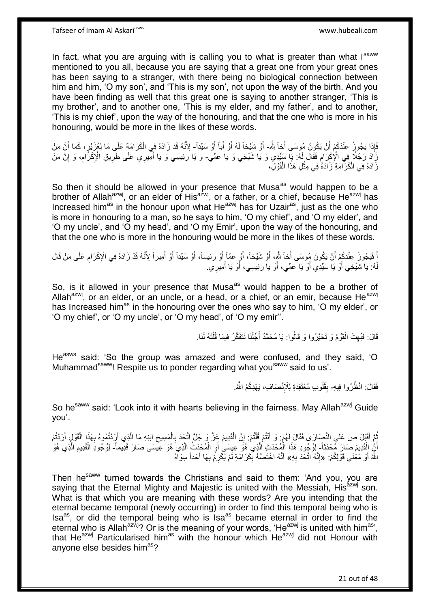In fact, what you are arguing with is calling you to what is greater than what Isaww mentioned to you all, because you are saying that a great one from your great ones has been saying to a stranger, with there being no biological connection between him and him, 'O my son', and 'This is my son', not upon the way of the birth. And you have been finding as well that this great one is saying to another stranger, 'This is my brother', and to another one, 'This is my elder, and my father', and to another, 'This is my chief', upon the way of the honouring, and that the one who is more in his honouring, would be more in the likes of these words.

ِ فَإِذَا يَجُوزُ عِنْدَكُمْ أَنْ يَكُونُ مُوسَى أَخاً شَّد أَوْ شَيْخاً لَهُ أَوْ أَباً أَوْ سَيِّداً- لِأَنَّهُ قَدْ زَادَهُ فِي الْكَرَامَةِ عَلَى مَا لِعُزَيْرٍ، كَمَا أَنَّ مَنْ َ َ َ َ لَ َ ْ َرَادَ رَجُلًا فِي الْإِكْرَامِ فَقَالَ لَهُ: يَا سَيِّدِي وَ يَا شَيْخِي وَ يَا عَمِّي- وَ يَا رَئِيسِي وَ يَا أَمِيرِي عَلَى طَرِيقِ الْإِكْرَامِ، وَ إِنَّ مَنْ<br>زَيَا رَجُلًا فِي الْإِكْرَامِ فَقَالَ لَهُ: يَّنِي نَّتَه ِ ِ ِ َ َزَادَهُ فِي الْكَرَامَةِ زَادَهُ فِي مِثْلِ هَذَا الْقَوْلِ، ْ **ٔ** ْ

So then it should be allowed in your presence that Musa<sup>as</sup> would happen to be a brother of Allah<sup>azwj</sup>, or an elder of His<sup>azwj</sup>, or a father, or a chief, because He<sup>azwj</sup> has Increased him<sup>as</sup> in the honour upon what He<sup>azwj</sup> has for Uzair<sup>as</sup>, just as the one who is more in honouring to a man, so he says to him, 'O my chief', and 'O my elder', and 'O my uncle', and 'O my head', and 'O my Emir', upon the way of the honouring, and that the one who is more in the honouring would be more in the likes of these words.

اْ فَيَجُونُ عِنْدَكُمْ أَنْ يَكُونَ مُوسَى أَخاً شِّهٍ، أَوْ شَيْخاً، أَوْ عَمّاً أَوْ رَئِيساً، أَوْ سَيِّداً أَوْ أَمِيراً لِأَنَّهُ قَدْ زَادَهُ فِي الْإِكْرَامِ عَلَى مَنْ قَالَ َ َ َ َ اُ ِ َ َ هُ: يَا شَيْخِي أَوْ يَا سَيِّدِي أَوْ يَا عَمِّي، أَوْ يَا رَئِيسِي، أَوْ يَا أَمِيرِي. َ َ َ اُ َ لَ

So, is it allowed in your presence that Musa<sup>as</sup> would happen to be a brother of Allah<sup>azwj</sup>, or an elder, or an uncle, or a head, or a chief, or an emir, because He<sup>azwj</sup> has Increased him<sup>as</sup> in the honouring over the ones who say to him, 'O my elder', or 'O my chief', or 'O my uncle', or 'O my head', of 'O my emir''.

> قَالَ: فَبُهِتَ الْقَوْمُ وَ تَحَيَّرُوا وَ قَالُوا: يَا مُحَمَّدُ أَجِّلْنَا نَتَفَكَّرُ فِيمَا قُلْتَهُ لَنَا ْ ِ ֺ֖֖֪֦֧֦֦֖֦֧֦֦֖֧֦֪֦֧֦֪֦֧֦֪֦֧֦֧֦֧֦֪֪֪֦֧֦֧֦֧֦֧֦֧֦֪֪֧֪֧֧֧֪֧֝֟֟֟֟֟֟֟֟֟֟֟֟֟֟֟֟֟֟֟֟֟֟֟֟֟֟֟֟֟֟֟֟֓֞֟֟֟֟֟֩֓֞֟֟֩֓֞֟֟֟֝֞֞֟֟֝<br>֧֧֦֧֖֜֜֘֝֬֞֞֞֟׆**֬** ْ َ

He<sup>asws</sup> said: 'So the group was amazed and were confused, and they said, 'O Muhammad<sup>saww</sup>! Respite us to ponder regarding what you<sup>saww</sup> said to us'.

> فَقَالَ: انْظُرُوا فِيهِ- بِقُلُوبٍ مُعْتَقِدَةٍ لِلْإِنْصَافِ، يَهْدِكُمُ اللَّهُ. **∣**

So he<sup>saww</sup> said: 'Look into it with hearts believing in the fairness. May Allah<sup>azwj</sup> Guide you'.

نُّمَّ أَقْبَلَ ص عَلَى النَّصِارَى فَقَالَ لَهُمْ: وَ أَنْتُمْ قُلْتُمْ: إِنَّ الْقَدِيمَ عَِزَّ وَ جَلَّ اتَّخَذَ بِالْمَسِيحِ ابْنِهِ مَا الَّذِي أَرَدْتُمُوهُ بِهَذَا الْقَوْلِ أَرَدْتُمْ ْ ِ ْ َ َ ِ ْ ِ َ ْ ِ َ ه أَنُّ اِلْقَدِيمَ صَارَ مُحْدَثاً- لِوُجُودِ هَذَا الْمُحْدَثِ الَّذِي هُوَ عِيِسَى أَوِ الْمُحْدَثُ الَّذِي هُوَ ْ اً ه ْ **∶** اُ ه ْ ه ِ اللَّهُ أَوْ مَعْنَى قَوْلِكُمْ: «إِنَّهُ اتَّحَدَ بِهِ» أَنَّهُ اخْتَصَنَّهُ بِكَرَامَةٍ لَمْ يُكْرِمْ بِهَا أَحَداً سِوَاهُ َ **∶** ֺ֧֧֧֧֧֧֦֧֚֚֚֚֚֚֚֚֚֚֚֝֝֬֓֡֡֓֬֓֓֡֟֓֡֡֡֡֬֓֓֡֟֓֡֟֓֡֟֓֡֡֡֬֓֓֡֬֩֓֓֬֓֬֩ َ **∶ ∶** ِ َ

Then he<sup>saww</sup> turned towards the Christians and said to them: 'And you, you are saying that the Eternal Mighty and Majestic is united with the Messiah,  $His^{azwj}$  son. What is that which you are meaning with these words? Are you intending that the eternal became temporal (newly occurring) in order to find this temporal being who is Isa<sup>as</sup>, or did the temporal being who is Isa<sup>as</sup> became eternal in order to find the eternal who is Allah<sup>azwj</sup>? Or is the meaning of your words, 'He<sup>azwj</sup> is united with him<sup>as'</sup>, that He<sup>azwj</sup> Particularised him<sup>as</sup> with the honour which He<sup>azwj</sup> did not Honour with anyone else besides him<sup>as</sup>?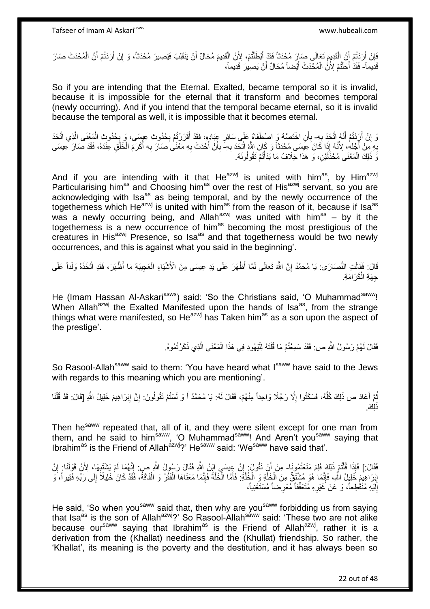فَإِنْ أَرَدْتُمْ أَنَّ الْقَدِيِمَ تَعَالَى صَارَ مُحْدَثاً فَقَدْ أَبْطَلْتُمْ، لِأَنَّ الْقَدِيمَ مُحَالٌ أَنْ يَنْقَلِبَ فَيَصِيرَ مُحْدَثاً، وَ إِنْ أَرَدْتُمْ أَنَّ الْمُحْدَثَ صَارَ َ ْ ֦֧֦֧֧֦֧֦֧֦֧֦֧֦֧֦֧֧֦֧֦֪֧֪֦֪֦֧֧֧֧֧֧֧֟֟֟֓֕֟֓֕֝֓֟֓֡֟֓֡֟֓֡֟֓֡֟֓֡֟֟֓֡֟֓֡֟֟֩֓֞֟֓֞֟֓֡֟֓֞֟֓֟֓֝֬֝֓֟֝֓֟֝֬֝֬֝֬֝֬֝֬֝֬֝֬<br>֧֪֪֧֪֧֪֪֪֪֦֧֪֧֪֪֪֪֪֦֧֝֝֝֬֝֝֬֝ َ ْ اً ِ ْ َ َ ِ قَذِيماً- فَقَدْ أَخَلْتُمْ لِأَنَّ الْمُحْدَثَ أَيْضاً مُحَالٌ أَنْ يَصِيرَ قَدِيماً، ْ َ َ ْ ة<br>ا

So if you are intending that the Eternal, Exalted, became temporal so it is invalid, because it is impossible for the eternal that it transform and becomes temporal (newly occurring). And if you intend that the temporal became eternal, so it is invalid because the temporal as well, it is impossible that it becomes eternal.

وَ إِنْ أَرَدْتُمْ أَنَّهُ اتَّحَدَ بِهِ- بِأَنِ اخْتَصَهُ وَ اصْطَفَاهُ عَلَى سَائِرِ عِبَادِهِ، فَقَدْ أَقْرَرْتُمْ بِحُدُوثِ عِيِسَى، وَ بِحُدُوثِ الْمَعْنَى الَّذِي اتَّحَدَ ِ َ اً اٍ ز<br>ا **∶** ه ْ **∶ ∶** َ **∶** بِهِ مِّنْ أَجْلِهِ، لِأَنَّهُ إِذَا كَانَ عِيِّسَى مُحْدَثًاً وَ كَانَ اللَّهُ اتَّحَدَ بِهِ- بِأَنْ أَحْدَثَ بِهِ مَعْنًى صَارَ بِهِ أَكْرَمَ الْخَلْقِ عِنْدَهُ، فَقَدْ صَارَ عِيسَى ِ َ **∶** ْ ْ َ **∶ ∶** َ َ **∶** :<br>أ نَّ ذَلِكَ الْمَعْنَى مُحْذَثَيْنِ، وَ هَذَا خِلَافُ مَا بَذَأَتُمْ تَقُولُونَهُ. َ ْ

And if you are intending with it that He $^{azwj}$  is united with him<sup>as</sup>, by Him<sup>azwj</sup> Particularising him<sup>as</sup> and Choosing him<sup>as</sup> over the rest of His<sup>azwj</sup> servant, so you are acknowledging with  $Isa^{as}$  as being temporal, and by the newly occurrence of the togetherness which He<sup>azwj</sup> is united with him<sup>as</sup> from the reason of it, because if  $Isa<sup>as</sup>$ was a newly occurring being, and Allah<sup>azwj</sup> was united with him<sup>as</sup> – by it the togetherness is a new occurrence of him<sup>as</sup> becoming the most prestigious of the creatures in His<sup>azwj</sup> Presence, so Isa<sup>as</sup> and that togetherness would be two newly occurrences, and this is against what you said in the beginning'.

قَالَ: فَقَالَتِ النَّصَارَى: يَا مُحَمَّدُ إِنَّ اللَّهَ تَعَالَى لَمَّا أَظْهَرَ عَلَى يَدِ عِيسَى مِنَ الْأَشْيَاءِ الْعَجِيبَةِ مَا أَظْهَرَ، فَقَدِ اتَّخَذَهُ وَلَداً عَلَى اٍ ْ لَ جِهَةِ الْكَرَامَةِ. ْ

He (Imam Hassan Al-Askari<sup>asws</sup>) said: 'So the Christians said, 'O Muhammad<sup>saww</sup>! When Allah<sup>azwj</sup> the Exalted Manifested upon the hands of Isa<sup>as</sup>, from the strange things what were manifested, so He<sup>azwj</sup> has Taken him<sup>as</sup> as a son upon the aspect of the prestige'.

> فَقَالَ لَهُمْ رَسُولُ اللَّهِ ص: فَقَدْ سَمِعْتُمْ مَا قُلْتَهُ لِلْيَهُودِ فِي هَذَا الْمَعْنَى الَّذِي ذَكَرْتُمُوهُ. ْ ْ ْ ه

So Rasool-Allah<sup>saww</sup> said to them: 'You have heard what Isaww have said to the Jews with regards to this meaning which you are mentioning'.

نْعَ أَعَادَ ص ذَلِكَ كُلَّهُ، فَسَكَتُوا إِلَّا رَجُلًا وَاحِداً مِنْهُمْ، فَقَالَ لَهُ: يَا مُحَمَّدُ أَ وَ لَسْتُمْ تَقُولُونَ: إِنَّ إِبْرَاهِيمَ خَلِيلُ اللَّهِ [قَالَ: قَدْ قُلْنَا ِ ه َ ُ ْ ِ ِ َ .<br>إِ<u>ائَ</u>

Then he<sup>saww</sup> repeated that, all of it, and they were silent except for one man from them, and he said to him<sup>saww</sup>, 'O Muhammad<sup>saww</sup>! And Aren't you<sup>saww</sup> saying that Ibrahim<sup>as</sup> is the Friend of Allah<sup>azwj</sup>?' He<sup>saww</sup> said: 'We<sup>saww</sup> have said that'.

لَفَقَالَ:] فَإِذَا قُلْتُمْ ذَلِكَ فَلِم مَنْعُتُمُونَا- مِنْ أَنْ نَقُولَ: إِنَّ عِيسَى إِبْنُ اللَّهِ فَقَالَ رَسُولُ اللَّهِ صِ: إِنَّهُمَا لَمْ يَشْتَبِهَا، لِأَنَّ قَوْلَنَا: إِنَّ ֺ֦֖֦֧֦֦֧֦֧֦֪֦֧֦֧֦֧֦֪ׅ֧֦֧֦֧֦֧֦֧֝֟֟֓֕֟֓֕֝֓֟֓֡֟֓֡֟֓֡֟֓֡֟֓֡֟֓֟֓֡֟֓֓֞֟֓֞֓֞֟֓֡֟֩֓֓֟֓֞֟֟֓֟֓֟֓֟֓֝<br>֧֧֧֪֧֪֝֩֘֝֬֞֟׆<br>֧֪֘ ِ ِ ِ ِ إِبْرَاهِيمَ خَلِيلُ اللَّهِ، فَإِنَّمَا هُوَ مُشْتَقٌّ مِنَ الْخَلَّةِ وَ الْخُلَّةِ: فَأَمَّا الْخَلَّةُ فَإِنَّمَا مَعْنَاهَا الْفَقْرُ وَ الْفَاقَةُ، فَقَدْ كَانَ خَلِيلًا إِلَى رَبِّهِ فَقِيراً، وَ ׀ו<br>ِ∘ ه ْ َ ه ه ْ ِ ِ ِ ْ ْ إِلَيْهِ مُنْقُطِعاً، وَ عَنْ َغَيْرِهِ مُتَعَفِّفاً مُعْرِضاً مُسْتَغْنِياً، لَ ِ **∶** 

He said, 'So when you<sup>saww</sup> said that, then why are you<sup>saww</sup> forbidding us from saying that Isa<sup>as</sup> is the son of Allah<sup>azwj</sup>?' So Rasool-Allah<sup>saww</sup> said: 'These two are not alike because our<sup>saww</sup> saying that Ibrahim<sup>as</sup> is the Friend of Allah<sup>azwj</sup>, rather it is a derivation from the (Khallat) neediness and the (Khullat) friendship. So rather, the 'Khallat', its meaning is the poverty and the destitution, and it has always been so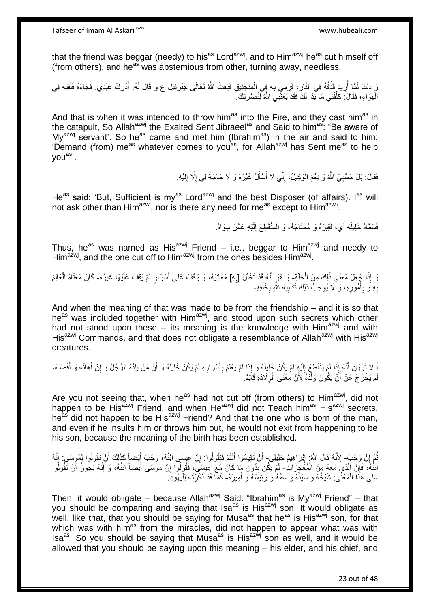that the friend was beggar (needy) to his<sup>as</sup> Lord<sup>azwj</sup>, and to Him<sup>azwj</sup> he<sup>as</sup> cut himself off (from others), and he<sup>as</sup> was abstemious from other, turning away, needless.

وَ ذَلِكَ لَمَّا أُرِيدَ قَذْفُهُ فِي النَّارِ ، فَرُمِيَ بِهِ فِي الْمَنْجَنِيقِ فَبَعَثَ اللَّهُ تَعَالَى جَبْرَئِيلَ ع وَ قَالَ لَهُ: أَدْرِكْ عَبْدِي. فَجَاءَهُ فَلَقِيَهُ فِي ْ ِ **∶** ْ ِ ا<br>ا **∶** الْهَوَاءِ، فَقَالَ: كَلِّفْنِي مَا بَدَا لَكَ فَقَدْ بَعَثَّنِيَ اللَّهُ لِّنُصْرَتِكَ َ  $\ddot{\phantom{a}}$ ِّ ْ

And that is when it was intended to throw him<sup>as</sup> into the Fire, and they cast him<sup>as</sup> in the catapult, So Allah<sup>azwj</sup> the Exalted Sent Jibraeel<sup>as</sup> and Said to him<sup>as</sup>: "Be aware of My<sup>azwj</sup> servant'. So he<sup>as</sup> came and met him (Ibrahim<sup>as</sup>) in the air and said to him: 'Demand (from) me<sup>as</sup> whatever comes to you<sup>as</sup>, for Allah<sup>azwj</sup> has Sent me<sup>as</sup> to help youas'.

> فَقَالَ: بَلْ حَسْبِيَ اللَّهُ وَ نِعْمَ الْوَكِيلُ، إِنِّي لَا أَسْأَلُ غَيْرَهُ وَ لَا حَاجَةَ لِي إِلَّا إِلَيْهِ **∶** لَ ِ ِ َ َ ِ ْ

He<sup>as</sup> said: 'But, Sufficient is my<sup>as</sup> Lord<sup>azwj</sup> and the best Disposer (of affairs). I<sup>as</sup> will not ask other than Him<sup>azwj</sup>, nor is there any need for me<sup>as</sup> except to Him<sup>azwj</sup>'.

> فَسَمَّاهُ خَلِيلَهُ أَيْ، فَقِيرَهُ وَ مُحْتَاجَهُ، وَ الْمُنْقَطِعَ إِلَيْهِ عَمَّنْ سِوَاهُ. لَ ِ ْ َ

Thus, he<sup>as</sup> was named as His<sup>azwj</sup> Friend – i.e., beggar to Him<sup>azwj</sup> and needy to Him<sup>azwj</sup>, and the one cut off to Him<sup>azwj</sup> from the ones besides Him<sup>azwj</sup>.

وَ إِذَا جُعِلَ مَعْنَى ذَلِكَ مِنَ الْخُلَّةِ وَ هُوَ أَنَّهُ قَدْ تَخَلَّلَ [بِهِ] مَعَانِيَهُ، وَ وَقَفَ عَلَى أَسْرَارٍ لَمْ يَقِفْ عَلَيْهَا غَيْرُهُ- كَانَ مَعْنَاهُ الْعَالِمَ ه **∶** ه َ ْ بِهِ وَ بِأُمُورِهِ، وَ لَا يُوحِبُ ذَلِكَ تَشْبِيهَ اللَّهِ بِخَلْقِهِ، ِ ِ ا<br>المعا **∶ ∶** ْ ِ

And when the meaning of that was made to be from the friendship – and it is so that he<sup>as</sup> was included together with Him<sup>azwj</sup>, and stood upon such secrets which other had not stood upon these – its meaning is the knowledge with Him<sup>azwj</sup> and with His<sup>azwj</sup> Commands, and that does not obligate a resemblance of Allah<sup>azwj</sup> with His<sup>azwj</sup> creatures.

ْم َي ُك ْن ِه لَ ِ ْس َرار َ أ ِ ْم ب ْم َي ْعلَ ا لَ ِذَ ُه َو إ ْم َي ُك ْن َخلِيلَ ْي ِه لَ لَ ِ ْم َينْ َق ِط ْع إ ا لَ ِذَ ُه إ نه َ ََّل َت َرْو َن أ أ هن َم ْن َيلُِدهُ ال هر ُج َ َ ُه َو أ َص َخلِيل اه،ُ َ قْ َ َهاَن ُه َو أ َ ْن أ ِ ُل َو إ ََّلَدِة َقاِئٌم. ِ ْو هن َمْعَنى ال ِْلَ َدهُ ْن َي ُكو َن َولَ َ ْم َي ْخ ُر ْج َع ْن أ لَ

Are you not seeing that, when he<sup>as</sup> had not cut off (from others) to Him<sup>azwj</sup>, did not happen to be His<sup>azwj</sup> Friend, and when He<sup>azwj</sup> did not Teach him<sup>as</sup> His<sup>azwj</sup> secrets, he<sup>as</sup> did not happen to be His<sup>azwj</sup> Friend? And that the one who is born of the man, and even if he insults him or throws him out, he would not exit from happening to be his son, because the meaning of the birth has been established.

نُّمَّ إِنْ وَجَبَ- لِأَنَّهُ قَالَ اللَّهُ: إِبْرَاهِيمُ خَلِيلِي ۖ أَنْ تَقِيسُوا أَنْتُمْ فَتَقُولُوا بِهِ أَشْهَاءَ بِمَنْهِي ابْنُهُ، وَجَبَ أَيْضاً كَذَلِكَ أَنْ تَقُولُوا لِمُوِسَى : إِنَّهُ ِ ِ َ  $\frac{1}{2}$ َ َ ِ َ َ ابْنُهُ، فَإِنَّ الَّذِي مَعَهُ مِنَ الْمُغَجِزَاتِ- لَمْ يَكُنْ بِدُونِ مَا كَانُ مَعَ عِيسَى، فَقُولُوا إِنَّ مُوسَى أَيْضناً ابْنُهُ، وَ إِنَّهُ يَجُوزُ أَنْ تَقُولُوا ْ ه ِ **ِ** ُ َ ِ َ ِ عَلَى هَذَا الْمَعْنَٰى: شَيْخُهُ وَ سَيِّدُهُ وَ عَمُّهُ وَ رَئِيسُهُ وَ أَمِيرُهُ- كَمَّا قَدْ ذَكَرْتُهُ لِلْيَهُودِ َ َ ْ ْ

Then, it would obligate – because Allah<sup>azwj</sup> Said: "Ibrahim<sup>as</sup> is My<sup>azwj</sup> Friend" – that you should be comparing and saying that Isa<sup>as</sup> is His<sup>azwj</sup> son. It would obligate as well, like that, that you should be saying for Musa<sup>as</sup> that he<sup>as</sup> is His<sup>azwj</sup> son, for that which was with him<sup>as</sup> from the miracles, did not happen to appear what was with Isa<sup>as</sup>. So you should be saying that Musa<sup>as</sup> is His<sup>azwj</sup> son as well, and it would be allowed that you should be saying upon this meaning – his elder, and his chief, and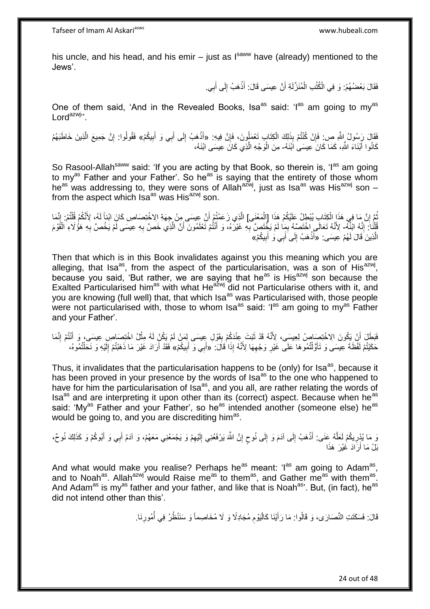his uncle, and his head, and his emir  $-$  just as  $I<sup>saww</sup>$  have (already) mentioned to the Jews'.

> فَقَالَ بَعْضُهُمْ: وَ فِي الْكُتُبِ الْمُنَزَّلَةِ أَنَّ عِيسَى قَالَ: أَذْهَبُ إِلَى أَبِي. َ ِ **ٔ** َ ْ

One of them said, 'And in the Revealed Books, Isa<sup>as</sup> said: 'I<sup>as</sup> am going to my<sup>as</sup> Lord<sup>azwj</sup>".

فَقَالَ رَسُولُ إِللَّهِ ص: فَإِنْ كُنْتُمْ بِذَلِكَ الْكِتَابِ تَعْمَلُونَ، فَإِنَّ فِيهِ: «أَذْهَبُ إِلَى أَبِي وَ أَبِيكُمْ» فَقُولُوا: إِنَّ جَمِيعَ الَّذِينَ خَاطَبَهُمْ ِ ْ ِ ِ َ َ ِ **ٔ** ه ِ كَانُوا أَبْنَاءَ اللَّهِ، كَمَا كَانَ عِيسَىٰ اَبْنَهُ- مِنَ الْوَجْهِ الَّذِي كَانَ عِيسَى ابْنَهُ، َ ه

So Rasool-Allah<sup>saww</sup> said: 'If you are acting by that Book, so therein is, 'I<sup>as</sup> am going to my<sup>as</sup> Father and your Father'. So he<sup>as</sup> is saying that the entirety of those whom he<sup>as</sup> was addressing to, they were sons of Allah<sup>azwj</sup>, just as Isa<sup>as</sup> was His<sup>azwj</sup> son – from the aspect which Isa<sup>as</sup> was His<sup>azwj</sup> son.

نْمَ إِنَّ مَا فِي هَذَا الْكِتَابِ يُبْطِلُ عَلَيْكُمْ هَذَا [الْمَعْنَى] الَّذِي زَعَمْتُمْ أَنَّ عِيسَى مِنْ جِهَةِ اِلاخْتِصَاصِ كَانَ ابْناً لَهُ، لِأَنَّكُمْ قُلْتُمْ: إِنَّمَا ْ ْ יֲ<br>י ُ ِ ْ لَ َ ه قُلْنَاً: إِنَّهُ الْنُهُ- لِأَنَّهُ تَعَالَى اخْتَصَبُهُ بِمِا لَمْ يَخْتَصَّ بِهِ غَيْرَهُ، وَ أَنْتُمْ تَعْلَمُونَ أَنَّ الَّذِي خَصَّ بِهِ عِيسَى لَمْ يَخْصَّ بِهِ هَؤُلَاءِ الْقَوْمَ ֺ֖֖֖֧֧֧֦֦֦֦֦֧֧֧֧֦֧֧֧֧֧֧֝֟֓֓֓֝֓֓֓֓֓֓֓֡֓֓֓֡֟֓֡֓֓֡֟֓֓֓֓֓֟֓֓֓֝֓֓֓֓֡֟֓֡֟֓֡֟֓֡֓֓֝֓֝֬֝֓֝֓֝֓֝֬֝֬֝֬<br>֧֪֪֪֪֪֪֪֪֪֪֪֪֪֪֪֪֦֖֧֝֝ ِ ِ ه َ َ **∶** ِ َ ْ **∶** الَّذِينَ قَالَ لَهُمْ عِيسَى: «أَذْهَبُ إِلَى َأَبِي وَ أَبِيكُمْ» َ ِ َ َ ِ **ٔ** َ

Then that which is in this Book invalidates against you this meaning which you are alleging, that Isa<sup>as</sup>, from the aspect of the particularisation, was a son of His<sup>azwj</sup>, because you said, 'But rather, we are saying that he<sup>as</sup> is His<sup>azwj</sup> son because the Exalted Particularised him<sup>as</sup> with what He<sup>azwj</sup> did not Particularise others with it, and you are knowing (full well) that, that which Isa<sup>as</sup> was Particularised with, those people were not particularised with, those to whom Isa<sup>as</sup> said: 'I<sup>as</sup> am going to my<sup>as</sup> Father and your Father'.

فَبَطَلَ أَنْ يَكُونَ الِاخْتِصَاصُ لِعِيسَى، لِأَنَّهُ قَدْ ثَبَتَ عِنْدَكُمْ بِقَوْلِ عِيسَى لِمَنْ لَمْ يَكُنْ لَهُ مِثْلُ اخْتِصَاصِ عِيسَى، وَ أَنْتُمْ إِنَّمَا ِ َ ْ **∣ ٔ** َ حَكَيْتُمْ لَفْظَةَ عِيسَى وَ تَأَوَّلْتُمُوهَا عَلَى غَيْرِ وَجْهِهَا لِأَنَّهُ إِذَا قَالَ: ۚ «أَبِي وَ أَبِيكُمْ» فَقَدْ أَرَادَ غَيْرَ مَا ذَهَبْتُمْ إِلَيْهِ وَ نَحَلْتُمُوهُ، ِ ِ ْ َ ِ َ َ ْ لَ ِ َ

Thus, it invalidates that the particularisation happens to be (only) for Isa<sup>as</sup>, because it has been proved in your presence by the words of  $\text{Isa}^{\text{as}}$  to the one who happened to have for him the particularisation of  $\int$  isa<sup>as</sup>, and you all, are rather relating the words of Isa<sup>as</sup> and are interpreting it upon other than its (correct) aspect. Because when he<sup>as</sup> said: 'My<sup>as</sup> Father and your Father', so he<sup>as</sup> intended another (someone else) he<sup>as</sup> would be going to, and you are discrediting him<sup>as</sup>.

َ مَا يُدْرِيكُمْ لَعَلَّهُ عَنَى: أَذْهَبُ إِلَى آدَمَ وَ إِلَى نُوحٍ إِنَّ اللَّهَ يَرْفَعُنِي إِلَيْهِمْ وَ يَجْمَعُنِي مَعَهُمْ، وَ آدَمُ أَبِي وَ أَبُوكُمْ وَ كَذَلِكَ نُوحٌ، ِ لَ ِ ِ ٍ ِ ِ **ٔ** َ ه ِ َ َ بَلْ مَا أَرَادَ غَيْرَ هَذَا َ

And what would make you realise? Perhaps he<sup>as</sup> meant: 'l<sup>as</sup> am going to Adam<sup>as</sup>, and to Noah<sup>as</sup>. Allah<sup>azwj</sup> would Raise me<sup>as</sup> to them<sup>as</sup>, and Gather me<sup>as</sup> with them<sup>as</sup>. And Adam<sup>as</sup> is my<sup>as</sup> father and your father, and like that is Noah<sup>as</sup>'. But, (in fact), he<sup>as</sup> did not intend other than this'.

> قَالَ: فَسَكَتَتِ النَّصَارَى، وَ قَالُوا: مَا رَأَيْنَا كَالْيَوْم مُجَادِلًا وَ لَا مُخَاصِماً وَ سَنَنْظُرُ فِي أُمُورِنَا. **∶** ُ ِ :<br>ا َ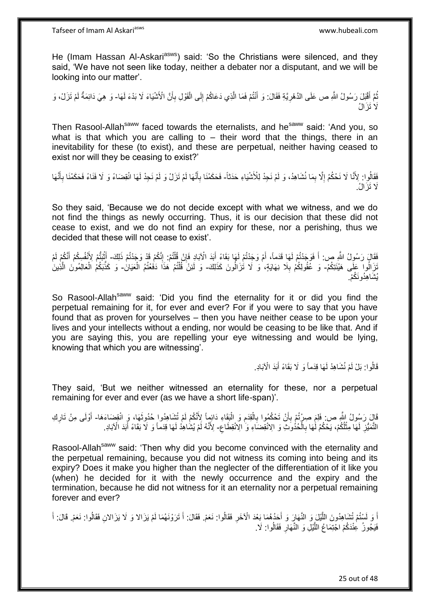He (Imam Hassan Al-Askari<sup>asws</sup>) said: 'So the Christians were silenced, and they said, 'We have not seen like today, neither a debater nor a disputant, and we will be looking into our matter'.

نُّمَّ أَقْبَلَ رَسُولُ اللَّهِ ص عَلَى الذَّهْرِيَّةِ فَقَالَ: وَ أَنْتُمْ فَمَا الَّذِي دَعَاكُمْ إِلَى الْقَوْلِ بِأَنَّ الْأَشْيَاءَ لَا بَدْءَ لَهَا- وَ هِيَ دَائِمَةٌ لَمْ تَزَلْ، وَ ه َ ِ َ ُ ْ ِ أ ِ لَ ََّل َت َزا ُل

Then Rasool-Allah<sup>saww</sup> faced towards the eternalists, and he<sup>saww</sup> said: 'And you, so what is that which you are calling to  $-$  their word that the things, there in an inevitability for these (to exist), and these are perpetual, neither having ceased to exist nor will they be ceasing to exist?'

فَقَالُوا: لِأَنَّا لَا نَحْكُمُ إِلَّا بِمَا نُشَاهِدُ، وَ لَمْ نَجِدْ لِلْأَشْيَاءِ حَدَثاً- فَحَكَمْنَا بِأَنَّهَا لَمْ تَزَلْ وَ لَمْ نَجِدْ لَهَا انْقِضَاءً وَ لَا فَنَاءً فَحَكَمْنَا بِأَنَّهَا ِ ِ َ ِ َ ِ ََّل َت َزا ُل.

So they said, 'Because we do not decide except with what we witness, and we do not find the things as newly occurring. Thus, it is our decision that these did not cease to exist, and we do not find an expiry for these, nor a perishing, thus we decided that these will not cease to exist'.

فَقَالَ رَسُولُ اللَّهِ ص: أَ فَوَجَدْتُمْ لَهَا قَدَماً، أَمْ وَجَدْتُمْ لَهَا بَقَاءً أَبَدَ الْآبَادِ فَإِنْ قُلْتُمْ إِنَّكُمْ قَدْ وَجَدْتُمْ ذَلِكَ- أَيْنَتُمْ لِأَنْفُسِكُمْ أَنَّكُمْ لَمْ َ َ َ ْ ِ ِ ْ َ تَزَالُوا عَلَّى هَيْئَتِكُمْ- وَ عَّقُولِكُمْ بِلَا نِهَايَةٍ، وَ لَا تُٰزَالُونَ كَذَلِكَ- وَ لَئِنَّ قُلْتُمْ هَذَا دَفُعْتُمُ الْعَيَانُ- وَ كَذَّبَكُمْ الْعَالِمُونَ الَّذِينَ **∶** ْ ْ ه ْ يُشَاهِدُونَكُمْ.

So Rasool-Allah<sup>saww</sup> said: 'Did you find the eternality for it or did you find the perpetual remaining for it, for ever and ever? For if you were to say that you have found that as proven for yourselves – then you have neither cease to be upon your lives and your intellects without a ending, nor would be ceasing to be like that. And if you are saying this, you are repelling your eye witnessing and would be lying, knowing that which you are witnessing'.

> قَالُوا: بَلْ لَمْ نُشَاهِدْ لَهَا قِدَماً وَ لَا بَقَاءً أَبَدَ الْآبَادِ. َ

They said, 'But we neither witnessed an eternality for these, nor a perpetual remaining for ever and ever (as we have a short life-span)'.

قَالَ رَسُولُ اللَّهِ ص: فَلِمَ صِرْتُمْ بِأَنْ تَحْكُمُوا بِالْقِدَمِ وَ الْبَقَاءِ دَائِمٍاً لِأَنْكُمْ لَمْ تُشَاهِدُوا حُدُوثَهَا، وَ انْقِضَاءَهَا- أَوْلَى مِنْ تَارِكِ َ **∶** َ ْ ِ ْ **∶** ِ َ ِ التَّمَيُّزِ لَهَا مِثْلُكُمْ، يَحْكُمُ لَٰهَا بِالْحُذُوَثِ وَ الِانْقِضَاءِ وَ الِانْقِطَاعِ- لِأَنَّهُ لَمْ يُشَاهِدُ لَهَا قِدَماً وَ لَا بَقَاءً أَبَدَ الْآبَادِ. ْ ِ ْ لَ ِ َ َ

Rasool-Allah<sup>saww</sup> said: 'Then why did you become convinced with the eternality and the perpetual remaining, because you did not witness its coming into being and its expiry? Does it make you higher than the neglecter of the differentiation of it like you (when) he decided for it with the newly occurrence and the expiry and the termination, because he did not witness for it an eternality nor a perpetual remaining forever and ever?

أَ وَ لَسْتُمْ تُشَاهِدُونَ اللَّيْلَ وَ النَّهَارَ وَ أَحَدُهُمَا بَعْدَ الْأَخَرِ فَقَالُوا: نَعَمْ. فَقَالَ: أَ تَرَوْنَهُمَا لَمْ يَزَالا وَ لَا يَزَالانِ فَقَالُوا: نَعَمْ. قَالَ: أَ ه َ ُ ِ َ ُ َ َ فَيَجُوزُ عِنْدَكُمْ اجْتِمَاعُ اللَّيْلِ وَ النَّهَارِ فَقَالُوا: لَا. **∶** ه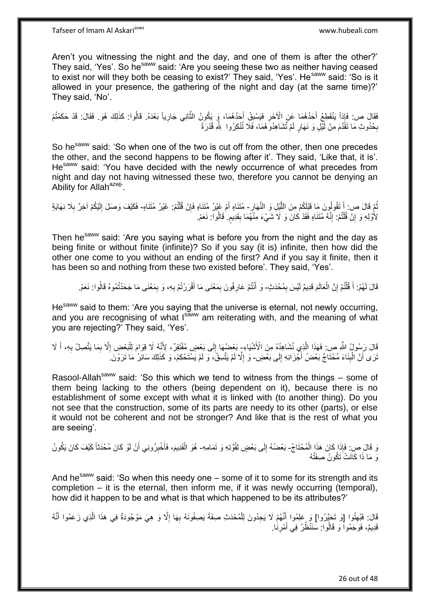Aren't you witnessing the night and the day, and one of them is after the other?' They said, 'Yes'. So he<sup>saww</sup> said: 'Are you seeing these two as neither having ceased to exist nor will they both be ceasing to exist?' They said, 'Yes'. He<sup>saww</sup> said: 'So is it allowed in your presence, the gathering of the night and day (at the same time)?' They said, 'No'.

َفَقَالَ ص: فَإِذاً يَنْقَطِعُ أَحَدُهُمَا عِنِ الْآخَرِ فَيَسْبِقُ أَحَدُهُمَا، وَ يَكُونُ الثَّانِي جَارِياً بَعْدَهُ. قَالُوا: كَذَلِكَ هُوَ. فَقَالَ: قَدْ حَكَمْتُمْ ِ ه َ ِ **∶** بِكُنُوثِ مَا تَقَدَّمَ مِنْ لَمِّلٍ وَ نَهَارٍ لَمْ تُشَاهِدُوَهُمَا، فَلَا تُنْكِرُوا ۚ لِلَّهِ قُدْرَةً ِ

So he<sup>saww</sup> said: 'So when one of the two is cut off from the other, then one precedes the other, and the second happens to be flowing after it'. They said, 'Like that, it is'. Hesaww said: 'You have decided with the newly occurrence of what precedes from night and day not having witnessed these two, therefore you cannot be denying an Ability for Allah<sup>azwj</sup>'.

َ نُّمَّ قَالَ ص: أَ تَقُولُونَ مَا قَبْلَكُمْ مِنَ اللَّيْلِ وَ النَّهَارِ - مُتَنَاهٍ أَمْ غَيْرُ مُتَنَاهٍ فَإِنْ قُلْتُمْ: غَيْرُ مُتَنَاهٍ- فَكَيْفَ وَصَلَ إِلَيْكُمْ آخِرٌ بِلَا نِهَايَةٍ ِ ْ ∣lٍ ِ لَ ِ لِأُوَّلِهِ وَ إِنْ قُلْتُمْ. إِنَّهُ مُتَنَاهٍ فَقَدْ كَانَ وَ لَا شَيْءَ مِنْهُمَا بِقَدِيمٍ. قَالُوا: نَعَمْ ِ ֺ֦֖֦֧֦֧֦֧֦֦֦֦֪ׅ֧֦֦֪ׅ֧֦֧֦֧֧֦֧֦֧֝֟֟֓֕֟֓֕֝֓֓֟֓֓֡֟֓֡֟֓֓֞֓֞֓֞֓֞֓֞֓֞֓֡֟֓֡֟֓֡֟֓֡֟֓֟֓֡֟֓֟֓֟֓֝֬֝֬֞֞֝<br>֧֪֪֪֧֪֧֪֪֧֪֪֦֧֦֧֪֪֦֧֝֝֝֬֝֬ יֲ<br>י ٍ **!** 

Then he<sup>saww</sup> said: 'Are you saying what is before you from the night and the day as being finite or without finite (infinite)? So if you say (it is) infinite, then how did the other one come to you without an ending of the first? And if you say it finite, then it has been so and nothing from these two existed before'. They said, 'Yes'.

قَالَ لَهُمْ: أَ قُلْتُمْ إِنَّ الْعَالَمَ قَدِيمٌ لَيْسَ بِمُحْدَثٍ ۖ وَ أَنْتُمْ عَارِفُونَ بِمَعْنَى مَا أَقْرَرْتُمْ بِهِ، وَ بِمَعْنَى مَا جَحَدْتُمُوهُ قَالُوا: نَعَمْ ِ ْ َ ِ ْ ُ ِ ِ َ ِ **∶** َ

He<sup>saww</sup> said to them: 'Are you saying that the universe is eternal, not newly occurring, and you are recognising of what Isaww am reiterating with, and the meaning of what you are rejecting?' They said, 'Yes'.

قَالَ رَسُولُ اللَّهِ ص: فَهَذَا الَّذِي نُشَاهِدُهُ مِنَ الْأَنْنُيَاءِ- بَعْضُهَا إِلَى بَعْضٍ مُفْتَقِرٌ، لِأَنَّهُ لَا قِوَامَ لِلْبَعْضِ إِلَّا بِمَا يَتَّصِلُ بِهِ، أَ لَا ه ِ ِ ْ ِ َ **∶** نَرَى أَنَّ الْبِنَاءَ مُحْتَاجٌ بَعْضُ أَجْزَائِهِ إِلَى بَعْضٍ- وَ إِلَّا لَمْ يَتَّسِقُّ، وَ لَمْ يَسْتَحْكِمْ، وَ كَذَلِكَ سَائِرُ مَا تَرَوْنَ ِ َ **∣** ْ ِ

Rasool-Allah<sup>saww</sup> said: 'So this which we tend to witness from the things – some of them being lacking to the others (being dependent on it), because there is no establishment of some except with what it is linked with (to another thing). Do you not see that the construction, some of its parts are needy to its other (parts), or else it would not be coherent and not be stronger? And like that is the rest of what you are seeing'.

رَ قَالَ صِ: فَإِذَا كَانَ هَذَا الْمُحْتَاجُ- بَعْضُهُ إِلَى بَعْضٍ لِقُوَّتِهِ وَ تَمَامِهِ- هُوَ الْقَدِيمَ، فَأُخْبِرُونِي أَنْ لَوْ كَانَ مُحْدَثَاً كَيْفَ كَانَ يَكُونُ ْ ِ َ ِ َ ْ وَ مَا ذَا كَانَتْ َتَكُونُ صِفَتُهُ

And he<sup>saww</sup> said: 'So when this needy one – some of it to some for its strength and its completion – it is the eternal, then inform me, if it was newly occurring (temporal), how did it happen to be and what is that which happened to be its attributes?'

قَالَ: فَبُهِتُوا [وَ تَحَيَّرُوا] وَ عَلِمُوا أَنَّهُمْ لَا يَجِدُونَ لِلْمُحْدَثِ صِفَةً يَصِفُونَهُ بِهَا إِلَّا وَ هِيَ مَوْجُودَةً فِي هَذَا الَّذِي زَعَمُوا أَنَّهُ ا<br>ا **∶** ْ َ ِ َ ه قَدِيمٌ، فَوَجَمُوا ۖ وَ قَالُوا ۖ سَنَنْظُرُ فِي أَمْرِنَٰا. ِ َ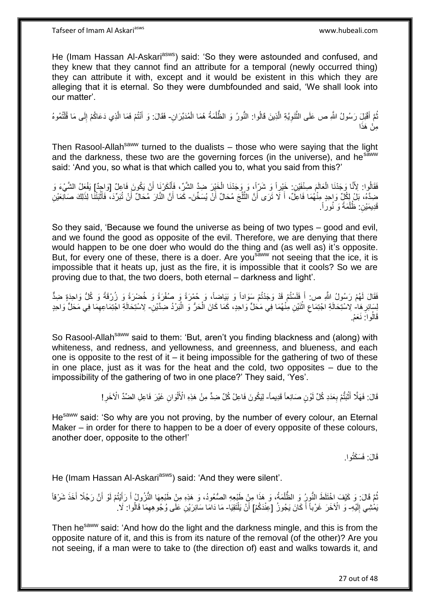He (Imam Hassan Al-Askari<sup>asws</sup>) said: 'So they were astounded and confused, and they knew that they cannot find an attribute for a temporal (newly occurred thing) they can attribute it with, except and it would be existent in this which they are alleging that it is eternal. So they were dumbfounded and said, 'We shall look into our matter'.

نُّمَّ أَقْبَلِ رَسُولُ اللَّهِ ص عَلَى النَّنَوِيَّةِ الَّذِينَ قَالُوا: النُّورُ وَ الظَّلْمَةُ هُمَا الْمُدَبِّرَانِ- فَقَالَ: وَ أَنْتُمْ فَمَا الَّذِي دَعَاكُمْ إِلَى مَا قُلْتُمُوهُ ْ ْ ه ِ ه َ ُ ْ ِ ه َ مِنْ هَذَا

Then Rasool-Allah<sup>saww</sup> turned to the dualists  $-$  those who were saying that the light and the darkness, these two are the governing forces (in the universe), and he<sup>saww</sup> said: 'And you, so what is that which called you to, what you said from this?'

فَقَالُوا: لِأَنَّا وَجَدْنَا الْعَالَمَ صِنْفَيْنِ: خَيْرِاً وَ شَرِّاً، وَ وَجَدْنَا الْخَيْرَ ضِدَّ الشَّرِّ، فَأَنْكَرْنَا أَنْ يَكُونَ فَاعِلٌ [وَاجِدٌ] يَفْعَلُ الشَّيْءَ وَ َ ْ ْ َخِذَّهُ، بَلْ لِكُلٍّ وَاحِدٍ مِنْهُمَا فَاعِلٌ، أَ لَا تَرَى أَنَّ الثَّلْجَ مُحَالٌ أَنْ يُسَخِّنَ- كَمَا أَنَّ النَّارَ مُحَالٌ أَنْ تُبَرِّدَ، فَأَثْبَتْنَا لِذَلِكَ صَالِعَيْنِ اُ ْ ه َ **ٔ** َ اُ َ . َو نُوراً َمةً ُظل ِن: َقِدي َمْي ْ

So they said, 'Because we found the universe as being of two types – good and evil, and we found the good as opposite of the evil. Therefore, we are denying that there would happen to be one doer who would do the thing and (as well as) it's opposite. But, for every one of these, there is a doer. Are you<sup>saww</sup> not seeing that the ice, it is impossible that it heats up, just as the fire, it is impossible that it cools? So we are proving due to that, the two doers, both eternal – darkness and light'.

فَقَالَ لَهُمْ رَسُولُ اللَّهِ ص: أَ فَلَسْتُمْ قَدْ وَجَدْتُمْ سَوَاداً وَ بَيَاضاً، وَ حُمْرَةً وَ صُفْرَةً وَ خُضْرَةً وَ زُرْقَةً وَ كُلُّ وَاحِدَةٍ ضِدٌّ َ لِسَائِرِ هَا- لِاسْتِحَالَةِ اجْتِمَاعِ اثْنَيْنِ مِنْهُمَا فِي مَحَلٍّ وَاحِدٍ، كَمَا كَانَ الْحَرُّ وَ الْبَرْدُ ضِدَّيْنِ- لِاسْتِحَالَةِ اجْتِمَاعِهِمَا فِي مَحَلٍّ وَاحِدٍ **∶** ْ ْ **ٔ** ِ ِ قَالُواً: نَعَمْ.

So Rasool-Allah<sup>saww</sup> said to them: 'But, aren't you finding blackness and (along) with whiteness, and redness, and yellowness, and greenness, and blueness, and each one is opposite to the rest of it  $-$  it being impossible for the gathering of two of these in one place, just as it was for the heat and the cold, two opposites – due to the impossibility of the gathering of two in one place?' They said, 'Yes'.

> قَالَ: فَهَلَّا أَثْبَتُّمْ بِعَدَدِ كُلِّ لَوْنٍ صَانِعاً قَدِيماً- لِيَكُونَ فَاعِلُ كُلِّ ضِدٍّ مِنْ هَذِهِ الْأَلْوَانِ غَيْرَ فَاعِلِ الضِّدِّ الْآخَرِ ا **∶** ْ َ ْ ِ

He<sup>saww</sup> said: 'So why are you not proving, by the number of every colour, an Eternal Maker – in order for there to happen to be a doer of every opposite of these colours, another doer, opposite to the other!'

قَالَ: فَسَكَثُوا.

He (Imam Hassan Al-Askari<sup>asws</sup>) said: 'And they were silent'.

نُّمَّ قَالَ: وَ كَيْفَ اخْتَلَطَ النُّوِرُ وَ الظُّلْمَةُ، وَ هَذِا مِنْ طَبْعِهِ الصُّعُودُ، وَ هَذِهِ مِنْ طَبْعِهَا النُّزُولُ أَ رَأَيْتُمْ لَوْ أَنَّ رَجُلًا أَخَذَ شَرْقاً ْ ُ َ َ َ َ يَمْْشِي إِلَيْهِ- وَ الْآخَرَ غَرْباً أَ كَانَ يَجُوزُ [عِنْدَكُمْ] أَنْ يَلْتَقِيَا- مَا دَامَا سَائِرَيْنِ عَلَى وُجُوهِهِمَا قَالُوا: لَا. لَ  $\frac{1}{2}$ َ ْ ِ

Then he<sup>saww</sup> said: 'And how do the light and the darkness mingle, and this is from the opposite nature of it, and this is from its nature of the removal (of the other)? Are you not seeing, if a man were to take to (the direction of) east and walks towards it, and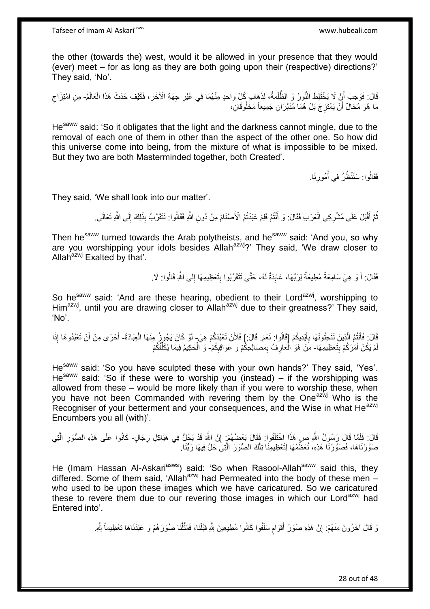the other (towards the) west, would it be allowed in your presence that they would (ever) meet – for as long as they are both going upon their (respective) directions?' They said, 'No'.

قَالَ: فَوَجَبَ أَنْ لَا يَخْتَلِطَ النُّورُ وَ الظُّلْمَةُ، لِذَهَابِ كُلِّ وَاحِدٍ مِنْهُمَا فِي غَيْرِ جِهَةِ الْأَخَرِ، فَكَيْفَ حَدَثَ هَذَا الْعَالَمُ- مِنِ امْتِزَاجِ<br>نَا الْعَالَمُ عَلَيْهِ الْمَرْضَافِينَ وَجَمِي ِ ْ ْ ِ مَا هُوَ مُحَالٌ أَنْ يَمْتَزِجَ بَلْ هُمَا مُدَبَّرَانِ جَمِيعاً مَخْلُوقَانِ، ِ اً

He<sup>saww</sup> said: 'So it obligates that the light and the darkness cannot mingle, due to the removal of each one of them in other than the aspect of the other one. So how did this universe come into being, from the mixture of what is impossible to be mixed. But they two are both Masterminded together, both Created'.

> فَقَالُوا: سَنَنْظُرُ فِي أُمُورِنَا. ِ ُ

They said, 'We shall look into our matter'.

نُمَّ أَقْبَلَ عَلَى مُشْرِكِي الْعَرَبِ فَقَالَ: وَ أَنْتُمْ فَلِمَ عَبَدْتُمُ الْأَصْنَامَ مِنْ دُونِ اللَّهِ فَقَالُوا: نَتَقَرَّبُ بِذَلِكَ إِلَى اللَّهِ تَعَالَى ِ ْ ِ َ ُ ِ

Then he<sup>saww</sup> turned towards the Arab polytheists, and he<sup>saww</sup> said: 'And you, so why are you worshipping your idols besides Allah<sup>azwj</sup>?' They said, 'We draw closer to Allah $a^{2x}$  Exalted by that'.

> فَقَالَ: أَ وَ هِيَ سَامِعَةٌ مُطِيعَةٌ لِرَبِّهَا، عَابِدَةٌ لَهُ، حَتَّى تَتَقَرَّبُوا بِتَعْظِيمِهَا إِلَى اللَّهِ قَالُوا: لَا. ِ ِ لَ **∣** َ

So he<sup>saww</sup> said: 'And are these hearing, obedient to their Lord<sup>azwj</sup>, worshipping to Him<sup>azwj</sup>, until you are drawing closer to Allah<sup>azwj</sup> due to their greatness?' They said, 'No'.

قَالَ: فَأَنْتُمُ الَّذِينَ تَنْحِتُونَهَا بِأَيْدِيكُمْ إِقَالُوا: نَعَمْ. قَالَ: إِ فَلَأَنْ تَعْبُدَكُمْ هِيَ لَوْ كَانَ يَجُوزُ مِنْهَا الْعِبَادَةُ- أَحْرَى مِنْ أَنْ تَعْبُدُوهَا إِذَا َ **∶** ه َ م<br>دا ْ َ َمْ يَكُنْ أَمَرَكُمْ بِتَعْظِيمِهَا- مَنْ هُوَ الْعَارِفُ بِمَصَالِحِكْمْ وَ عَوَاقِبِكُمْ- وَ الْحَكِيمُ فِيمَا يُكَلِّفُكُمْ ِ َ ِ ِ ِ ِّ ْ

He<sup>saww</sup> said: 'So you have sculpted these with your own hands?' They said, 'Yes'. He<sup>saww</sup> said: 'So if these were to worship you (instead) – if the worshipping was allowed from these – would be more likely than if you were to worship these, when you have not been Commanded with revering them by the One<sup>azwj</sup> Who is the Recogniser of your betterment and your consequences, and the Wise in what He<sup>azwj</sup> Encumbers you all (with)'.

قَالَ: فَلَمَّا قَالَ رَسُولُ اللَّهِ صِ هَذَا اِخْتَلَفُوا: فَقَالَ بَعْضُهُمْ: إِنَّ اللَّهَ قَدْ يَجُلُّ فِي هَيَاكِلِ رِجَالٍ- كَانُوا عَلَى هَذِهِ الصُّوَرِ الَّتِي ِ ِ ه ِ صَوَّرْنَاهَا، فَصَوَّرْنَا هَذِهِ، نُعَظُّمُهَا لِتَعْظِيمِنَا تِلْكَ الصُّوَرَ الَّتِيَ حَلَّ فِيهَا رَبُّنَا ه ْ

He (Imam Hassan Al-Askari<sup>asws</sup>) said: 'So when Rasool-Allah<sup>saww</sup> said this, they differed. Some of them said, 'Allah<sup>azwj</sup> had Permeated into the body of these men – who used to be upon these images which we have caricatured. So we caricatured these to revere them due to our revering those images in which our Lord<sup>azwj</sup> had Entered into'.

> وَ قَالَ آخَرُونَ مِنْهُمْ: إِنَّ هَذِهِ صُوَرُ أَقْوَامِ سَلَفُوا كَانُوا مُطِيعِينَ لِلَّهِ قَبْلَنَا، فَمَثَّلْنَا صُوَرَهُمْ وَ عَبَدْنَاهَا تَعْظِيماً لِلَّهِ ِ ْ ه ِ ֧֖֧֚֚֓֝֝֝ َ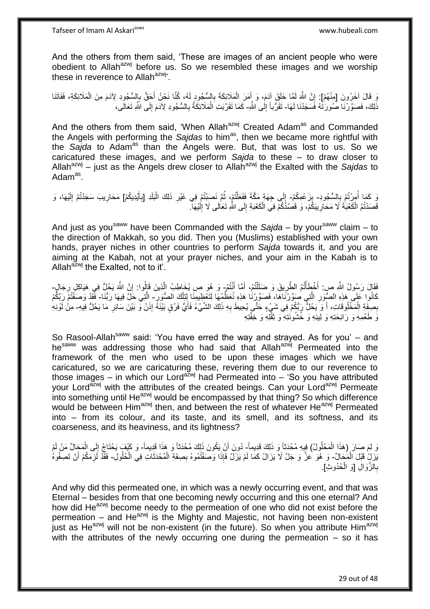Tafseer of Imam Al Askariasws www.hubeali.com

And the others from them said, 'These are images of an ancient people who were obedient to Allah<sup>azwj</sup> before us. So we resembled these images and we worship these in reverence to Allah $a$ <sup>azwj</sup>.

وَ قَالَ آخَرُونَ [مِنْهُمْ]: إِنَّ اللَّهَ لَمَّا خَلَقَ آدَمَ، وَ أَمَرَ الْمَلَائِكَةَ بِالسُّجُودِ لَهُ، كُنَّا نَحْنُ أَجَقَّ بِالسُّجُودِ لِآدَمَ مِنَ الْمَلَائِكَةِ، فَفَاتَنَا ِ َ ِ ْ َ لَ ֧֝֓׀**֚** ْ ذَلِكَ، فَصَوَّرْنَا صُورَٰتَهُ فَسَجَدْنَا لَهَا- تَقَرُّباً إِلَٰى اللَّهِ- كَمَا تَقَرَّبَتِ الْمَلَائِكَةُ بِالسُّجُودِ لِأَدَمَ إِلَى اللَّهِ تَعَالَى، :<br>نا ِ ِ ِ ْ

And the others from them said, 'When Allah<sup>azwj</sup> Created Adam<sup>as</sup> and Commanded the Angels with performing the *Sajdas* to him<sup>as</sup>, then we became more rightful with the Sajda to Adam<sup>as</sup> than the Angels were. But, that was lost to us. So we caricatured these images, and we perform *Sajda* to these – to draw closer to Allah<sup>azwj</sup> – just as the Angels drew closer to Allah<sup>azwj</sup> the Exalted with the Sajdas to Adam<sup>as</sup>.

نَ كَمَا أُمِرْتُمْ بِالسُّجُودِ- بِزَعْمِكُمْ- إِلَى جِهَةٍ مَكَّةَ فَفَعَلْتُمْ، ثُمَّ نَصَنِبْتُمْ فِي غَيْرِ ذَلِكَ الْبَلَدِ [بِأَيْدِيكُمْ] مَحَارِيبَ سَجَدْتُمْ إِلَيْهَا، وَ ِ ا<br>ا ِ َ ِ ْ **∶** ُ ْ ∣∣<br>∶ لَ ِ ِ قَصَدْتُمُ الْكَعْبَةَ لَا مَحَارِ بِبَكْمْ، وَ قَصْدُكَكَمْ فِيَ الْكَعْبَةِ إِلَى اللهِ تَعَالَى لَا إِلَيْهَآ ْ لَ ∣∣<br>∶ ِ ْ ِ

And just as you<sup>saww</sup> have been Commanded with the *Sajda* – by your<sup>saww</sup> claim – to the direction of Makkah, so you did. Then you (Muslims) established with your own hands, prayer niches in other countries to perform *Sajda* towards it, and you are aiming at the Kabah, not at your prayer niches, and your aim in the Kabah is to Allah $^{azwj}$  the Exalted, not to it'.

فَقَالَ رَسُولُ اللَّهِ ص: أَخْطَأْتُمُ الطَّرِيقَ وَ ضَلَلْتُمْ، أَمَّا أَنْتُمْ- وَ هُوَ ص يُخَاطِبُ الَّذِينَ قَالُوا: إِنَّ اللَّهَ يَحُلُّ فِي هَيَاكِلِ رِجَالٍ َ ْ **∶** ْ ِ ِ ِ كَانُوا عَلَى هَذِهِ الصُّوَرِ الَّتِي صَوَّرْنَاهَا، فَصَوَّرْنُا هَذِهِ نُعَظُّمُهَا لِتَغْظِيمِنَا لِلِّلْكَ الصُّوَرِ - اِلَّتِي حَلِّ فِيهَا رَبُّنَا- فَّقَدْ وَصَفُتُمْ رَبَّكُمْ ْ ه **∶** بِصِفَةِ الْمَخْلُوقَاتِ، أَ وَ يَحُلُّ رَبُّكُمْ فِي شَيْءٍ حَتَّى يُحِيطَ بِهِ ذَلِكَ الشَّيْءُ فَأَيُّ فَرْقٍ بَيْنَةً إِذَنْ وَّ بَيْنَ سَائِرِ مَا يَحُلُّ فِيهِ- مِنْٰ لَوْنِهِ ْ ِ ِ ِ نَ طَعْمِهِ وَ رَائِحَتِهِ وَ لِينِهِ وَ خُشُونَتِهِ ۚ وَثِقْلِهِ وَ خِفَّتِهِ

So Rasool-Allah<sup>saww</sup> said: 'You have erred the way and strayed. As for you' – and he<sup>saww</sup> was addressing those who had said that Allah<sup>azwj</sup> Permeated into the framework of the men who used to be upon these images which we have caricatured, so we are caricaturing these, revering them due to our reverence to those images – in which our Lord<sup>azwj</sup> had Permeated into – 'So you have attributed your Lord<sup>azwj</sup> with the attributes of the created beings. Can your Lord<sup>azwj</sup> Permeate  $\frac{1}{2}$  into something until He<sup>azwj</sup> would be encompassed by that thing? So which difference would be between Him<sup>azwj</sup> then, and between the rest of whatever He<sup>azwj</sup> Permeated into – from its colour, and its taste, and its smell, and its softness, and its coarseness, and its heaviness, and its lightness?

وَ لِمَ صَارَ (هَذَا الْمَحْلُولُ) فِيهِ مُحْدَثاً وَ ذَلِكَ قَدِيماً- دُونَ أَنْ يَكُونَ ذَلِكَ مُحْدَثاً وَ هَذَا قَدِيماً- وَ كَيْفَ يَحْتَاجُ إِلَى الْمَجَالِّ مَنْ لَمْ ْ َ ْ ِ يَزَلٍٰ قَبْلَ الْمَجَالِّ- وَ هُوَ عَزَّ وَ جَلَّ لَا يَزَالُ كَمَا لَمْ يَزَلْ فَإِذَا وَصَفْتُمُوهُ بِصِفَةِ الْمُحْدَثَاتِ فِي الْحُلُولِ- فَقَّدْ لَزِمَكُمْ أَنْ تَصِفُوهُ ْ َ ْ ِ ِ َ بِالزَّوَالِ [وَ الْمُذُوثِ]. ْ ِ

And why did this permeated one, in which was a newly occurring event, and that was Eternal – besides from that one becoming newly occurring and this one eternal? And how did He<sup>azwj</sup> become needy to the permeation of one who did not exist before the permeation – and He $^{azwj}$  is the Mighty and Majestic, not having been non-existent just as He $^{azwj}$  will not be non-existent (in the future). So when you attribute Him $^{azwj}$ with the attributes of the newly occurring one during the permeation – so it has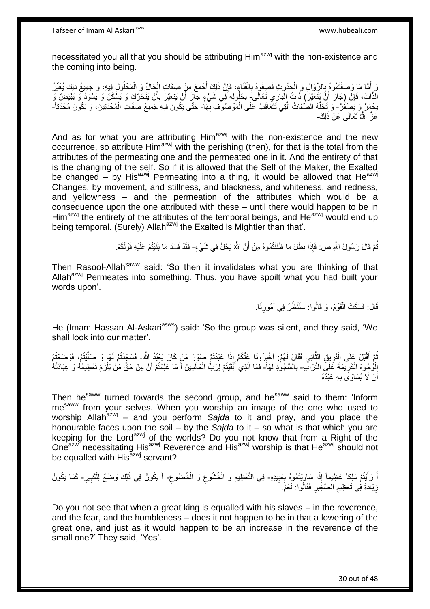necessitated you all that you should be attributing Him<sup>azwj</sup> with the non-existence and the coming into being.

وَ إِمَّا مَا وَصَفْتُمُوهُ بِالزَّوَالِ وَ الْحُدُوثِ فَصِفُوهُ بِالْفَنَاءِ، فَإِنَّ ذَلِكَ أَجْمَعَ مِنْ صِفَاتِ الْحِالِّ وَ الْمَحْلُولِ فِيهِ، وَ جَمِيعُ ذَلِكَ يُغَيِّرُ ْ َ ِ ْ ِ ْ **∶** ْ الَّذَاتَ، فَإِنَّ (جَازَ أَنَّ يَتَغَيَّرَ) ذَاتُ الْبَارِي تَعَالَى بِكُلُولِهِ فِي شَيْءٍ جَازَ أَنْ يَتَغَيَّرَ بِأَنْ يَتَحَرَّكَ وَ يَشُكُنَ وَ يَسْوَدَّ وَ يَيْنَضَّ وَ<br>دنيف وَيَسْوَدُ وَيَسْوَدُ وَيَنْفَغُيَّرَ بَ ِ ْ ِ أ ِ اً يَحْمَرَّ وَ يَصْفَرَّ - وَ تَحُلُّهُ الصَّفَاتُ الَّتِي تَتَعَاقَبُ عَلَى الْمَوْصُوفِ بِهَا- حَتَّى يَكُونَ فِيهِ جَمِيعُ صِفَاتِ الْمُحْدَثِينَ، وَ يَكُونَ مُحْدَثَاً-ِ ْ ه ه ْ عَزَّ الثُّهُ تَعَالَى عَنْ ذَلِكَ-

And as for what you are attributing  $Him<sup>azwj</sup>$  with the non-existence and the new occurrence, so attribute  $\lim_{n \to \infty}$  with the perishing (then), for that is the total from the attributes of the permeating one and the permeated one in it. And the entirety of that is the changing of the self. So if it is allowed that the Self of the Maker, the Exalted be changed – by His<sup>azwj</sup> Permeating into a thing, it would be allowed that He<sup>azwj</sup> Changes, by movement, and stillness, and blackness, and whiteness, and redness, and yellowness – and the permeation of the attributes which would be a consequence upon the one attributed with these – until there would happen to be in Him<sup>azwj</sup> the entirety of the attributes of the temporal beings, and  $He^{azwj}$  would end up being temporal. (Surely) Allah<sup>azwj</sup> the Exalted is Mightier than that'.

> نُّمَّ قَالَ رَسُولُ اللَّهِ ص: فَإِذَا بَطَلَ مَا ظَنَنْتُمُوهُ مِنْ أَنَّ اللَّهَ يَحُلُّ فِي شَيْءٍ- فَقَدْ فَسَدَ مَا بَنَيْتُمْ عَلَيْهِ قَوْلَكُمْ. ُ

Then Rasool-Allah<sup>saww</sup> said: 'So then it invalidates what you are thinking of that Allah<sup>azwj</sup> Permeates into something. Thus, you have spoilt what you had built your words upon'.

> قَالَ: فَسَكَتَ الْقَوْمُ، وَ قَالُوا: سَنَنْظُرُ فِي أُمُورِنَا. ْ ِ ان<br>ا

He (Imam Hassan Al-Askari<sup>asws</sup>) said: 'So the group was silent, and they said, 'We shall look into our matter'.

َّمَّ أَقْبَلَ عَلَى الْفَرِيقِ الثَّانِي فَقَالَ لَهُمْ: أَخْبِرُونَا عَنْكُمْ إِذَا عَبَدْتُمْ صُوَرَ مَنْ كَانَ يَعْبُدُ اللَّهَ- فَسَجَدْتُمْ لَهَا وَ صَلَّتْتُمْ، فَوَضَعْتُمُ ِ َ ه ِ ْ ُ ه الْوُجُوهَ الْكَرِيمَةَ عَلَى التُّرَابُ- بِالسُّجُودِ لَهَا- فَمَا الَّذِي أَبْقَيْتُمْ لِرَبٌّ الْعَالَمِينَ أَ مَا عَلِمْتُمْ أَنَّ مِنْ حَقٍّ مَنْ يَلْزَمُ تَعْظِيمُهُ وَ عِبَادَتُهُ ِ ْ ْ ِ ْ َ َ ْ َ ه أَنْ لَا يُسَاوَى بِهِ عَبْدُهُ **∶** اً

Then he<sup>saww</sup> turned towards the second group, and he<sup>saww</sup> said to them: 'Inform mesaww from your selves. When you worship an image of the one who used to worship Allah<sup>azwj</sup> – and you perform Sajda to it and pray, and you place the honourable faces upon the soil – by the *Sajda* to it – so what is that which you are keeping for the Lord<sup>azwj</sup> of the worlds? Do you not know that from a Right of the One<sup>azwj</sup> necessitating His<sup>azwj</sup> Reverence and His<sup>azwj</sup> worship is that He<sup>azwj</sup> should not be equalled with His<sup>azwj</sup> servant?

اً رَأَيْتُمْ مَلِكاً عَظِيماً إِذَا سَاوَيْتُمُوهُ بِعَبِيدِهِ- فِي التَّعْظِيمِ وَ الْخُشُوعِ وَ الْخُضُوعِ- أَ يَكُونُ فِي ذَلِكَ وَضْعٌ لِلْكَبِيرِ- كَمَا يَكُونُ **!** ِ َ َ ِ ِ ِ ِ ِ ْ ُ زِيَادَةً فِي تَعْظِيمِ الصَّغِيرِ فَقَالُوا: نَعَمْ. ِ ِ ِ

Do you not see that when a great king is equalled with his slaves – in the reverence, and the fear, and the humbleness – does it not happen to be in that a lowering of the great one, and just as it would happen to be an increase in the reverence of the small one?' They said, 'Yes'.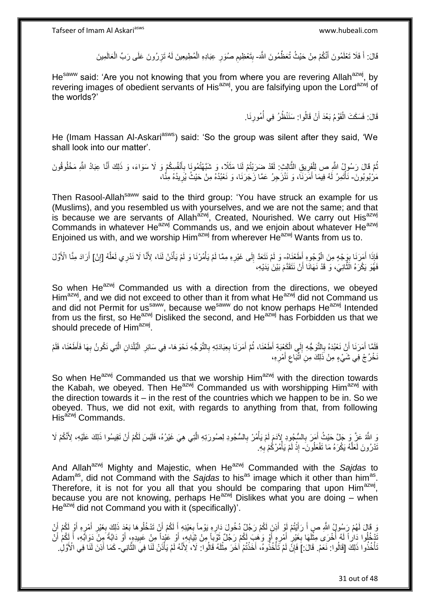قَالَ: أَ فَلَا تَعْلَمُونَ أَنَّكُمْ مِنْ حَيْثُ تُعَظِّمُونَ اللَّهَ- بِتَعْظِيمِ صُوَرِ عِبَادِهِ الْمُطِيعِينَ لَمُ تَزِرُونَ عَلَى رَبِّ الْعَالَمِينَ َ ْ ِ **ُ**  ِ **∶** ْ

He<sup>saww</sup> said: 'Are you not knowing that you from where you are revering Allah<sup>azwj</sup>, by revering images of obedient servants of His<sup>azwj</sup>, you are falsifying upon the Lord<sup>azwj</sup> of the worlds?'

> قَالَ: فَسَكَتَ الْقَوْمُ بَعْدَ أَنْ قَالُوا: سَنَنْظُرُ فِي أُمُورِنَا. **∶** ان<br>المنابعة َ ْ

He (Imam Hassan Al-Askari<sup>asws</sup>) said: 'So the group was silent after they said, 'We shall look into our matter'.

نُمَّ قَالَ رَسُولُ اللَّهِ ص لِلْفَرِيقِ الثَّالِثِ: لَقَدْ ضَرَبْتُمْ لَنَا مَثَلًا، وَ شَبَّهْتُمُونَا بِأَنْفُسِكُمْ وَ لَا سَوَاءَ، وَ ذَلِكَ أَنَّا عِبَادُ اللَّهِ مَخْلُوقُونَ َ ِ ه ِ ْ َ مَرْبُوبُونَ- نَأْتَمِرُ لَهُ فِيمَا أَمَرَنَاً، وَ نَنْزَجِرُ عَمَّا زَجَرَنَا، وَ نَعْبُدُهُ مِنْ حَيْثُ يُرِيدُهُ مِنَّا، ِ َ ْ

Then Rasool-Allah<sup>saww</sup> said to the third group: 'You have struck an example for us (Muslims), and you resembled us with yourselves, and we are not the same; and that is because we are servants of Allah<sup>azwj</sup>, Created, Nourished. We carry out His<sup>azwj</sup> Commands in whatever He<sup>azwj</sup> Commands us, and we enjoin about whatever He<sup>azwj</sup> Enjoined us with, and we worship Him<sup>azwj</sup> from wherever He<sup>azwj</sup> Wants from us to.

فَإِذَا أَمَرَنَا بِوَجْهِ مِنَ الْوُجُوهِ أَطْعْنَاهُ- وَ لَمْ نَتَعَدَّ إِلَى غَيْرِهِ مِمَّا لَمْ يَأْمُرْنَا وَ لَمْ يَأْنَنْ لَنَا، لِأَنَّا لَا نَذَرِي لَعَلَّهُ [إِنْ] أَرَادَ مِنَّا الْأَوَّلَ ْ ِ َ ِ ه ْ ْ ِ  $\frac{1}{2}$ َ فَهُوَ يَكْرَهُ النَّانِيَ، وَ قَدْ نَهَانَا أَنْ نَتَقَدَّمَ بَيْنَ يَدَيْهِ، ه

So when He<sup>azwj</sup> Commanded us with a direction from the directions, we obeyed Him<sup>azwj</sup>, and we did not exceed to other than it from what He<sup>azwj</sup> did not Command us and did not Permit for us<sup>saww</sup>, because we<sup>saww</sup> do not know perhaps He<sup>azwj</sup> Intended from us the first, so He<sup>azwj</sup> Disliked the second, and He<sup>azwj</sup> has Forbidden us that we should precede of Him<sup>azwj</sup>.

فَلَمَّا أَمَرَنَا أَنْ نَعْبُدَهُ بِالثَّوَجُّهِ إِلَي الْكَعْبَةِ أَطَعْنَا، ثُمَّ أَمَرَنَا بِعِبَادَتِهِ بِالثَّوَجُهِ نَحْوَهَا- فِي سَائِرِ الْبُلْدَانِ الَّتِي نَكُونُ بِهَا فَأَطْعْنَا، فَلَمْ ِ ِ َ ان<br>المقام المقام المقام المقام المقام المقام المقام المقام المقام المقام المقام المقام المقام المقام المقام المقا ْ יִי (ו **∶** َ َ ِ ه ْ ْ ِ نَخْرُجْ فِي شَيْءٍ مِنْ ذَلِكَ مِنِ َاتِّبَاعِ أَمْرِهِ، ِ َ ِ

So when  $He^{azwj}$  Commanded us that we worship Him<sup>azwj</sup> with the direction towards the Kabah, we obeyed. Then He<sup>azwj</sup> Commanded us with worshipping Him<sup>azwj</sup> with the direction towards it – in the rest of the countries which we happen to be in. So we obeyed. Thus, we did not exit, with regards to anything from that, from following His<sup>azwj</sup> Commands.

وَ اللَّهُ عَزَّ وَ جَلَّ حَيْثُ أَمَرَ بِالسُّجُودِ لِإِذَمَ لَمْ يَأْمُرْ بِالسُّجُودِ لِصُورَتِهِ الَّتِي هِيَ غَيْرُهُ، فَلَيْسَ لَكُمْ أَنْ تَقِيسُوا ذَلِكَ عَلَيْهِ، لِأَنَّكُمْ لَا ِ َ َ ه ِ ْ لَ نَدْرُونَ لَعَلَّهُ يَكْرَهُ مَا تَفْعَلُونَ ۖ إِذْ لَمْ يَأْمُرْكُمْ بِهِ. ه ِ ا<br>ا لَ **ٔ** 

And Allah<sup>azwj</sup> Mighty and Majestic, when He<sup>azwj</sup> Commanded with the Sajdas to Adam<sup>as</sup>, did not Command with the Sajdas to his<sup>as</sup> image which it other than him<sup>as</sup>. Therefore, it is not for you all that you should be comparing that upon  $\text{Him}^{\text{azwj}}$ , because you are not knowing, perhaps  $He^{azwj}$  Dislikes what you are doing – when He<sup>azwj</sup> did not Command you with it (specifically)'.

وَ قَالَ لَهُمْ رَسُولُ اللَّهِ صِ أَ رَأَيْتُمْ لَوْ أَذِنَ لَكُمْ رَجُلٌ دُخُولَ دَارِهِ يَوْماً بِعَيْنِهِ أَ لَكُمْ أَنْ تَذْخُلُوهَا بَعْدَ ذَلِكَ بِغَيْرِ أَمْرِهِ أَوْ لَكُمْ أَنْ َ َ َ ِ َ ِ ِ َ َ ِ ِ َ َ نْدْخُلُوا دَاراً لَهُ أُخْرَى مِثْلَهَا بِغَيْرِ أَمْرِهِ أَوْ وَهَبَ لَكُمْ رَجُلٌ ثَوْباً مِنْ ثِيَابِهِ، أَوْ عَيْدِاً مِنْ عَبِيدِهِ، أَوْ دَابَّةً مِنْ دَوَابِّهِ، أَ لِكُمْ أَنْ َ ِ ة<br>أ َ ِ َ ِ ِ لَ ْ .<br>ا لَ َ َ َ ِ نَا خُذُوا ذَلِكَ [قَالُوا: نَعَمْ. قَالَ: ] فَإِنَّ لَمْ تَأْخُذُوهُ، أَخَذْتُمْ أَخَرَ مِثْلَهُ فَالُوا: لَا كَلَا يَلْأَنَهُ لَمْ يَأْذَنْ لَلَا فِي النَّانِي - كَمَا أَذِنَ لَنَا فِي الْأَوَّلِ. ِ ه ْ لَ **ٔ ٔ** َ ْ َ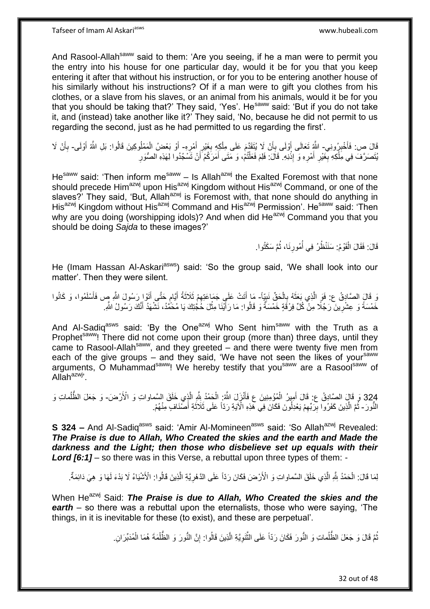Tafseer of Imam Al Askariasws www.hubeali.com

And Rasool-Allah<sup>saww</sup> said to them: 'Are you seeing, if he a man were to permit you the entry into his house for one particular day, would it be for you that you keep entering it after that without his instruction, or for you to be entering another house of his similarly without his instructions? Of if a man were to gift you clothes from his clothes, or a slave from his slaves, or an animal from his animals, would it be for you that you should be taking that?' They said, 'Yes'. He<sup>saww</sup> said: 'But if you do not take it, and (instead) take another like it?' They said, 'No, because he did not permit to us regarding the second, just as he had permitted to us regarding the first'.

قَالَ ص: فَأَخْبِرُونِي- اللَّهِ تَعَالَى أَوْلَى بِأَنْ لَا يُتَقَدَّمَ عَلَى مِلْكِهِ بِغَيْرِ أَمْرِهِ- أَوْ بَعْضُ الْمَمْلُوكِينَ قَالُوا: بَلِ اللَّهُ أَوْلَى- بِأَنْ لَا **ِ** َ **∶** َ **∶** ِ ْ َ **∶** َ َ ْ َ أ **∶** يُتَصَرَّفَ فِي مِلْكِهِ بِغَيْرِ أَمْرِهِ وَ إِذْنِهِ. قَالَ: فَلِمَ فَعَلْتُمْ، وَ مَتَى أَمَرَكُمْ أَنْ تَسْجُدُوا لِهَذِهِ الصُّوَرِ ْ ِ َ ِ ِ ْ ْ ِ اُ َ

He<sup>saww</sup> said: 'Then inform me<sup>saww</sup> – Is Allah<sup>azwj</sup> the Exalted Foremost with that none should precede Him<sup>azwj</sup> upon His<sup>azwj</sup> Kingdom without His<sup>azwj</sup> Command, or one of the slaves?' They said, 'But, Allah<sup>azwj</sup> is Foremost with, that none should do anything in His<sup>azwj</sup> Kingdom without His<sup>azwj</sup> Command and His<sup>azwj</sup> Permission'. He<sup>saww</sup> said: 'Then why are you doing (worshipping idols)? And when did  $He^{azwj}$  Command you that you should be doing *Sajda* to these images?'

> قَالَ: فَقَالَ الْقَوْمُ: سَنَنْظُرُ فِي أُمُورِنَا، ثُمَّ سَكَتُوا. ُ **∶** ا<br>ا ْ

He (Imam Hassan Al-Askari<sup>asws</sup>) said: 'So the group said, 'We shall look into our matter'. Then they were silent.

وَ قَالَ الصَّادِقُ ع: فَوَ الَّذِي بَعَثَهُ بِالْحَقِّ نَبِيّاً- مَا أَتَتْ عَلَى جَمَاعَتِهِمْ ثَلَاثَةُ أَيَّام حَتَّى أَتَوْا ِرَسُولَ اللَّهِ صٍ فَأَسْلَمُوا، وَ كَانُوا ِ ْ ِ  $\ddot{\cdot}$ ه َ َ ֧֖֧֖֖֖֖֧֧֖֖֧֧֧֧֦֧֧֧֦֧֧֚֚֚֚֚֚֚֚֝֝֟֓֝֓֝֓֟֓֝֬֟֓֟֓֟֓֝֬֝֓֝֓֟֓֡֬֓֝֬֝֓֟֓֓֝֬ َ َ ِ َ خَمْسَةً وَ عِشْرِينَ رَجُلًا مِنْ كُلِّ فِرْقَةٍ خَمْسَةٌ وَ قَالُوا: مَا رَأَيْنَا مِثْلَ خَجَّتِكَ يَا مُحَمَّدُ، نَشْهَدُ أَنَّكَ رَسُولُ اللَّهِ **ٔ** َ ِ ً َ

And Al-Sadiq<sup>asws</sup> said: 'By the One<sup>azwj</sup> Who Sent him<sup>saww</sup> with the Truth as a Prophet<sup>saww</sup>! There did not come upon their group (more than) three days, until they came to Rasool-Allah<sup>saww</sup>, and they greeted – and there were twenty five men from each of the give groups – and they said, 'We have not seen the likes of your<sup>saww</sup> arguments, O Muhammad<sup>saww</sup>! We hereby testify that you<sup>saww</sup> are a Rasool<sup>saww</sup> of  $Allah^{azwj}$ 

324 وَ قَالٍ الصَّادِقُ ع: قَالَ أَمِيرُ الْمُؤْمِنِينَ ع فَأَنْزَلَ اللَّهُ: الْحَمْدُ بِلَّهِ الَّذِي خَلَقَ السَّماواتِ وَ الْأَرْضَ- وَ جَعَلَ الظُّلُماتِ وَ ا<br>ا ه ه ْ **ٔ** َ ْ َ النُّورَ - ثُمَّ الَّذِينَ كَفَرُوا بِرَبِّهِمْ يَعْدِلُونَ فَكَانَ فِي هَذِهِ الْآيَةِ رَدّاً عَلَى ثَلَاثَةِ أَصَّنَافٍ مِنْهُمْ. ه ُ ِ ِ َ َ

**S 324 -** And Al-Sadiq<sup>asws</sup> said: 'Amir Al-Momineen<sup>asws</sup> said: 'So Allah<sup>azwj</sup> Revealed: *The Praise is due to Allah, Who Created the skies and the earth and Made the darkness and the Light; then those who disbelieve set up equals with their Lord [6:1]* – so there was in this Verse, a rebuttal upon three types of them: -

لِمَا قَالَ: الْحَمْدُ شِّهِ الَّذِي خَلَقَ السَّماواتِ وَ الْأَرْضَ فَكَانَ رَدّاً عَلَى الدَّهْرِيَّةِ الَّذِينَ قَالُوا: الْأَشْيَاءُ لَا بَدْءَ لَهَا وَ هِيَ دَائِمَةٌ ه ْ **ٍ** ه

When He<sup>azwj</sup> Said: *The Praise is due to Allah. Who Created the skies and the earth* – so there was a rebuttal upon the eternalists, those who were saying, 'The things, in it is inevitable for these (to exist), and these are perpetual'.

> نُّمَّ قَالَ وَ جَعَلَ الظُّلُماتِ وَ النُّورَ فَكَانَ رَدَّاً عَلَى النُّتَوِيَّةِ الَّذِينَ قَالُوا: إِنَّ النُّورَ وَ الظُّلْمَةَ هُمَا الْمُدَبِّرَانِ. ُ ْ ِ ه **∶** ه ؚ<br>ا ْ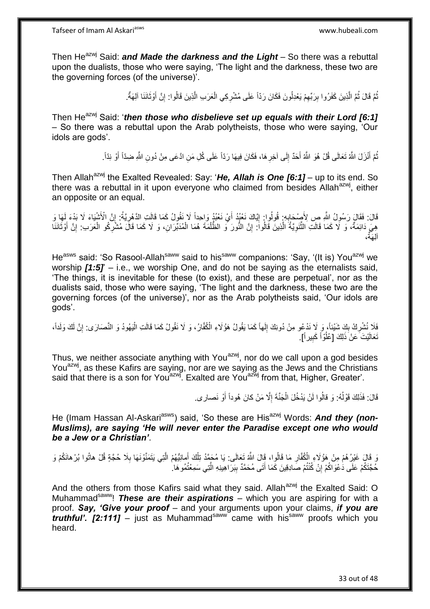Then He<sup>azwj</sup> Said: *and Made the darkness and the Light* – So there was a rebuttal upon the dualists, those who were saying, 'The light and the darkness, these two are the governing forces (of the universe)'.

> نُّمَّ قَالَ ثُمَّ الَّذِينَ كَفَرُوا بِرَبِّهِمْ يَعْدِلُونَ فَكَانَ رَدّاً عَلَى مُشْرِكِي الْعَرَبِ الَّذِينَ قَالُوا: إِنَّ أَوْثَانَنَا آلِهَةٌ. ُ ِ **ِ** ه ُ ْ ِ َ َ ِ ه

Then He<sup>azwj</sup> Said: '*then those who disbelieve set up equals with their Lord [6:1]* – So there was a rebuttal upon the Arab polytheists, those who were saying, 'Our idols are gods'.

> ثُمَّ أَنْزَلَ اللَّهُ تَعَالَى قُلْ هُوَ اللَّهُ أَحَدٌ إِلَى آخِرِ هَا، فَكَانَ فِيهَا رَدّاً عَلَى كُلِ مَنِ ادَّعَى مِنْ دُونِ اللَّهِ ضِدّاً أَوْ نِدّاً. َ ِ ِ َ

Then Allah<sup>azwj</sup> the Exalted Revealed: Say: 'He, Allah is One [6:1] – up to its end. So there was a rebuttal in it upon everyone who claimed from besides Allah $a$ <sup>azwj</sup>, either an opposite or an equal.

قَالَ: فَقَالَ رَسُولُ اللَّهِ صِ لِأَصِحَابِهِ: قُولُوا: إِيَّاكَ نَعْبُدُ أَيْ نَعْبُدُ وَاحِداً لَا نَقُولُ كَمَا قَالَتِ الدَّهْرِيَّةُ: إِنَّ الْأَشْيَاءَ لَا بَدْءَ لِهَا وَ َ ِ ِ ِ ِ هِيَ دَائِمَةٌ، وَ لَا كَمَا قَالَتِ الثَّنَوِيَّةُ الَّذِينَ قَالُواً: إِنَّ النُّورَ وَ الظُّلْمَةَ هُمَا الْمُدَبِّرَانِ، وَ لَا كَمَا قَالَ مُشْرِكُو الْعَرَبِ: إِنَّ أَوْثَانَنَا ِ ه ِ ه َ َ ِ ْ ِ ْ ْ ، آلِ َهةٌ

He<sup>asws</sup> said: 'So Rasool-Allah<sup>saww</sup> said to his<sup>saww</sup> companions: 'Say, '(It is) You<sup>azwj</sup> we worship *[1:5]*' – i.e., we worship One, and do not be saying as the eternalists said, 'The things, it is inevitable for these (to exist), and these are perpetual', nor as the dualists said, those who were saying, 'The light and the darkness, these two are the governing forces (of the universe)', nor as the Arab polytheists said, 'Our idols are gods'.

فَلَا نُشْرِكُ بِكَ شَيْئاً، وَ لَا نَدْعُو مِنْ دُونِكَ إِلَهاً كَمَا يَقُولُ هَؤُلَاءِ الْكُفَّارُ، وَ لَا نَقُولُ كَمَا قَالَتِ الْيَهُودُ وَ النَّصَارَى: إِنَّ لَكَ وَلَداً، ِ  $\frac{1}{2}$ **∶** ِ ْ تَعَالَيْتَ عَنْ ذَلِكَ [عُلُوّاً كَبِيراً]. ُ **!** 

Thus, we neither associate anything with You<sup>azwj</sup>, nor do we call upon a god besides You<sup>azwj</sup>, as these Kafirs are saying, nor are we saying as the Jews and the Christians said that there is a son for You<sup>azwj</sup>. Exalted are You<sup>azwj</sup> from that, Higher, Greater'.

> قَالَ: فَذَلِكَ قَوْلُهُ: وَ قالُوا لَنْ يَدْخُلَ الْجَنَّةَ إِلَّا مَنْ كانَ هُوداً أَوْ نَصار ى. َ ِ ْ ا<br>ا

He (Imam Hassan Al-Askari<sup>asws</sup>) said, 'So these are His<sup>azwj</sup> Words: And they (non-*Muslims), are saying 'He will never enter the Paradise except one who would be a Jew or a Christian'*.

وَ قَالَ غَيْرُهُمْ مِنْ هَؤُلَاءِ الْكُفَّارِ مَا قَالُوا، قَالَ اللَّهُ تَعَالَى: يَا مُحَمَّدُ تِلْكَ أَمانِيُّهُمْ الَّتِي يَتَمَنَّوْنَهَا بِلَا حُجَّةٍ قُلْ هاتُوا بُرْهانَكُمْ وَ َ ْ **∶ ∶** حُجَّتَكُمْ عَلَى دَعْوَاكُمْ إِنْ كُنْتُمْ صَادِقِينَ كَمَا أَتَى مُحَمَّدٌ بِبَرَاهِينِهِ الَّتِي سَمِعْتُمُو هَا ِ ِ ه  $\frac{1}{2}$ َ

And the others from those Kafirs said what they said. Allah<sup>azwj</sup> the Exalted Said: O Muhammad<sup>saww</sup>! **These are their aspirations** – which you are aspiring for with a proof. *Say, 'Give your proof* – and your arguments upon your claims, *if you are truthful'.* [2:111] – just as Muhammad<sup>saww</sup> came with his<sup>saww</sup> proofs which you heard.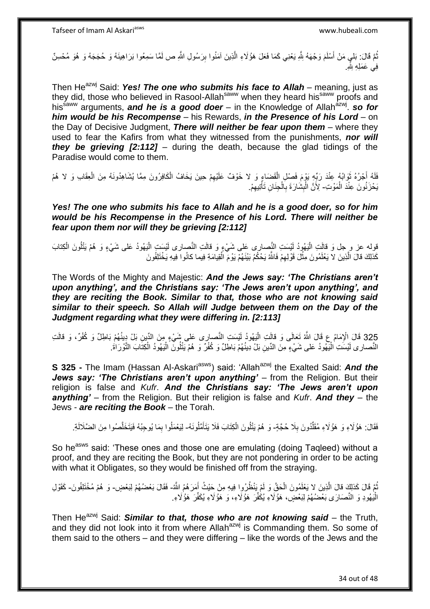نُّمَّ قَالَ: بَلي مَنْ أَسْلَمَ وَجْهَهُ لِلَّهِ يَعْنِي كَمَا فَعَلَ هَؤُلَاءِ الَّذِينَ آمَنُوا بِرَسُولِ اللَّهِ ص لَمَّا سَمِعُوا بَرَاهِينَهُ وَ حُجَجَهُ وَ هُوَ مُحْسِنٌ ُ ِ فِي عَمَلِهِ لِثَّهِ

Then He<sup>azwj</sup> Said: *Yes! The one who submits his face to Allah* – meaning, just as they did, those who believed in Rasool-Allah<sup>saww</sup> when they heard his<sup>saww</sup> proofs and his<sup>saww</sup> arguments, and he is a good doer – in the Knowledge of Allah<sup>azwj</sup>. so for *him would be his Recompense* – his Rewards, *in the Presence of his Lord* – on the Day of Decisive Judgment, *There will neither be fear upon them* – where they used to fear the Kafirs from what they witnessed from the punishments, *nor will they be grieving [2:112]* – during the death, because the glad tidings of the Paradise would come to them.

فَلَهُ أَجْرُهُ ثَوَابُهُ عِنْدَ رَبِّهِ يَوْمَ فَصْلِ الْقَضَاعِ وَ لا خَوْفٌ عَلَيْهِمْ حِينَ يَخَافُ الْكَافِرُونَ مِمَّا يُشَاهِدُونَهُ مِنَ الْعِقَابِ وَ لا هُمْ َ ْ ِ ْ ْ يَحْزَنُونَ عِنْدَ الْمَوْتِ- لِأَنَّ الْبِشَارَةَ بِالْجِنَانِ تَأْتِيهِمْ. ْ ِ ْ ْ ِ ِ ْ َ

*Yes! The one who submits his face to Allah and he is a good doer, so for him would be his Recompense in the Presence of his Lord. There will neither be fear upon them nor will they be grieving [2:112]*

قوله عز و حِل وَ قالَتِ الْيَهُودُ لَيْسَتِ النَّصِارِى عَلى شَيْءٍ وَ قالَتِ النَّصِارى لَيْسَتِ الْيَهُودُ عَلى شَيْءٍ وَ هُمْ يَتْلُونَ الْكِنابَ ا<br>ا ْ ْ كَذلِكَ قالَ الَّذِينَ لا يَعْلَمُونَ مِثْلَ قَوْلِهِمْ فَاللَّهُ يَحْكُمُ بَيْنَهُمْ يَوْمَ الْقِيامَةِ فِيما كانُوا فِيهِ يَخْتَلِفُونَ ْ ِ **ٔ** ه

The Words of the Mighty and Majestic: *And the Jews say: 'The Christians aren't upon anything', and the Christians say: 'The Jews aren't upon anything', and they are reciting the Book. Similar to that, those who are not knowing said similar to their speech. So Allah will Judge between them on the Day of the Judgment regarding what they were differing in. [2:113]*

325 قَالَ الْإِمَامُ عِ قَالَ اللَّهُ تَعَالَى وَ قالَتِ الْيَهُودُ لَيْسَتِ النَّصارى عَلى شَيْءٍ مِنَ الدِّينِ بَلْ دِينُهُمْ بَاطِلٌ وَ كُفُرٌ، وَ قالَتِ ْ النَّصـار ى لَيْسَتِ الْيَهُودُ عَلى شَيْءٍ مِنَ الدِّينِ بَلْ دِينُهُمْ بَاطِلٌ وَ كُفْرٌ وَ هُمْ يَتْلُونَّ الْيَهُودُ الْكِتَابَ التَّوْرَاةَ. ْ ا<br>ا ْ ْ

**S 325 -** The Imam (Hassan Al-Askari<sup>asws</sup>) said: 'Allah<sup>azwj</sup> the Exalted Said: And the Jews say: 'The Christians aren't upon anything' - from the Religion. But their religion is false and *Kufr*. *And the Christians say: 'The Jews aren't upon anything'* – from the Religion. But their religion is false and *Kufr*. *And they* – the Jews - *are reciting the Book* – the Torah.

فَقَالَ: هَؤُلَاءِ وَ هَؤُلَاءِ مُقَلَّدُونَ بِلَا حُجَّةٍ- وَ هُمْ يَتْلُونَ الْكِتَابَ فَلَا يَتَأَمَّلُونَهُ- لِيَعْمَلُوا بِمَا يُوحِبُهُ فَيَتَخَلَّصُوا مِنَ الضَّلَالَةِ. **∶** ِّ َ ْ ه ِ

So he<sup>asws</sup> said: 'These ones and those one are emulating (doing Tagleed) without a proof, and they are reciting the Book, but they are not pondering in order to be acting with what it Obligates, so they would be finished off from the straying.

نُمَّ قَالَ كَذلِكٍ قالَ الَّذِينَ لا يَعْلَمُونَ الْحَقَّ وَ لَمْ يَنْظُرُوا فِيهِ مِنْ حَيْثُ أَمَرَهُمُ اللَّهُ- فَقَالَ بَعْضُهُمْ لِبَعْضٍ- وَ هُمْ مُخْتَلِفُونَ- كَقَوْلِ ه َ الْيَهُودِ وَ النَّصَارَى بَعْضُهُمْ لِبَعْضٍ، هَؤُلَاءِ يُكَفِّرَ هَؤُلَاءِ، وَ هَؤُلَاءِ يُكَفِّرَ هَؤُلَاءِ. :<br>ا

Then He<sup>azwj</sup> Said: *Similar to that, those who are not knowing said* – the Truth, and they did not look into it from where Allah<sup>azwj</sup> is Commanding them. So some of them said to the others – and they were differing – like the words of the Jews and the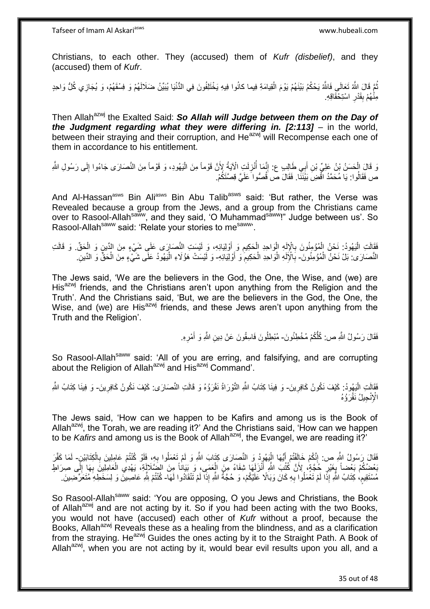Christians, to each other. They (accused) them of *Kufr (disbelief)*, and they (accused) them of *Kufr*.

ثُمَّ قَالَ اللَّهُ تَعَالَى فَاللَّهُ يَحْكُمُ بَيْنَهُمْ يَوْمَ الْقِيامَةِ فِيما كانُوا فِيهِ يَخْتَلِفُونَ فِي الدُّنْيَا يُبَيِّنُ ضَلَالَهُمْ وَ فِسْقَهُمْ، وَ يُجَازِي كُلُّ وَاحِدٍ ْ مِنْهُمْ بِقَدْرِ اسْتِحْقَاقِهِ. **∶ ∣** 

Then Allah<sup>azwj</sup> the Exalted Said: So Allah will Judge between them on the Day of *the Judgment regarding what they were differing in. [2:113]* – in the world, between their straying and their corruption, and He<sup>azwj</sup> will Recompense each one of them in accordance to his entitlement.

وَ قَالَ الْحَسَنُ بْنُ عَلِيٍّ بْنِ أَبِي طَالِبٍ ع: إِنَّمَا أُنْزِلَتٍ الْآيَةُ لِأَنَّ قَوْماً مِنَ الْيَهُودِ، وَ قَوْماً مِنَ النَّصَارَى جَاءُوا إِلَى رَسُولِ اللَّهِ ْ لَ ן∣<br>ֲ ْ لَ **∶** ا<br>ا ِ َ ص فَقَالُوا: يَا مُحَمَّدُ اقْضِ بَيْنَنَا. فَقَالَ ص قُصُّوا َعَلَيَّ قِصَّنَكُمْ.

And Al-Hassan<sup>asws</sup> Bin Ali<sup>asws</sup> Bin Abu Talib<sup>asws</sup> said: 'But rather, the Verse was Revealed because a group from the Jews, and a group from the Christians came over to Rasool-Allah<sup>saww</sup>, and they said, 'O Muhammad<sup>saww</sup>!" Judge between us'. So Rasool-Allah<sup>saww</sup> said: 'Relate your stories to me<sup>saww</sup>'.

ِّقَالَتِ الْيَهُودُ: نَحْنُ الْمُؤْمِنُونَ بِالْإِلَهِ الْوَاحِدِ الْحَكِيمِ وَ أَوْلِيَائِهِ، وَ لَيْسَتِ النَّصَارَى عَلَى شَيْءٍ مِنَ الدِّينِ وَ الْحَقِّ. وَ قَالَتِ ِ ْ ْ لَ ِ ْ :<br>ا ْ النَّصَارَى: بَلْ نَحْنُ الْمُؤْمِنُونَ- بِالْإِلَهِ الْوَاحِدِ الْحَكِيمِ وَ أَوْلِيَانِهِ- وَ لَيْسَتْ هَؤُلَاءِ الْيَهُودُ عَلَى شَيْءٍ مِنَ الْحَقُّ وَ الدِّينِ ِ ْ ْ لَ ِ ْ ْ

The Jews said, 'We are the believers in the God, the One, the Wise, and (we) are His<sup>azwj</sup> friends, and the Christians aren't upon anything from the Religion and the Truth'. And the Christians said, 'But, we are the believers in the God, the One, the Wise, and (we) are His<sup>azwj</sup> friends, and these Jews aren't upon anything from the Truth and the Religion'.

> فَقَالَ رَسُولُ النَّهِ ص: كُلُّكُمْ مُخْطِئُونَ- مُبْطِلُونَ فَاسِقُونَ عَنْ دِينِ النَّهِ وَ أَمْرِهِ. **∶** َ

So Rasool-Allah<sup>saww</sup> said: 'All of you are erring, and falsifying, and are corrupting about the Religion of Allah<sup>azwj</sup> and His<sup>azwj</sup> Command'.

فَقَالَتِ الْيَهُودُ: كَيْفَ نَكُونُ كَافِرِينَ- وَ فِينَا كِتَابُ اللَّهِ النَّوْرَاةُ نَقْرَؤُهُ وَ قَالَتِ النَّصَارَى: كَيْفَ نَكُونُ كَافِرِينَ- وَ فِينَا كِتَابُ اللَّهِ ِ ا<br>ا ِ ه الْإِنْجِيلُ نَقْرَؤُهُ

The Jews said, 'How can we happen to be Kafirs and among us is the Book of Allah<sup>azwj</sup>, the Torah, we are reading it?' And the Christians said, 'How can we happen to be *Kafirs* and among us is the Book of Allah<sup>azwj</sup>, the Evangel, we are reading it?'

نَفَقَالَ رَسُولُ اللَّهِ ص: إِنَّكُمْ خَالَفْتُمْ أَيُّهَا الْيَهُودُ وَ النَّصَارَى كِتَابَ اللَّهِ وَ لَمْ تَعْمَلُوا بِهِ، فَلَوْ كُنْتُمْ عَامِلِينَ بِالْكِتَابَيْنِ- لَمَا كَفَّرَ **∶** ْ َ ِ ْ ِ لَ بَعْضُكُمْ بَعْضاً بِغَيْرِ خُجَّةٍ، لِأَنَّ كُتُبَ اللَّهِ أَنْزَلَهَا شِفَاءً مِنَ الْعَصَى، وَ بَيَاناً مِنَ الضَّلَالَةِ، يَهْدِي الْعَامِلِينَ بِهَا إِلَى صِرَاطٍ ْ َ ِ ِ لَ ِ ِ ْ مُسْتَقِيمٍ، كِتَابُ اللَّهِ إِذَا لَمْ تَعْمَلُوا بِهِ كَانَ وَبَالًا عَلَيْكُمْ، وَ حُجَّةُ اللَّهِ إِذَا لَمْ تَنْقَادُوا لَهَا- كُنْتُمْ لِلَّهِ عَاصِينَ وَ لِسَخَطِهِ مُتَعَرِّضِينَ م ِ

So Rasool-Allah<sup>saww</sup> said: 'You are opposing, O you Jews and Christians, the Book of Allah<sup>azwj</sup> and are not acting by it. So if you had been acting with the two Books, you would not have (accused) each other of *Kufr* without a proof, because the Books, Allah<sup>azwj</sup> Reveals these as a healing from the blindness, and as a clarification from the straying. He $^{azmj}$  Guides the ones acting by it to the Straight Path. A Book of Allah $a^{2xy}$ , when you are not acting by it, would bear evil results upon you all, and a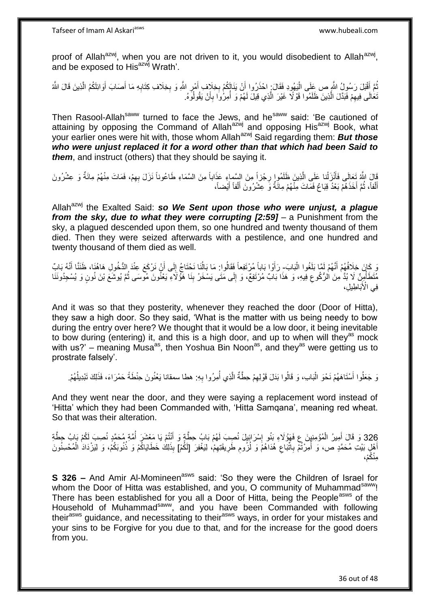proof of Allah<sup>azwj</sup>, when you are not driven to it, you would disobedient to Allah<sup>azwj</sup>, and be exposed to His<sup>azwj</sup> Wrath'.

نُّمَّ أَقْبَلَ رَسُولُ النَّهِ ص عَِلَى الْيَهُودِ فَقَالَ: احْذَرُوا أَنْ يَذَالَٕكُمْ بِخِلَافٍ أَمْرِ اللَّهِ وَ بِخِلَافٍ كِتَابِهِ مَا أَصَابَ أَوَائِلَكُمُ الَّذِينَ قَالَ اللَّهُ ِ **∶** َ **∶** َ :<br>ا َ ُ ه َ َ **∶** تَعَالَى فِيهِمْ فَبَدَّلَ الَّذِينَ ظَلَمُوا قَوْلًا غَيْرَ الَّذِي قِيلَ لَهُمْ وَ أُمِرُوا بِأَنْ يَقُولُوَهُ. ِ ه ه َ ِ ا<br>ا

Then Rasool-Allah<sup>saww</sup> turned to face the Jews, and he<sup>saww</sup> said: 'Be cautioned of attaining by opposing the Command of Allah<sup>azwj</sup> and opposing His<sup>azwj</sup> Book, what your earlier ones were hit with, those whom Allah<sup>azwj</sup> Said regarding them: **But those** *who were unjust replaced it for a word other than that which had been Said to them*, and instruct (others) that they should be saying it.

قَالَ اللَّهُ تَعَالَى فَأَنْزَلْنا عَلَى الَّذِينَ ظَلَمُوا رِجْزاً مِنَ السَّماءِ عَذَاباً مِنَ السَّمَاءِ طَاعُوناً نَزَلَ بِهِمْ، فَمَاتَ مِنْهُمْ مِائَةٌ وَ عِشْرُونَ<br>نَقْلُ اللَّهُ تَعَالَى فَأَنْزَلْنا عَلَى الَّذِ ِ ِ ه ْ َ أَلْفاً، ثُمَّ أَخَذَهُمْ بَعْدُ قِبَاعٌ فَمَاتَ مِنْهُمْ مِائَةٌ وَ عِشْرُونَ أَلْفاً أَيْضاً، َ ا ماہ<br>سال ْ َ َ ْ َ

Allah<sup>azwj</sup> the Exalted Said: so We Sent upon those who were unjust, a plague *from the sky, due to what they were corrupting [2:59]* – a Punishment from the sky, a plagued descended upon them, so one hundred and twenty thousand of them died. Then they were seized afterwards with a pestilence, and one hundred and twenty thousand of them died as well.

وَ كَانَ خِلَافُهُمْ أَنَّهُمْ لَمَّا بَلَغُوا الْبَابَ- رَأَوْا بَاباً مُرْتَفِعاً فَقَالُوا: مَا بَالْنَا نَحْتَاجُ إِلَى أَنْ نَرْكَعَ عِنْدَ الدُّخُولِ هَاهُنَا، ظَنَنًا أَنَّهُ بَابٌ :<br>ا َ َ ∣∣<br>∶ ُ َ مُتَطَأْمِنٌ لَا بُدَّ مِنَ الرُّكُوعِ فِيهِ، وَ هَذَا بَابٌ مُرْتَفِعٌ، وَ إِلَى مَتَى يَسْخَرُ بِنَا هَؤُلَاءِ يَعْنُونَ مُومَسَى ثُمَّ يُوشَعَ بْنَ نُونٍ وَ يُسْجِدُونَنَا .<br>ا ُ  $\frac{1}{2}$ ِ فِي الْأَبَاطِيلِ،

And it was so that they posterity, whenever they reached the door (Door of Hitta), they saw a high door. So they said, 'What is the matter with us being needy to bow during the entry over here? We thought that it would be a low door, it being inevitable to bow during (entering) it, and this is a high door, and up to when will they<sup>as</sup> mock with us?' – meaning Musa<sup>as</sup>, then Yoshua Bin Noon<sup>as</sup>, and they<sup>as</sup> were getting us to prostrate falsely'.

وَ جَعَلُوا أَسْتَاهَهُمْ نَحْوَ الْبَابِ، وَ قَالُوا بَدَلَ قَوْلِهِمْ حِطَّةٌ الَّذِي أُمِرُوا بِهِ. هطا سمقانا يَعْنُونَ حِنْطَةً حَمْرَاءَ، فَذَلِكَ تَبْدِيلُهُمْ. **∶** ُ ه ِ ْ َ ا<br>ا

And they went near the door, and they were saying a replacement word instead of 'Hitta' which they had been Commanded with, 'Hitta Samqana', meaning red wheat. So that was their alteration.

326 وَ قَالَ أَمِيرُ الْمُؤْمِنِينَ عِ فَهَوْٰلَاءِ بَنُو إِسْرَائِيلَ نُصِبَ لَهُمْ بَابُ حِطَّةٍ وَ أَنْتُمْ يَا مَعْشَرَ أُمَّةٍ مُحَمَّدٍ نُصِبَ لَكُمْ بَابُ حِطَّةِ ْ َ َُ ِ أَهْلِ بَيْتِ مُحَمَّدٍ ص، وَ أُمِرْنَٰمْٓ بِاتَّبَاعِ هُدَاهُمۡ وَ لُزُومِ طَرِيقَتِهِمْۥ لِيَغْفِرَ [لَكُمْ] بِذَلِكَ خَطَايَاكُمْ وَ ذُنُوبَكُمْ، وَ لِيَزْدَادَ الْمُحْسِنُونَ ِ ِ ِ ِ ِ ِ<br>ا ْ ِمنْ ُكْم،

**S 326 –** And Amir Al-Momineen<sup>asws</sup> said: 'So they were the Children of Israel for whom the Door of Hitta was established, and you, O community of Muhammad<sup>saww</sup>! There has been established for you all a Door of Hitta, being the People<sup>asws</sup> of the Household of Muhammad<sup>saww</sup>, and you have been Commanded with following their<sup>asws</sup> guidance, and necessitating to their<sup>asws</sup> ways, in order for your mistakes and your sins to be Forgive for you due to that, and for the increase for the good doers from you.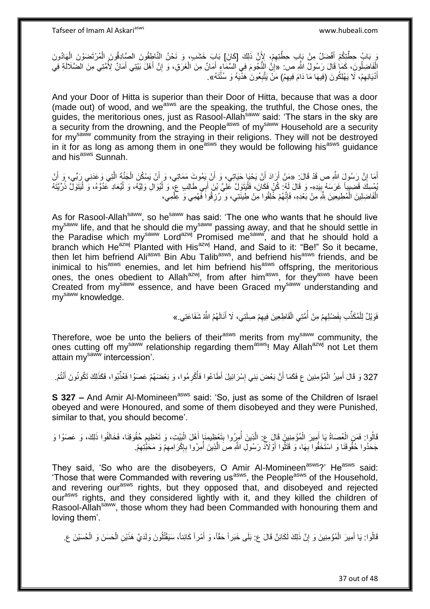نَ بَابُ حِطَّتِكُمْ أَفْضَلُ مِنْ بَابِ حِطَّتِهِمْ، لِأَنَّ ذَلِكَ [كَانَ] بَابَ خَشَبٍ، وَ نَحْنُ النَّاطِقُونَ الصَّادِقُونَ الْمُرْتَضَوْنَ الْهَادُونَ ِ َ ْ ْ ُ أَفَاضِلُونَ، كَمَا قَالَ رَسُولُ اللَّهِ ص: «إِنَّ النُّجُومَ فِي السَّمَاءِ أَمَانٌ مِنَ الْغَرَّقِ، وَ إِنَّ أَهْلَ بَيْنِي أَمَانٌ لِأُمَّنِي مِنَ الضَّلَالَةِ فِي ْ َ َ ِ ْ َ ِ أَدْيَانِهِمْ، لَا يَهْلِكُونَ (فِيهَا مَا دَامَ فِيهِمْ) مَنْ يَتَّبِعُونَ هَذَّيَهُ وَ سُنَّتَهُ». ِ ِ ِ

And your Door of Hitta is superior than their Door of Hitta, because that was a door (made out) of wood, and we<sup>asws</sup> are the speaking, the truthful, the Chose ones, the guides, the meritorious ones, just as Rasool-Allah<sup>saww</sup> said: 'The stars in the sky are a security from the drowning, and the People<sup>asws</sup> of my<sup>saww</sup> Household are a security from the drowning, and the People<sup>asws</sup> of my<sup>saww</sup> Household are a security for my<sup>saww</sup> community from the straying in their religions. They will not be destroyed in it for as long as among them in one<sup>asws</sup> they would be following his<sup>asws</sup> guidance and his<sup>asws</sup> Sunnah.

أَمَا إِنَّ رَسُولَ اللَّهِ ص قَدْ قَالَ: «مَنْ أَرَادَ أَنْ يَحْيَا حَيَاتِي، وَ أَنْ يَمُوتَ مَمَاتِي، وَ أَن ِ َ ه ْ َ اُ َ اُ يُمْسِكَ قَضِيبِاً غَرَسَهُ بِبَدِهِ- وَ قَالَ لَهُ: كُنْ فَكَانَ، فَلْيَتَوَلَّ عَلِيَّ بْنَ أَبِي طَالِبٍ عِ، وَ لْيُوَالِ وَلِيَّهُ، وَ لْيُعَادِ عَدُوَّهُ، وَ لْيَتَوَلَّ ذُرِّيَّتَهُ ِ ْ ْ :<br>ا َ :<br>ا الْفَاضِلِينَ الْمُطِيعِينَ بِثَّهِ مِنْ بَعْدِهِ، فَإِنَّهُمْ خُلِقُوا مِنْ طِينَتِي، وَ رُزِقُواَ فَهْمِي وَ عِلْمِي، **∶** ِ ْ ْ

As for Rasool-Allah<sup>saww</sup>, so he<sup>saww</sup> has said: 'The one who wants that he should live my<sup>saww</sup> life, and that he should die my<sup>saww</sup> passing away, and that he should settle in the Paradise which my<sup>saww</sup> Lord<sup>azwj</sup> Promised me<sup>saww</sup>, and that he should hold a branch which He<sup>azwj</sup> Planted with His<sup>azwj</sup> Hand, and Said to it: "Be!" So it became, then let him befriend Ali<sup>asws</sup> Bin Abu Talib<sup>asws</sup>, and befriend his<sup>asws</sup> friends, and be inimical to his<sup>asws</sup> enemies, and let him befriend his<sup>asws</sup> offspring, the meritorious ones, the ones obedient to Allah<sup>azwj</sup>, from after him<sup>asws</sup>, for they<sup>asws</sup> have been Created from my<sup>saww</sup> essence, and have been Graced my<sup>saww</sup> understanding and mv<sup>saww</sup> knowledge.

> فَوَيْلٌ لِلْمُكَذِّبِ بِفَضْلِهِمْ مِنْ أُمَّتِي الْقَاطِعِينَ فِيهِمْ صِلَتِي، لَا أَنَالَهُمُ اللَّهُ شَفَاعَتِي.» ْ ِ ْ ،<br>ا ِ **∣** َ

Therefore, woe be unto the beliers of their<sup>asws</sup> merits from my<sup>saww</sup> community, the ones cutting off my<sup>saww</sup> relationship regarding them<sup>asws</sup>! May Allah<sup>azwj</sup> not Let them attain my<sup>saww</sup> intercession'.

327 وَ قَالَ أَمِيرُ الْمُؤْمِنِينَ ع فَكَمَا أَنَّ بَعْضَ بَنِي إِسْرَائِيلَ أَطَاعُوا فَأُكْرِمُوا، وَ بَعْضَهُمْ عَصَوُا فَعُذِّبُوا، فَكَذَلِكَ تَكُونُونَ أَنْتُمْ. **ٔ** َ ْ َ ُِ َ

**S 327 –** And Amir Al-Momineen<sup>asws</sup> said: 'So, just as some of the Children of Israel obeyed and were Honoured, and some of them disobeyed and they were Punished, similar to that, you should become'.

قَالُوا: فَمَنِ الْعُصَاةُ يَا أَمِيرَ الْمُؤْمِنِينَ قَالَ عِ: الَّذِينَ أُمِرُوا بِتَعْظِيمِنَا أَهْلَ الْبَيْتِ، وَ تَعْظِيمِ حُقُوقِنَا، فَخَالَفُوا ذَلِكَ، وَ عَصَوْا وَ ْ َ **∣** ُ ه ْ َ ْ **e** جَحَدُوا حُقُوقَنَا وَ اسْتَخَفُّوا بِهَا، وَ قَتَلُوا أَوْلَاَدْ رَسُولِ اللَّهِ صَ الَّذِينَ أُمِرُوا بِإِكْرَامِهِمْ وَ مَحَبَّتِهِمْ. **∶** ِ ِ ן, ِ ُ ه

They said, 'So who are the disobeyers, O Amir Al-Momineen<sup>asws</sup>?' He<sup>asws</sup> said: Those that were Commanded with revering us<sup>asws</sup>, the People<sup>asws</sup> of the Household, and revering our<sup>asws</sup> rights, but they opposed that, and disobeyed and rejected our<sup>asws</sup> rights, and they considered lightly with it, and they killed the children of Rasool-Allah<sup>saww</sup>, those whom they had been Commanded with honouring them and loving them'.

قَالُوا: يَا أَمِيرَ الْمُؤْمِنِينَ وَ إِنَّ ذَلِكَ لَكَائِنٌ قَالَ ع: بَلَى خَبَراً حَقّاً، وَ أَمْراً كَائِناً، سَيَقْتُلُونَ وَلَدَيَّ هَذَيْنِ الْحَسَنَ وَ الْحُسَيْنَ ع ِ ْ َ ْ ْ َ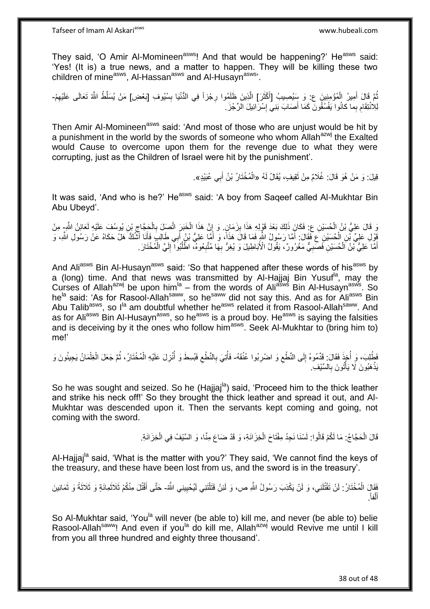They said, 'O Amir Al-Momineen<sup>asws</sup>! And that would be happening?' He<sup>asws</sup> said: 'Yes! (It is) a true news, and a matter to happen. They will be killing these two children of mine<sup>asws</sup>, Al-Hassan<sup>asws</sup> and Al-Husayn<sup>asws</sup>'.

ُّمَّ قَالَ أَمِيرُ الْمُؤْمِنِينَ ع: وَ سِّيُصِيبُ [أَكْثَرَ] الَّذِينَ ظَلَمُوا رِجْزاً فِي الدُّنْيَا بِسُيُوفِ [بَعْضِ] مَنْ يُسَلِّطُ اللَّهُ تَعَالَى عَلَيْهِمْ-ِ ِ ه َ َ ْ َ ِ ِ لِالْتِقَامِ بِما كانُوا يَفْسُقُونَ كَمَا أَصَابَ بَنِيِّ إِسْرَائِيلَ الرِّجْزَ . <u>׀</u> َ

Then Amir Al-Momineen<sup>asws</sup> said: 'And most of those who are unjust would be hit by a punishment in the world by the swords of someone who whom Allah<sup>azwj</sup> the Exalted would Cause to overcome upon them for the revenge due to what they were corrupting, just as the Children of Israel were hit by the punishment'.

> قِيلَ: وَ مَنْ هُوَ قَالَ: غُلَامٌ مِنْ ثَقِيفٍ، يُقَالُ لَهُ «الْمُخْتَارُ بْنُ أَبِي عُبَيْدٍ». ة<br>أ ِ َ ْ

It was said, 'And who is he?' He<sup>asws</sup> said: 'A boy from Saqeef called Al-Mukhtar Bin Abu Ubeyd'.

ِّ قَالَ عَلِيُّ بْنُ الْحُسَيْنِ عِ ۖ فَكَانَ ذَلِكَ بَعْدَ قَوْلِهِ هَذَا بِزَمَانٍ. وَ إِنَّ هَذَا الْخَبَرَ اتَّصَلَ بِالْحَجَّاجِ بْنِ يُوسُفَ عَلَيْهِ لَعَائِنُ الشَّرِ مِنْ ْ ِ :<br>ا ِ ْ **∶** ْ ِ فَوْلِ عَلِيٍّ بِّنِ الْحُسَيْنِ عَ فَقَالَ: أَمَّا رَسُولُ اللَّهِ فَمَا قَالَ هَذَاً، وَ أَمَّا عَلِيُّ بْنُ أَبِي طَالِبٍ فَأَنَا أَشْكُ هَلْ حَكَاهُ عَنْ رَسُولِ اللَّهِ، وَ َ َ َ َ َ أَهَّا عَلِيُّ بْنُ الْحُسَيْنِ فَصَبِيٌّ مَغْرُورٌ ، يَقُولُ الْأَبَاطِيلَ وَ يُغِرُّ بِهَا مُتَّنِعُوهُ، اطْلُبُوا ۖ إِلَيَّ الْمُخْتَارَ ـ لَ ِ ُ ِ ِ ِ ْ َ ْ

And Ali<sup>asws</sup> Bin Al-Husayn<sup>asws</sup> said: 'So that happened after these words of his<sup>asws</sup> by a (long) time. And that news was transmitted by Al-Hajjaj Bin Yusuf<sup>la</sup>, may the Curses of Allah<sup>azwj</sup> be upon him $A^{\text{in}}$  – from the words of Ali<sup>asws</sup> Bin Al-Husayn<sup>asws</sup>. So he<sup>la</sup> said: 'As for Rasool-Allah<sup>saww</sup>, so he<sup>saww</sup> did not say this. And as for Ali<sup>asws</sup> Bin Abu Talib<sup>asws</sup>, so I<sup>la</sup> am doubtful whether he<sup>asws</sup> related it from Rasool-Allah<sup>saww</sup>. And as for Ali<sup>asws</sup> Bin Al-Husayn<sup>asws</sup>, so he<sup>asws</sup> is a proud boy. He<sup>asws</sup> is saying the falsities and is deceiving by it the ones who follow him<sup>asws</sup>. Seek Al-Mukhtar to (bring him to) me!'

فَطُلِبَ، وَ أُخِذَ فَقَالَ: قَدَّمُوهُ إِلَى النَّطْعِ وَ اضْرِبُوا عُنُقَهُ- فَأُتِيَ بِالنَّطْعِ فَبُسِطَ وَ أُنْزِلَ عَلَيْهِ الْمُخْتَارُ، ثُمَّ جَعَلَ الْغِلْمَانُ يَجِيئُونَ وَ ِ ِ ِ **ٍ** ر<br>أأ ِ ِ ا<br>أ ْ ْ ُ ْ يَذْهَبُونَ لَا يَأْتُونَ بِالسَّيْفِ. ِ ْ ْ

So he was sought and seized. So he (Hajjaj<sup>la</sup>) said, 'Proceed him to the thick leather and strike his neck off!' So they brought the thick leather and spread it out, and Al-Mukhtar was descended upon it. Then the servants kept coming and going, not coming with the sword.

> قَالَ الْحَجَّاجُ: مَا لَكُمْ قَالُوا: لَسْنَا نَجِدُ مِفْتَاحَ الْخِزَانَةِ، وَ قَدْ ضَاعَ مِنًا، وَ السَّنْفُ فِي الْخِزَانَةِ. ْ ْ ْ

Al-Hajjaj<sup>la</sup> said, 'What is the matter with you?' They said, 'We cannot find the keys of the treasury, and these have been lost from us, and the sword is in the treasury'.

فَقَالَِ الْمُخْتَارُ : لَنْ تَقْتُلَنِي، وَ لَنْ يَكْذِبَ رَسُولُ اللَّهِ ص، وَ لَئِنْ قَتَلْتَنِي لَيُحْيِينِي اللَّهُ- حَتَّى أَقْتُلَ مِنْكُمْ ثَلاَثُمانَةٍ وَ ثَلاثَةً وَ ثَمَانِينَ ِ ْ لَ َ َ َ َ . فاً ل أ ْ َ

So Al-Mukhtar said, 'You<sup>la</sup> will never (be able to) kill me, and never (be able to) belie Rasool-Allah<sup>saww</sup>! And even if you<sup>la</sup> do kill me, Allah<sup>azwj</sup> would Revive me until I kill from you all three hundred and eighty three thousand'.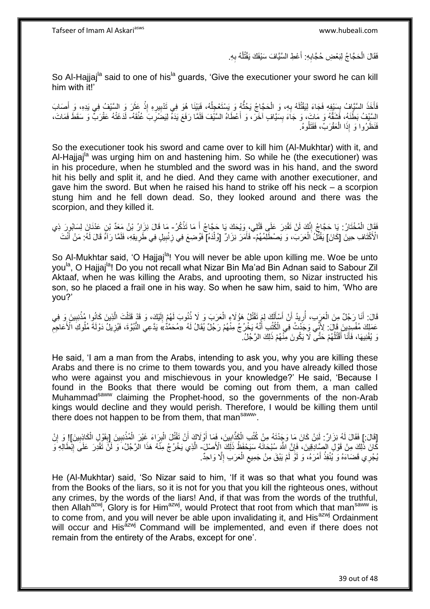فَقَالَ الْحَجَّاجُ لِبَعْضِ حُجَّابِهِ: أَعْطِ السَّيَّافَ سَيْفَكَ يَقْتُلْهُ بِهِ. َ ِ ْ ِ ْ

So Al-Hajjaj<sup>la</sup> said to one of his<sup>la</sup> guards, 'Give the executioner your sword he can kill him with it!'

فَأَخَذَ السَّيَّافُ بِسَيْفِهِ فَجَاءَ لِيَقْتُلَهُ بِهِ، وَ الْحَجَّاجُ يَحُثُّهُ وَ يَسْتَعْجِلُهُ، فَبَيْنَا هُوَ فِي تَدْبِيرِهِ إِذْ عَثَرَ وَ السَّنْفُ فِي يَدِهِ، وَ أَصَابَ<br>ذَيَذِ السَّنَّافُ بِسَيِّئَةٍ ٔ<br>ا ُّ ْ ِ لَ ِ َ َ َ **ٔ** ِ ِ السَّيْفُ بَطْنَهُ، فَشَقَّهُ وَ مَاتَ، وَ جَاءَ بِسَيَّافٍ آخَرَ، وَ أَعْطَاهُ السَّيْفَ فَلَمَّا رَفَعَ يَدَهُ لِيَضَّرِبَ عُثُقَهُ- لَاَغَتْهُ عَقْرَبٌ وَ سَقَطَ فَمَاتَ، ِ َ **!** لَ ْ فَنَظَرُوا وَ إِذَا الْعَقْرَبُ، فَقَتَلُوهُ<sub>.</sub> ُ

So the executioner took his sword and came over to kill him (Al-Mukhtar) with it, and Al-Hajjaj<sup>la</sup> was urging him on and hastening him. So while he (the executioner) was in his procedure, when he stumbled and the sword was in his hand, and the sword hit his belly and split it, and he died. And they came with another executioner, and gave him the sword. But when he raised his hand to strike off his neck – a scorpion stung him and he fell down dead. So, they looked around and there was the scorpion, and they killed it.

ْفَقَالَ الْمُخْتَارُ: يَا حَجَّاجُ إِنَّكَ لَنْ تَقْدِرَ عَلَى قَتْلِي، وَيْحَكَ يَا حَجَّاجُ أَ مَا تَذْكُرُ- مَا قَالَ نِزَارُ بْنُ مَعَدٍّ بْنِ عَدْنَانَ لِسَابُورَ ذِي **ٔ** َ ِ الْأَكْتَافِ حِينَ [كَانَ] يَقْتُلُ الْعَرَبَ، وَ يَصْطَلِّمُهُمْ- فَأَمَرَ نِزَالٌ [وُلْدَهُ] فَوُضِعَ فِي زِنْبِيلٍ فِي طَرِيقِهِ، فَلَمَّا رَآهُ قَالَ لَهُ: مَنْ أَنْتَ ْ ْ اُ ِ ِ ِ َ

So Al-Mukhtar said. 'O Haijaj<sup>la</sup>! You will never be able upon killing me. Woe be unto you<sup>la</sup>, O Hajjaj<sup>la</sup>! Do you not recall what Nizar Bin Ma'ad Bin Adnan said to Sabour Zil Aktaaf, when he was killing the Arabs, and uprooting them, so Nizar instructed his son, so he placed a frail one in his way. So when he saw him, said to him, 'Who are you?'

قَالَ: أَنَا رَجُلٌ مِنَ الْعَرَبِ، أُرِيدُ أَنْ أَسْأَلُكَ لِمَرتَقَتُلُ هَؤُلَاءٍ الْعَرَبَ وَ لَا ذُنُوبَ لَهُمْ إِلَيْكَ، وَ قَدْ قَتَلْتَ الَّذِينَ كَانُوا مُنْنِبِينَ وَ فِي َ لَ ِ ْ لَ َ َ اً ِ ُ ِ **ٔ** ه عَمَلِكَ مُفْسِدِينَ قَالَ: لِأَنِّي وَجَدْتُ فِي الْكُتُبِ أَنَّهُ يَخْرُجُ مِنْهُمْ رَجُلٌ يُقَالُ لَهُ «مُحَمَّدُ»َ يَدَّعِي النُّبُوَّة، فَيُزِيلُ دَوْلَةَ مُلُوكَ الْأَعَاجِمِ ِ **ٍ** نَ يُفْنِيهَا، فَأَنَا أَقْتُلُهُمْ حَتَّى لَا يَكُونَ مِنْهُمْ ذَلِكَ الرَّجُلُ. ُ َ َ

He said, 'I am a man from the Arabs, intending to ask you, why you are killing these Arabs and there is no crime to them towards you, and you have already killed those who were against you and mischievous in your knowledge?' He said, 'Because I found in the Books that there would be coming out from them, a man called Muhammad<sup>saww</sup> claiming the Prophet-hood, so the governments of the non-Arab kings would decline and they would perish. Therefore, I would be killing them until there does not happen to be from them, that man<sup>saww</sup>.

[قَالَ:] فَقَالَ لَهُ نِزَارٌ: لَئِنْ كَانَ مَا وَجَدْتَهُ مِنْ كُتُبِ الْكَذَّابِينَ، فَمَا أَوْلَاكَ أَنْ تَقْتُلَ الْبِرَاءَ غَيْرَ الْمُذْنِبِينَ [بِقَرْلِ الْكَاذِبِينَ]! وَ إِنْ ِ ْ ِ ِ **ٔ** ْ ِ ْ َ اُ ِ ْ ِ كَانَ ذَٰلِكَ مِنْ قَوْلِ الصِّادِقِينَ، فَإِنَّ اللَّهَ سُبْحَانَهُ سَيَحْفَظُ ذَلِكَ إِلْأَصْلَ- الَّذِي يَخْرُجُ مِنَّهُ هَذَا الرَّجُلُ، وَ لَنَّ تَقْدِرَ عَلَى إِبْطَالِهِ وَ ا َ ِ يُجْرِي قَضَاءَهُ وَ يُنْفِذُ أَمْرَهُ، وَ لَوْ لَمْ يَبْقَ مِنْ جَمِيعِ الْعَرَبِ إِلَّا وَاحِدٌ. ِ ْ ِ َ

He (Al-Mukhtar) said, 'So Nizar said to him, 'If it was so that what you found was from the Books of the liars, so it is not for you that you kill the righteous ones, without any crimes, by the words of the liars! And, if that was from the words of the truthful, then Allah<sup>azwj</sup>, Glory is for Him<sup>azwj</sup>, would Protect that root from which that man<sup>saww</sup> is to come from, and you will never be able upon invalidating it, and His<sup>azwj</sup> Ordainment will occur and His<sup>azwj</sup> Command will be implemented, and even if there does not remain from the entirety of the Arabs, except for one'.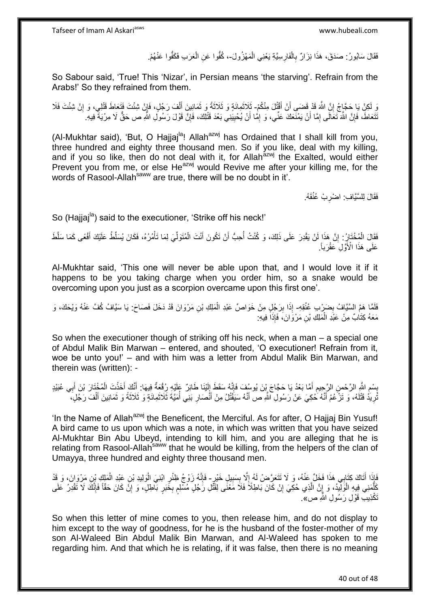فَقَالَ سَابُورُ : صَدَقَ، هَذَا نِزَارٌ بِالْفَارِسِيَّةِ يَعْنِي الْمَهْزُولَ-، كُفُّوا عَنِ الْعَرَبِ فَكَفُّوا عَنْهُمْ. ْ ِ ْ ِ ْ

So Sabour said, 'True! This 'Nizar', in Persian means 'the starving'. Refrain from the Arabs!' So they refrained from them.

رَ لَكِنْ يَا حَجَّاجُ إِنَّ اللَّهَ قَدْ قَضَى أَنْ أَقْتُلَ مِنْكُمْ- ثَلاَثُمِائَةٍ وَ ثَلَاثَةً وَ ثَمَانِينَ أَلْفَ رَجُلٍ، فَإِنْ شِئْتَ فَنَوْلِي، وَ إِنْ شِئْتَ فَلَا َ اُ ِ ِ ِ ْ َ َ َ َ نَتَعَاطَ، فَإِنَّ اللَّهَ تَعَالَى إِمَّا أَنْ يَمْنَعَكَ عَنِّي، وَ إِمَّا أَنْ يُحْدِيَنِي بَعْدَ قَتْلِكَ، فَإِنَّ قَوْلَ رَسُولِ اللَّهِ ص حَقٌّ لَا مِرْيَةٌ فِيهِ. ِ ∣lٍ ِ اُر ِ ِ

(Al-Mukhtar said), 'But, O Hajjaj<sup>la</sup>! Allah<sup>azwj</sup> has Ordained that I shall kill from you, three hundred and eighty three thousand men. So if you like, deal with my killing, and if you so like, then do not deal with it, for Allah<sup>azwj</sup> the Exalted, would either Prevent you from me, or else He<sup>azwj</sup> would Revive me after your killing me, for the words of Rasool-Allah<sup>saww</sup> are true, there will be no doubt in it'.

> فَقَالَ لِلسَّيَّافِ اضْرِبْ عُنُقَهُ. ِ

So (Hajjaj<sup>la</sup>) said to the executioner, 'Strike off his neck!'

فَقَالَ الْمُخْتَارُ : إِنَّ هَذَا لَنْ يَقْدِرَ عَلَى ذَلِكَ، وَ كُنْتُ أُحِبُّ أَنْ تَكُونَ أَنْتَ الْمُتَوَلِّيَ لِمَا تَأْمُرُهُ، فَكَانَ يُسَلِّطُ عَلَيْكَ أَفْعًى كَمَا سَلَّطَ ِّ ْ َ اُ ان<br>المستقبل ِ ْ َ ْ عَلَى هَذَا الْأَوَّلِ عَقْرَباً.

Al-Mukhtar said, 'This one will never be able upon that, and I would love it if it happens to be you taking charge when you order him, so a snake would be overcoming upon you just as a scorpion overcame upon this first one'.

فَلَمَّا هَمَّ السَّيَّافُ بِضَرْبِ عُنُقِهِ- إِذَا بِرَجُٰلٍ مِنْ خَوَاصٍّ عَبْدِ الْمَلِكِ بْنِ مَرْوَانَ قَدْ دَخَلَ فَصَاحَ: يَا سَيَّافُ كُفَّ عَنْهُ وَيْحَكَ، وَ ِ ْ ِ مَعَهُ كِثَابٌ مِنْ عَبْدِ الْمَلِكِ بْنِ مَرْوَانَ، فَإِذَا فِيهِ: ْ

So when the executioner though of striking off his neck, when a man – a special one of Abdul Malik Bin Marwan – entered, and shouted, 'O executioner! Refrain from it, woe be unto you!' – and with him was a letter from Abdul Malik Bin Marwan, and therein was (written): -

بِسْمِ اللَّهِ الرَّحْمِنِ الرَّحِيمِ أَمَّا بَعْدُ يَا حَجَّاجَ بِنَ يُوسُفَ فَإِنَّهُ سَقَطَ إِلَيْنَا طَائِرٌ عَلَيْهِ رِبُقْعَةٌ فِيهَا: أَنَّكَ أَخَذْتَ الْمُخْتَارَ بْنَ أَبِي عُبَيْدٍ **∣ ُ** ِ لَ ِ ا∖<br>پُ َ ِ َ ْ **ٔ** َ َ نُرِيدُ قَتْلَهُ، وَ تَزْعُمُ أَنَّهُ حُكِيَ عَنْ رَسُولِ اللَّهِ ص أَنَّهُ سَيَقْتُلُ مِنْ أَنْصَارِ بَنِي أُمَيَّةَ ثَلاَثَمِائَةٍ وَ ثَلاثَةً وَ ثَمَانِينَ أَلْفَ رَجُلٍ، َ َ لَ ِ ْ َ َ َ َ ا<br>ا **∶** َ

'In the Name of Allah<sup>azwj</sup> the Beneficent, the Merciful, As for after, O Haijaj Bin Yusuf! A bird came to us upon which was a note, in which was written that you have seized Al-Mukhtar Bin Abu Ubeyd, intending to kill him, and you are alleging that he is relating from Rasool-Allah<sup>saww</sup> that he would be killing, from the helpers of the clan of Umayya, three hundred and eighty three thousand men.

َ وَإِذَا أَتَاكَ كِتَابِي هَذَا فَخَلٍّ عَذْمُ، وَ لَا تَتَعَرَّضْ لَهُ إِلَّا بِسَبِيلٍ خَيْرٍ- فَإِنَّهُ زَوْجُ ظِئْرِ ابْنِيَ الْوَلِيدِ بْنِ عَيْدِ الْمَلِكِ بْنِ مَرْوَانَ، وَ قَدْ ِ **!** ِ ْ ْ ِ ا∣<br>ِ∘ كَلَّمَنِي فِيهِ الْوَلِّيدُ، وَ إِنَّ الَّذِي حُكِيَ إِنْ كَانَ بَاطِلًا فَلَا مَعْنَى لِقَنَّلِ رَجُلٍ مُسْلِمٍ بِخَبَرٍ بَاطِلٍ، وَ إِنَّ كَانَ حَقَّاً فَإِنَّكَ لَا تَقْدِرُ عَلَى ِ ه יֲ<br>י :<br>ا  $\frac{1}{2}$ ِ ِ ֧֖֖֖֧֖֧֧֧֧֧֧֧֧֧֧֧֚֚֚֚֓֝֝֝֝֟֓֟֓֝֬֝֓֝֬֟֓֟֓֬֝֓֟֓֟֓֝֬֝֓֝֓֟֓֝֬֝֬֝֓֝֬֝֓֝֬ تَكْذِيبَ قَوْلِ رَسُولِ اللَّهِ ص».

So when this letter of mine comes to you, then release him, and do not display to him except to the way of goodness, for he is the husband of the foster-mother of my son Al-Waleed Bin Abdul Malik Bin Marwan, and Al-Waleed has spoken to me regarding him. And that which he is relating, if it was false, then there is no meaning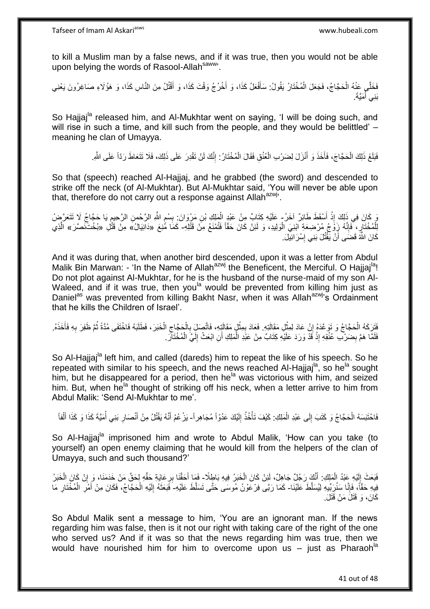to kill a Muslim man by a false news, and if it was true, then you would not be able upon belying the words of Rasool-Allah<sup>saww</sup>.

فَخَلَّى عَنْهُ الْحَجَّاجُ، فَجَعَلَ الْمُخْتَارُ يَقُولُ: سَأَفْعَلُ كَذَا، وَ أَخْرُجُ وَقْتَ كَذَا، وَ أَقْتُلُ مِنَ النَّاسِ كَذَا، وَ هَؤُلَاءِ صَاغِرُونَ يَعْنِي َ َ َ ْ ْ بَنِي أُمَيَّةً. ِ<br>ا

So Hajjaj<sup>la</sup> released him, and Al-Mukhtar went on saying, 'I will be doing such, and will rise in such a time, and kill such from the people, and they would be belittled' – meaning he clan of Umayya.

> فَلَغَ ذَلِكَ الْحَجَّاجَ، فَأَخَذَ وَ أَنْزَلَ لِضَرْبِ الْعُنُقِ فَقَالَ الْمُخْتَارُ: إِنَّكَ لَنْ تَقْدِرَ عَلَى ذَلِكَ، فَلَا تَتَعَاطَ رَدِّاً عَلَى اللَّهِ. َ ْ ِ ْ ْ

So that (speech) reached Al-Hajjaj, and he grabbed (the sword) and descended to strike off the neck (of Al-Mukhtar). But Al-Mukhtar said, 'You will never be able upon that, therefore do not carry out a response against Allah $a$ <sup>azwj</sup>.

َ كَانَ فِي ذَلِكَ إِذْ أَسْقَطَ طَائِرٌ آخَرُ- عَلَيْهِ كِتَابٌ مِنْ عَبْدِ الْمَلِكِ بْنِ مَرْوَانَ بِسْمِ اللَّهِ الرَّحْمِنِ الرَّحِيمِ يَا حَجَّاجُ لَا تَتَعَرَّضِ<br>فَيَعْبَدُ الرَّحِيمِ **ٔ** ْ **ื** ِ ِ لِلْمُخْتَارِ ، فَإِنَّهُ زَوْجُ مُرْضِعَةِ ابْنِيَ الْوَلِيدِ، وَ لَئِنْ كَانَ حَقّاً فَتُمْنَعُ مِنْ قَتْلِهِ- كَمَا مُٰنِعَ «دَانِيَالُ» مِنْ قَتْلِ «بُخْتَنَضَرَ» الَّذِي ْ ِ ِ ه كَانَ اللَّهُ قَضَى أَنْ يَقْتُلَ بَنِي إِسْرَائِيلَ. ِ َ

And it was during that, when another bird descended, upon it was a letter from Abdul Malik Bin Marwan: - 'In the Name of Allah<sup>azwj</sup> the Beneficent, the Merciful. O Hajjaj<sup>la</sup>! Do not plot against Al-Mukhtar, for he is the husband of the nurse-maid of my son Al-Waleed, and if it was true, then you<sup>la</sup> would be prevented from killing him just as Daniel<sup>as</sup> was prevented from killing Bakht Nasr, when it was Allah<sup>azwj</sup>'s Ordainment that he kills the Children of Israel'.

فَتَرَكَهُ الْحَجَّاجُ وَ تَوَعَّدَهُ إِنْ عَادَ لِمِثْلِ مَقَالَتِهِ. فَعَادَ بِمِثْلٍ مَقَالَتِهِ، فَاتَّصِلَ بِالْحَجَّاجِ الْخَبَرَ ، فَطَلَبَهُ فَاخْتَفَى مُدَّةً ثُمَّ ظَفِرَ بِهِ فَأَخَذَهُ. **ٔ** ِ ْ م<br>أ ِ ُ ْ ِ ْ ِ **ٔ** ِ فَلَمَّا هَمَّ بِضَرْبٌ عُنُقِهِ إِذْ قَدْ وَرَدَ عَلَيْهِ كِتَابٌ مِنْ عَبْدِ الْمَلِكِ أَنِ ابْعَثْ إِلَيَّ الْمُخْتَاّلَ. ْ لَ ِ َ ْ ْ ِ

So Al-Hajjaj<sup>ia</sup> left him, and called (dareds) him to repeat the like of his speech. So he repeated with similar to his speech, and the news reached Al-Hajjaj<sup>la</sup>, so he<sup>la</sup> sought him, but he disappeared for a period, then he<sup>la</sup> was victorious with him, and seized him. But, when he<sup>la</sup> thought of striking off his neck, when a letter arrive to him from Abdul Malik: 'Send Al-Mukhtar to me'.

فَاحْتَبَسَهُ الْحَجَّاجُ وَ كَتَبَ إِلَى عَبْدِ الْمَلِكِ: كَيْفَ تَأْخُذُ إِلَيْكَ عَدُوّاً مُجَاهِراً- يَرْعُمُ أَنَّهُ يَقْتُلُ مِنْ أَنْصَارِ بَنِي أُمَيَّةَ كَذَا وَ كَذَا أَلْفاً ْ  $\frac{1}{2}$ ْ لَ  $\frac{1}{2}$ ة<br>أ ْ َ ِ َ َ

So Al-Hajjaj<sup>la</sup> imprisoned him and wrote to Abdul Malik, 'How can you take (to yourself) an open enemy claiming that he would kill from the helpers of the clan of Umayya, such and such thousand?'

فَبَعَثَ إِلَيْهِ عَبْدُ الْمَلِكِ. أَنَّكَ رَجُلٌ جَاهِلٌ، لَئِنْ كَانَ الْخَبَرُ فِيهِ بَاطٍلًا۔ فَمَا أَحَقَّنَا بِرِعَايَةٍ حَقِّهِ لِحَقِّ مَنْ خَدَمَنَا، وَ إِنْ كَانَ الْخَبَرُ َ ْ لَ ِ ْ ْ ِ ِ َ فِيهِ حَقًّا، فَإِنَّا سَنُرَبِّيهِ لِيُسَلَّطَ عَلَيْنَا- كَمَا رَبَّى فِرْعَوْنُ مُوسَى حَتَّى تَسَلَّطَ عَلَيْهِ- فَبَعَثَهُ إِلَيْهِ الْحَجّاجُ، فَكَانَ مِنْ أَمْرِ الْمُخْتَارِ مَا ِ ِ ْ ِ َ ْ لَ ِ َ كَانَ، وَ قَتَلَْ مَنْ قَتَلَْ

So Abdul Malik sent a message to him, 'You are an ignorant man. If the news regarding him was false, then is it not our right with taking care of the right of the one who served us? And if it was so that the news regarding him was true, then we would have nourished him for him to overcome upon us  $-$  just as Pharaoh<sup>la</sup>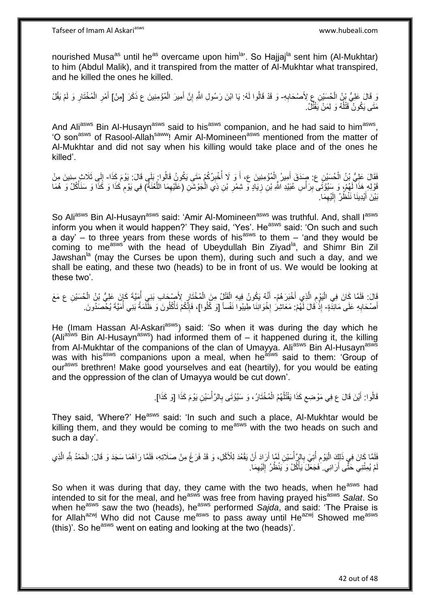nourished Musa<sup>as</sup> until he<sup>as</sup> overcame upon him<sup>la</sup>'. So Hajjaj<sup>la</sup> sent him (Al-Mukhtar) to him (Abdul Malik), and it transpired from the matter of Al-Mukhtar what transpired, and he killed the ones he killed.

وَ قَالَ عَلِيُّ بِنُ الْحُسَيْنِ عِ لِأَصْحَابِهِ- وَ قَدْ قَالُوا لَهُ: يَا ابْنَ رَسُولِ اللَّهِ إِنَّ أَمِيرَ الْمُؤْمِنِينَ ع ذَكَرَ [مِنْ] أَمْرِ الْمُخْتَارِ وَ لَمْ يَقُلْ ِ ْ ْ َ ِ ِ ْ ِ َ مَتَى يَكُونُ قَتْلُهُ وَ لِمَنْ يَقْتُلُ. ٔ<br>ا

And Ali<sup>asws</sup> Bin Al-Husayn<sup>asws</sup> said to his<sup>asws</sup> companion, and he had said to him<sup>asws</sup>, 'O son<sup>asws</sup> of Rasool-Allah<sup>saww</sup>! Amir Al-Momineen<sup>asws</sup> mentioned from the matter of Al-Mukhtar and did not say when his killing would take place and of the ones he killed'.

َفَقَالَ عَلِيُّ بِنُ الْحُسَيْنِ ع: صَدَقَ أَمِيرُ الْمُؤْمِنِينَ ع، أَ وَ لَا أُخْبِرُكُمْ مَتَى يَكُونُ قَالُوا: بَلَى قَالَ: يَوْمَ كَذَا- إِلَى ثَلَاثٍ سِنِينَ مِنْ ِ ُ َ ْ َ ِ فَوْلِهِ هَذَا لَهُمْ، وَ سِنُؤْتَى بِرَأْسِ عُبَيْدِ اللَّهِ بْنِ زِيَادٍ وَ شِمْرِ بْنِ ذِي الْجَوْشَنِ (عَلَيْهِمَا اللَّعْنَةُ) فِي يَوْمِ كَذَا وَ سَنَأْكُلُ وَ هُمَا ْ **ٍ ∶** :<br>أ **ِ** :<br>نا ْ ِ ه ِ بَيْنَ أَيْدِينَا نَنْظُرُ ۖ إِلَيْهِمَا ۖ ِ لَ ِ َ

So Ali<sup>asws</sup> Bin Al-Husayn<sup>asws</sup> said: 'Amir Al-Momineen<sup>asws</sup> was truthful. And, shall l<sup>asws</sup> inform you when it would happen?' They said, 'Yes'. He<sup>asws</sup> said: 'On such and such a day' – to three years from these words of his<sup>asws</sup> to them – 'and they would be coming to me<sup>asws</sup> with the head of Ubeydullah Bin Ziyad<sup>la</sup>, and Shimr Bin Zil Jawshan<sup>la</sup> (may the Curses be upon them), during such and such a day, and we shall be eating, and these two (heads) to be in front of us. We would be looking at these two'.

ِّفَالَ: فَلَمَّا كَانَ فِي الْيَوْمِ الَّذِي أَخْبَرَ هُمْ- أَنَّهُ يَكُونُ فِيهِ الْقَتْلُ مِنَ الْمُخْتَارِ لِأَصْبَحابِ بَنِي أُمِيَّةَ كَانَ عَلِيُّ بْنُ الْحُسَيْنِ عِ مَعَ َ ه ِ :<br>ا ْ ْ ْ ُ ِ أَصْحَابِهِ عَلَى مَائِدَةٍ- إِذْ َقَالَ لَّهُمْ: مَعَاشِرَ إِخْوَانِنَا طِيبُوا نَفْساً [وَ كُلُوا]، فَإِنَّكُمْ تَأْكُلُونَ وَ ظَلَمَةُ بَنِي أُمَيَّةَ يُحْصَدُونَ ِ َ اُ ْ ا∣<br>ِ∘ِ ·<br>∶\* ة<br>ـ

He (Imam Hassan Al-Askari<sup>asws</sup>) said: 'So when it was during the day which he (Ali<sup>asws</sup> Bin Al-Husayn<sup>asws</sup>) had informed them of – it happened during it, the killing from Al-Mukhtar of the companions of the clan of Umayya. Ali<sup>asws</sup> Bin Al-Husayn<sup>asws</sup> was with his<sup>asws</sup> companions upon a meal, when he<sup>asws</sup> said to them: 'Group of our<sup>asws</sup> brethren! Make good yourselves and eat (heartily), for you would be eating and the oppression of the clan of Umayya would be cut down'.

> ا<br>ا قَالُوا: أَيْنَ قَالَ ع فِي مَوْضِعِ كَذَا يَقْتُلُهُمُ الْمُخْتَارُ ، وَ سَيُؤْتَى بِالرَّأْسَيْنِ يَوْمَ كَذَا [وَ كَذَا].  $\zeta$ َ **∶** ْ

They said, 'Where?' He<sup>asws</sup> said: 'In such and such a place, Al-Mukhtar would be killing them, and they would be coming to me<sup>asws</sup> with the two heads on such and such a day'.

فَلَمَّا كَانَ فِي ذَلِكَ الْيَوْمِ أُتِيَ بِالرٍّ أُسَيْنِ لَمَّا أَرَادَ أَنْ يَقْعُدَ لِلْأَكْلِ، وَ قَدْ فَرَغَ مِنْ صَلَاتِهِ، فَلَمَّا رَآهُمَا سَجَدَ وَ قَالَ: الْحَمْدُ لِلَّهِ الَّذِي ْ ِ ُ ِ :<br>ا َ اُ ه ْ ِ لْمْ يُمِثْنِي حَثَّى أَرَانِي. َفَجَعَلَ َيَأْكُلُ وَ يَنْظُلُ إِلَيْهِمَا. لَ ِ :<br>أ

So when it was during that day, they came with the two heads, when he<sup>asws</sup> had intended to sit for the meal, and he<sup>asws</sup> was free from having prayed his<sup>asws</sup> Salat. So when he<sup>asws</sup> saw the two (heads), he<sup>asws</sup> performed *Sajda*, and said: 'The Praise is for Allah<sup>azwj</sup> Who did not Cause me<sup>asws</sup> to pass away until He<sup>azwj</sup> Showed me<sup>asws</sup> (this)'. So he<sup>asws</sup> went on eating and looking at the two (heads)'.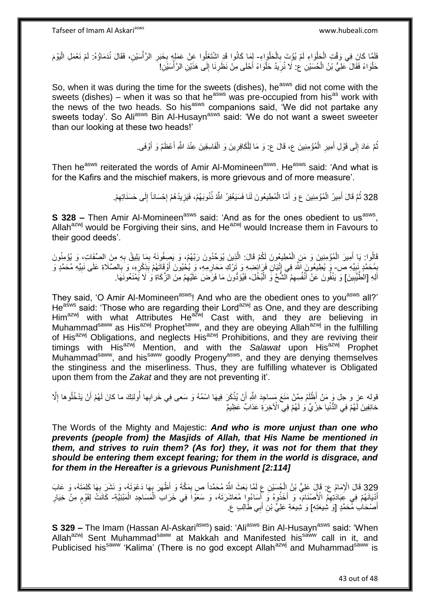فَلَمَا كَانَ فِي وَقْتِ الْجَلْوَاءِ لَمْ يُؤْتَ بِالْحَلْوَاءِ- لِمَا كَانُوا قَدِ اشْتَغَلُوا عَنْ عَمَلٍه بِخَبَرِ الرَّأْسَيْنِ، فَقَالَ نُدَمَاؤُهُ: لَمْ نَعْمَلِ الْيَوْمَ ْ ْ ِ ْ ْ **∶ ٔ ∶** ْ لَ حَلْوَاءً فَقَالَ عَلِيُّ بْنُ الْحُسَيْنِ ع: لَا نُرِيدُ حَلْوَاءً أَحْلَى مِنْ نَظَرِنَا إِلَى هَذَيْنِ الرَّأْسَيْنِ! **ٔ** ∣ا<br>∶ ِ َ ْ **∶** ْ ْ

So, when it was during the time for the sweets (dishes), he<sup>asws</sup> did not come with the sweets (dishes) – when it was so that he<sup>asws</sup> was pre-occupied from his<sup>as</sup> work with the news of the two heads. So his<sup>asws</sup> companions said, 'We did not partake any sweets today'. So Ali<sup>asws</sup> Bin Al-Husayn<sup>asws</sup> said: 'We do not want a sweet sweeter than our looking at these two heads!'

> نُّمَّ عَادَ إِلَى قَوْلِ أَمِيرِ الْمُؤْمِنِينَ ع، قَالَ ع: وَ مَا لِلْكَافِرِينَ وَ الْفَاسِقِينَ عِنْدَ اللَّهِ أَعْظَمُ وَ أَوْفَى. َ ْ ِ ْ ْ ِ َ  $\frac{1}{2}$ َ

Then he<sup>asws</sup> reiterated the words of Amir Al-Momineen<sup>asws</sup>. He<sup>asws</sup> said: 'And what is for the Kafirs and the mischief makers, is more grievous and of more measure'.

> 328 ثُمَّ قَالَ أَمِيرُ الْمُؤْمِنِينَ ع وَ أَمَّا الْمُطِيعُونَ لَنَا فَسَيَغْوْرُ اللَّهُ ذُنُوبَهُمْ، فَيَزِيدُهُمْ إِحْسَاناً إِلَى حَسَنَاتِهِمْ. ِ |.<br>יִי ُ ْ َ ْ َ

**S 328 -** Then Amir Al-Momineen<sup>asws</sup> said: 'And as for the ones obedient to us<sup>asws</sup>, Allah $a^{22}$ <sup>wj</sup> would be Forgiving their sins, and He $a^{22}$ <sup>wj</sup> would Increase them in Favours to their good deeds'.

ه قَالُوا: يَا أَمِيرَ الْمُؤْمِنِينَ وَ مَنِ الْمُطِيعُونَ لَكُمْ قَالَ: الَّذِينَ يُوَحِّدُونَ رَبَّهُمْ، وَ يَصِفُونَهُ بِمَا يَلِيقُ بِهِ مِنَ الصِّفَاتِ، وَ يُؤْمِنُونَ ْ ْ َ **∶** ِ يْمُحَمَّدٍ نَبِيِّهِ ص- وَ يُطِيعُونَ اللَّهَ فِي إِنْيَانِ فَرَائِضِهِ وَ تَرْكِ مَحَارِمِهِ، وَ يُحْيُونَ أَوْقَاتَهُمْ بَذِكْرِهِ، وَ بِالصَّلَاةِ عَلَى نَبِيِّهِ مُحَمَّدٍ وَ **∣ ِ ∶** ِ ِ َ **∶** ِ ِ أَلِهِ [الْطَّيِّبِينَ] وَ يَنْفُونَ عَنْ أَنْفُسِهِمُ الشُّحَّ وَ الْبُخْلَ، فَيُؤَدُّونَ مَا فَرَضَ عَلَيْهِمْ مِنَ الزَّكَاةِ وَ لَا يَمْنَعُونَهَا. **!** ِ ْ َ

They said, 'O Amir Al-Momineen<sup>asws</sup>! And who are the obedient ones to you<sup>asws</sup> all?' He<sup>asws</sup> said: 'Those who are regarding their Lord<sup>azwj</sup> as One, and they are describing Him<sup>azwj</sup> with what Attributes He<sup>azwj</sup> Cast with, and they are believing in Muhammad<sup>saww</sup> as His<sup>azwj</sup> Prophet<sup>saww</sup>, and they are obeying Allah<sup>azwj</sup> in the fulfilling of His<sup>azwj</sup> Obligations, and neglects His<sup>azwj</sup> Prohibitions, and they are reviving their timings with His<sup>azwj</sup> Mention, and with the Salawat upon His<sup>azwj</sup> Prophet Muhammad<sup>saww</sup>, and his<sup>saww</sup> goodly Progeny<sup>asws</sup>, and they are denying themselves the stinginess and the miserliness. Thus, they are fulfilling whatever is Obligated upon them from the *Zakat* and they are not preventing it'.

**ٔ** قوله عزٍ و جل وَ مَنْ أَظْلَمُ مِمَّنْ مَنَعَ مَساجِدَ اللَّهِ أَنْ يُذْكَرَ فِيهَا اسْمُهُ وَ سَعى فِي خَرابِها أُولئِكَ ما كانَ لَهُمْ أَنْ يَدْخُلُوها إِلَّا اُ ِ َ ُ خائِفِينَ لَهُمْ فِي الدُّنْيا خِزْيٌ وَ لَهُمْ فِي الْآخِرَةِ عَذابٌ عَظِيمٌ

The Words of the Mighty and Majestic: *And who is more unjust than one who prevents (people from) the Masjids of Allah, that His Name be mentioned in them, and strives to ruin them? (As for) they, it was not for them that they should be entering them except fearing; for them in the world is disgrace, and for them in the Hereafter is a grievous Punishment [2:114]*

329 قَالَ الْإِمَامُ ع: قَالٍ عَلِيُّ بْنُ الْجُسَيْنِ عِ لَمَّا بَعَثَ اللَّهُ مُحَمَّداً ص بِمَكَّةَ وَ أَظْهَرَ بِهَا دَعْوَتَهُ، وَ نَشَرَ بِهَا كَلِمَتَهُ، وَ عَابَ<br>وَيَسْتَمَرُّونَ مِن الْإِمَامُ ع: قَالٍ عَلِيُّ بِ **∶ ∶**  ِ ْ أَدْيَانَهُمْ فِي عَِبَادَٰتِهِمُ الْأَصْنَامَ، وَ أَخَذُوهُ وَ أَسَاءُوا مُعَاشَرَتَهُ، وَ سَعَوْاَ فِي خَرَاب الْمَسَاجِدِ الْمَبْنِيَّةِ- كَانَتْ لِقَوْمٍ مِنْ خِيَارِ َ َ ْ ْ َ ِ **ื** أَصْحَابِ مُحَمَّدٍ [وَ شِيعَتِهِ] وَ شِيعَةِ عَلِيٍّ بْنِ أَبِي طَالِبٍ عِ َ َ

**S 329 –** The Imam (Hassan Al-Askari<sup>asws</sup>) said: 'Ali<sup>asws</sup> Bin Al-Husayn<sup>asws</sup> said: 'When Allah<sup>azwj</sup> Sent Muhammad<sup>saww</sup> at Makkah and Manifested his<sup>saww</sup> call in it, and Publicised his<sup>saww</sup> 'Kalima' (There is no god except Allah<sup>azwj</sup> and Muhammad<sup>saww</sup> is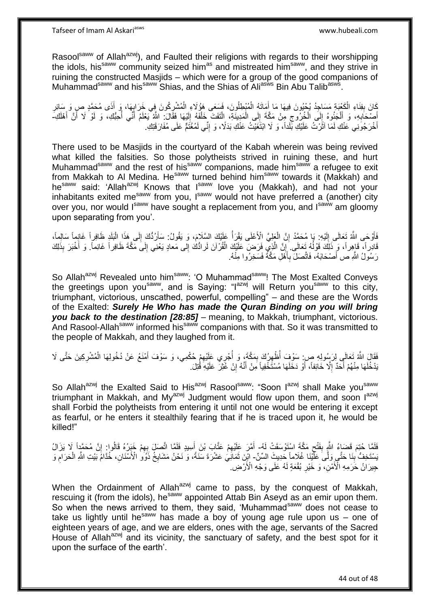Tafseer of Imam Al Askariasws www.hubeali.com

Rasool<sup>saww</sup> of Allah<sup>azwj</sup>), and Faulted their religions with regards to their worshipping the idols, his<sup>saww</sup> community seized him<sup>as</sup> and mistreated him<sup>saww</sup>, and they strive in ruining the constructed Masjids – which were for a group of the good companions of Muhammad<sup>saww</sup> and his<sup>saww</sup> Shias, and the Shias of Ali<sup>asws</sup> Bin Abu Talib<sup>asws</sup>.

ِّكَانَ بِفِنَاءِ الْكَعْبَةِ مَسَاجِدُ يُحْيُونَ فِيهَا مَا أَمَاتَهُ الْمُبْطِلُونَ، فَسَعَى هَوُٰلَاءِ الْمُشْرِكُونَ فِي خَرَابِهَا، وَ أَذَى مُحَمَّدٍ صِ وَ سَائِرِ ِ ْ ْ َ ْ **∣** ِ َ ِ أَصْحَابِهِ، وَ أَلْجَئُوهُ إِلَى الْخُرُوجِ مِنْ مَكَّةَ إِلَى الْمَدِينَةِ، إِلْتَفَتَ خَلْفَهُ إِلَيْهَا فَقَالَ: اللَّهُ يَعْلَمُ أَنِّي أُحِبُّكِ، وَ لَوْ لَا أَنَّ أَهْلَكِ-ْ ْ  $\frac{1}{2}$ ِ  $\frac{1}{2}$ ْ َ **∶** َ لَ ِ َ َ ا<br>ا َ أُخْرَجُونِي عَنْكِ لَمَا آثَرْتُ عَلَيْكِ بِّلْداً، وَ لَا ابْتَغَيْتُ عَنْكِ بَدَلًا، وَ إِنِّي لَمُغْتَمٌّ عَلَى مُفَارَقَتِكِ. ِ  $\ddot{\phantom{0}}$ َ

There used to be Masjids in the courtyard of the Kabah wherein was being revived what killed the falsities. So those polytheists strived in ruining these, and hurt Muhammad<sup>saww</sup> and the rest of his<sup>saww</sup> companions, made him<sup>saww</sup> a refugee to exit from Makkah to Al Medina. He<sup>saww</sup> turned behind him<sup>saww</sup> towards it (Makkah) and hesaww said: 'Allah<sup>azwj</sup> Knows that I<sup>saww</sup> love you (Makkah), and had not your inhabitants exited me<sup>saww</sup> from you, Isaww would not have preferred a (another) city over you, nor would Isaww have sought a replacement from you, and Isaww am gloomy upon separating from you'.

فَأَوْحَى اللَّهُ تَعَالَى إِلَيْهِ. بَا مُحَمَّدُ إِنَّ الْعَلِيَّ الْأَعْلَى يَقْرَأُ عَلَيْكَ السَّلَامَ، وَ يَقُولُ: سَأَرُدُّكَ إِلَى هَذَا الْبَلَدِ ظَافِراً غَانِماً سَالِماً، ْ ِ لَ  $\frac{1}{2}$ ز<br>ا ْ ِ اً قَادِراً، قَاهِراً، وَ ذَلِكَ قَوْلُهُ ثَعَالَى ۗ إِنَّ الَّذِيْ فَرَضٍ عَلَيْكَ الْقُرْآنَ لَرادُّكَ إِلى مَعادٍ يَعْنِي إِلَى مَكَّةَ ظَافِراً غَانِماً. وَ أُخْبَرَ بِذَلِكَ ٔ<br>ا ِ ْ ه ِ َ ِ رَسُولُ اللَّهِ ص أَصْحَابَهُ، فَاتَّصَلَ بِأَهْلِ مَكَّةُ فَسَخِرُوا مِنْهُ. َ ِ َ

So Allah<sup>azwj</sup> Revealed unto him<sup>saww</sup>: 'O Muhammad<sup>saww</sup>! The Most Exalted Conveys the greetings upon you<sup>saww</sup>, and is Saying: "I<sup>azwj</sup> will Return you<sup>saww</sup> to this city, triumphant, victorious, unscathed, powerful, compelling" – and these are the Words of the Exalted: *Surely He Who has made the Quran Binding on you will bring you back to the destination [28:85]* – meaning, to Makkah, triumphant, victorious. And Rasool-Allah<sup>saww</sup> informed his<sup>saww</sup> companions with that. So it was transmitted to the people of Makkah, and they laughed from it.

.<br>فَقَالَ اللَّهُ تَعَالَى لِرَسُولِهِ صِ: سَوْفَ أُظْهِرُكَ بِمَكَّةٍ، وَ أُجْرِي عَلَيْهِمْ حُكْمِي، وَ سَوْفَ أَمْنَعُ عَنْ دُخُولِهَا الْمُشْرِكِينَ حَتَّى لَا ِ ْ َ ِ ا<br>أ ِ ِ َنْدُخُلَهَا مِنْهُمْ أَحَدٌ إِلَّا خَائِفاً، أَوْ دَخَلَهَا مُسْتَخْفِياً مَِنْ أَنَّهُ إِنْ غُثِرَ عَلَيْهِ قُتِلَ. ِ َ ِ ا<br>ا

So Allah<sup>azwj</sup> the Exalted Said to His<sup>azwj</sup> Rasool<sup>saww</sup>: "Soon l<sup>azwj</sup> shall Make you<sup>saww</sup>. triumphant in Makkah, and My<sup>azwj</sup> Judgment would flow upon them, and soon  $I^{a z w j}$ shall Forbid the polytheists from entering it until not one would be entering it except as fearful, or he enters it stealthily fearing that if he is traced upon it, he would be killed!"

ِ لَفَا حُتِمَ قَضَاءُ اللَّهِ بِفَتْحِ مَكَّةَ اسْتَوْسَقَتْ لَهُ- أَمَّرَ عَلَيْهِمْ عَتَّابَ بْنَ أَسِيدٍ فَلَمَّا اتَّصَلَ بِهِمْ خَبَرُهُ قَالُوا ٍ إِنَّ مُحَمَّدٍاً لَا يَزَالُ **∣** ِ ِ َ ِ َ يَسْتَخِفُّ ٰبِنَا حَتَّـي وَلَّـى عَلَّيْنَا غُلَاماً حَدِيثَ السِّنِّ- ابْنِ ثَمَانِيَ عَشْرَةَ سَنَةً، وَ نَحْنُ مَشَايِخُ ذَوَو ٰ الْأَسْنَانِ، خُدَّامَُ بَيْتِ اللَّهِ الْحَرَامِ وَ َ ِ ْ ِ جِيرَانُ حَرَمِهِ الْأَمْنِ، ۖ وَ خَيْرِ بُقْعَةٍ لَهُ عَلَى وَجْهِ الْأَرْضِ. ِ

When the Ordainment of Allah $a^{2xy}$  came to pass, by the conquest of Makkah, rescuing it (from the idols), he<sup>saww</sup> appointed Attab Bin Aseyd as an emir upon them. So when the news arrived to them, they said, 'Muhammad<sup>saww</sup> does not cease to take us lightly until he<sup>saww</sup> has made a boy of young age rule upon us – one of eighteen years of age, and we are elders, ones with the age, servants of the Sacred House of Allah<sup>azwj</sup> and its vicinity, the sanctuary of safety, and the best spot for it upon the surface of the earth'.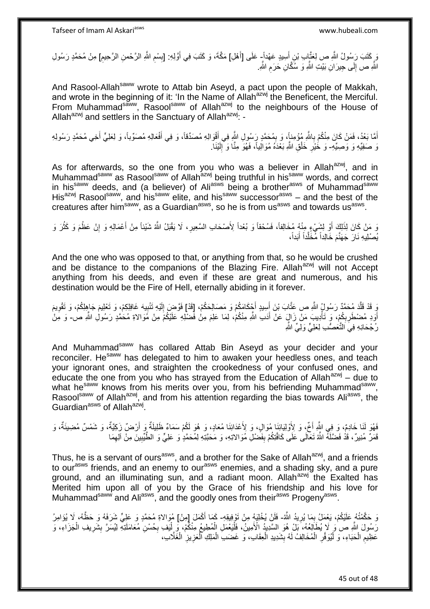رَ كَتَبَ رَبِسُولُ اللَّهِ صِ لِعَتَّإِبِ بْنِ أَسِيدٍ عَهْداً ٍ عَلَى [أَهْلِ] مَكَّةَ، وَ كَتَبَ فِي أَوَّلِهِ: [بِسْمِ اللَّهِ الرَّحْمنِ الرَّحِيمِ] مِنْ مُحَمَّدٍ رَسُولِ َ َ َ ِ ِ ِ اللَّهِ ص إِلَى جِيرَانِ بَيْتِ اللَّهِ وَ سُكَّانِ حَرَمِ اللَّهِ. ِ  $\frac{1}{2}$ 

And Rasool-Allah<sup>saww</sup> wrote to Attab bin Aseyd, a pact upon the people of Makkah, and wrote in the beginning of it: 'In the Name of Allah<sup>azwj</sup> the Beneficent, the Merciful. From Muhammad<sup>saww</sup>, Rasoolsaww of Allahazwi to the neighbours of the House of Allah<sup>azwj</sup> and settlers in the Sanctuary of Allah<sup>azwj</sup>: -

أَمَّا بَعْدُ، فَمَنْ كَانَ مِنْكُمْ بِاللَّهِ مُؤْمِناً، وَ بِمُحَمَّدٍ رَسُولِ اللَّهِ فِي أَقْوَالِهِ مُصَدِّقاً، وَ فِي أَفْعَالِهِ مُصَوِّباً، وَ لِعَلِيٍّ أَخِي مُحَمَّدٍ رَسُولِهِ **∶** َ َ َ ِ َن صَفِيِّهِ وَ وَصِيِّهِ- وَ خُيْرِ خَلْقِ اللَّهِ بَعْدَهُ مُوَالِياً، فَهُوَ مِنَّا وَ ۚ إِلَيْنَا. لَ ِ ْ ِ

As for afterwards, so the one from you who was a believer in Allah<sup>azwj</sup>, and in Muhammad<sup>saww</sup> as Rasool<sup>saww</sup> of Allah<sup>azwj</sup> being truthful in his<sup>saww</sup> words, and correct in his<sup>saww</sup> deeds, and (a believer) of Ali<sup>asws</sup> being a brother<sup>asws</sup> of Muhammad<sup>saww</sup> His<sup>azwj</sup> Rasool<sup>saww</sup>, and his<sup>saww</sup> elite, and his<sup>saww</sup> successor<sup>asws</sup> – and the best of the creatures after him<sup>saww</sup>, as a Guardian<sup>asws</sup>, so he is from us<sup>asws</sup> and towards us<sup>asws</sup>.

وَ مَنْ كَانَ لِذَلِكَ أَوْ لِشَيْءٍ مِنْهُ مُخَالِفاً، فَسُحْقاً وَ بُعْداً لِأَصْحَابِ السَّعِيرِ، لَا يَقْبَلُ اللَّهُ شَيْئاً مِنْ أَعْمَالِهِ وَ إِنْ عَظُمَ وَ كَثُرَ وَ **∶** ُ ِ َ يُصْلِيهِ نَارَ جَهَنَّمَ خَالِداً مِّخَلَّداً أَبَداً، ه

And the one who was opposed to that, or anything from that, so he would be crushed and be distance to the companions of the Blazing Fire. Allah $a$ <sup>azwj</sup> will not Accept anything from his deeds, and even if these are great and numerous, and his destination would be the Fire of Hell, eternally abiding in it forever.

وَ قَدْ قَلَّدَ مُحَمَّدٌ رَسُولٍۢ اللَّهِ ص عَتَّابَ بْنَ أَسِيدٍ أَجْكَامَكُمْ وَ مَصَالِحَكُمْ، [قَدْ] فَوَضِرَ إِلَيْهِ تَنْبِيهَ غَافِلِكِمْ، وَ تَعْوِيمَ وَ تَقْوِيمَ ِ لَ ِ َ َ ن<br>ا **∶** اَوَدِ مُضْطَرِبِكُمْ، وَ تَأْدِيبَ مَنْ زَالٍ عَنْ أَدَبِ اللَّهِ مِنْكُمْ، لِمَا عَلِمَ مِنْ فَضْلِهِ عَلَيْكُمْ مِنْ مُوَالاةِ مُحَمَّدٍ رَسُولِ اللَّهِ صٰ۔ وَ مَِنْ َ ْ ِ ِ رُجْحَانِهِ فِيَ التَّعَصُّبِ لِعَلِيٍّ وَلِيٍّ اللَّهِ

And Muhammad<sup>saww</sup> has collared Attab Bin Aseyd as your decider and your reconciler. He<sup>saww</sup> has delegated to him to awaken your heedless ones, and teach your ignorant ones, and straighten the crookedness of your confused ones, and educate the one from you who has strayed from the Education of Allah $a^{2x}$ ,  $d$ ue to what he<sup>saww</sup> knows from his merits over you, from his befriending Muhammad<sup>saww</sup>, Rasool<sup>saww</sup> of Allah<sup>azwj</sup>, and from his attention regarding the bias towards Ali<sup>asws</sup>, the Guardian<sup>asws</sup> of Allah<sup>azwj</sup>.

فَهُوَ لَنَا خَادِمٌ، وَ فِي اللَّهِ أَخٌّ، وَ لِأَوْلِيَائِنَا مُوَالٍ، وَ لِأَعْدَائِنَا مُعَادٍ، وَ هُوَ لَكُمْ سَمَاءٌ ظَلِيلَةٌ وَ أَرْضٌ زَكِيَّةٌ، وَ شَمْسٌ مُضِيئَةٌ، وَ َ قَمَرٌ مُنِيرٌ، قَدْ فَضَلَّهُ اللَّهُ تَعَالَى عَلَى كَافَّتِكُمْ بِفَضْلِ مُوَالاتِهِ، وَ مَحَبَّتِهِ لِمُحَمَّدٍ وَ عَلِيٍّ وَ الطَّيِّبِينَ مِنْ آلِهِمَا **∣** ِ ِ

Thus, he is a servant of ours<sup>asws</sup>, and a brother for the Sake of Allah<sup>azwj</sup>, and a friends to our<sup>asws</sup> friends, and an enemy to our<sup>asws</sup> enemies, and a shading sky, and a pure ground, and an illuminating sun, and a radiant moon. Allah  $a^{2}$  the Exalted has Merited him upon all of you by the Grace of his friendship and his love for Muhammad<sup>saww</sup> and Ali<sup>asws</sup>, and the goodly ones from their<sup>asws</sup> Progeny<sup>asws</sup>.

وَ حَكَّمْتُهُ عَلَيْكُمْ، يَعْمَلُ بِمَا يُرِيدُ اللَّهُ- فَلَنْ يُخْلِيَهُ مِنْ تَوْفِيقِهِ- كَمَا أَكْمَلَ إِمِنْ] مُوَالاةِ مُحَمَّدٍ وَ عَلِيٍّ شَرَفَهُ وَ حَظَّهُ، لَا يُؤامِرُ ِ ِ َ رَسُولَ إِللَّهِ صَ ٰوَ لَا يُطَالِعُهُ، يَلْ هُوَ السَّدِيدُ الْأَمِينُ، فَلْيَعْمَلِ الْمُطِيعُ مِنْكُمْ، وَ لِيُقَدِ بِحُسْنِ مُعَامَلَتِهِ لِيُسَرَّ بِشَرِيفِ الْجَزَاءِ، وَّ ْ ْ :<br>ا ْ ِ ِ ِ عَظِيمِ الْحَبَاءِ، وَ لْيُوَفَّرِ الْمُخَالِفُ لَهُ بِشَدِيدِ الْعِقَابِ، وَ غَضَبِ الْمَلِكِ الْعَزِيزِ الْغَلَّابِ، ْ ِ ا<br>ا ْ **ُ** ْ **∶** ِ ْ ْ ْ **∣**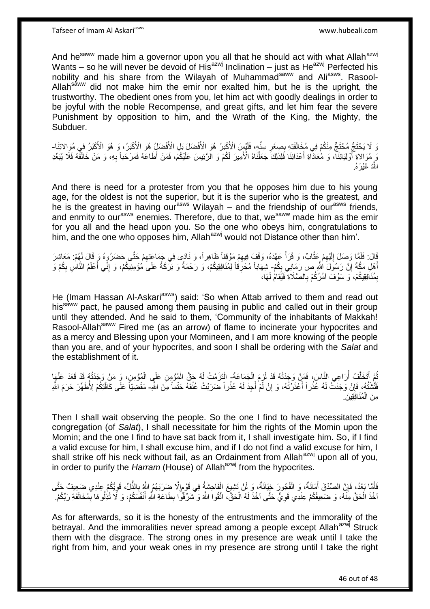And he<sup>saww</sup> made him a governor upon you all that he should act with what Allah<sup>azwj</sup> Wants – so he will never be devoid of His<sup>azwj</sup> Inclination – just as He<sup>azwj</sup> Perfected his nobility and his share from the Wilayah of Muhammad<sup>saww</sup> and Ali<sup>asws</sup>. Rasool-Allah<sup>saww</sup> did not make him the emir nor exalted him, but he is the upright, the trustworthy. The obedient ones from you, let him act with goodly dealings in order to be joyful with the noble Recompense, and great gifts, and let him fear the severe Punishment by opposition to him, and the Wrath of the King, the Mighty, the Subduer.

وَ لَا يَحْتَجُّ مُخْتَجٌّ مِنْكُمْ فِي مُخَالَفَتِهِ بِصِغَرِ سِنِّهِ، فَلَيْسِ الْأَكْبَرُ هُوَ الْأَفْضَلَ بَلِ الْأَفْضَلِّ هُوَ الْأَكْبَرُ، وَ هُوَ الْأَكْبَرُ فِي مُوَالاتِنَا-**∶** ِ وَ مُوَاْلاةِ أُوْلِيَائِنَا، وَ مُعَادَّاةِ أَعْدَائِنَا فَلِذَلِكَ جَعَلْنَاهُ الْأَمِيرَ لَكُمْ وَ الرَّئِيسَ عَلَيْكُمْ، فَمَنْ أَطَاعَهُ فَمَرْحَباً بِهِ، وَ مَنْ خَالَفَهُ فَلَا يُبَعِّدِ ْ َ ِ اللَّهُ غَيْرَهُ.

And there is need for a protester from you that he opposes him due to his young age, for the oldest is not the superior, but it is the superior who is the greatest, and he is the greatest in having our<sup>asws</sup> Wilayah – and the friendship of our<sup>asws</sup> friends, and enmity to our<sup>asws</sup> enemies. Therefore, due to that, we<sup>saww</sup> made him as the emir for you all and the head upon you. So the one who obeys him, congratulations to him, and the one who opposes him, Allah<sup>azwj</sup> would not Distance other than him'.

قَالَ: فَلَمَّا وَصَلَ إِلَيْهِمْ عَثَّابٌ، وَ قَرَأَ عَهْدَهُ، وَقَفَ فِيهِمْ مَوْقِفاً ظَاهِراً، وَ نَادَى فِي جَمَاعَتِهِمْ حَتَّى حَضَرُوهُ وَ قَالَ لَهُمْ: مَعَاشِرَ ِ ِ َ ِ لَ  $\frac{1}{2}$ أَهْلِ مَكَّةَ إِنَّ رَسُولَ النُّهِ ص رَمَانِي بِكُمْ- شِهَاباً مُخْرِفًاً لِمُنَافِقِيكُمْ، وَ رَحْمَةً وَ بَرَكَةً عَلَىَ مُؤْمِنِيكُمْ، وَ إِنِّي أَعْلَمُ النَّاسِ بِكُمْ وَ ِ **֓**֧֢֢֢֦֓ ِ َ ِ ِ بِمُنَافِقِيكُمْ، وَ سَوْفَ آمُرُكُمْ بِالصَّلَاةِ فَيُقَامُ لَهَا، ِ ِ

He (Imam Hassan Al-Askari<sup>asws</sup>) said: 'So when Attab arrived to them and read out his<sup>saww</sup> pact, he paused among them pausing in public and called out in their group until they attended. And he said to them, 'Community of the inhabitants of Makkah! Rasool-Allah<sup>saww</sup> Fired me (as an arrow) of flame to incinerate your hypocrites and as a mercy and Blessing upon your Momineen, and I am more knowing of the people than you are, and of your hypocrites, and soon I shall be ordering with the *Salat* and the establishment of it.

ُغَ أَتَخَلَّفُ أَرَاعِي النَّاسَ، فَمَلْ وَجَدْتُهُ قَدْ لَزِمَ الْجَمَاعَةَ- الْقَرَّمْتُ لَهُ حَقَّ الْمُؤْمِنِ عَلَى الْمُؤْمِنِ، وَ مَنْ وَجَدْتُهُ قَدْ عَنْهَا<br>تُنَّ مُسُورِ وَمِنْ مَنْ الْمُؤْمِنَ وَجَهُدُونَ وَمَن ه َ ُ ْ ُ ْ ْ ْ فَتَّشْتُهُ، فَإِنْ وَجَدْتُ لَهُ عَّذُراً أَعْذَرْتُهُ، وَ إِنْ لَمْ أَجِدْ لَهُ عُذُراً ضَرَبْتُ عُنُقَهُ حَتْماً مِنَ اللَّهِ- مَقْضِيَّاً عَلَّى كَافَتِكُمْ لِأُطَهِّرَ حَرَمَ اللَّه َ ِ َ **ٔ** ِ **ٔ** مِنَ الْمُنَافِقِينَ. ْ

Then I shall wait observing the people. So the one I find to have necessitated the congregation (of *Salat*), I shall necessitate for him the rights of the Momin upon the Momin; and the one I find to have sat back from it, I shall investigate him. So, if I find a valid excuse for him, I shall excuse him, and if I do not find a valid excuse for him, I shall strike off his neck without fail, as an Ordainment from Allah<sup>azwj</sup> upon all of you, in order to purify the *Harram* (House) of Allah<sup>azwj</sup> from the hypocrites.

ٍ فَأَمَّا بَعْدُ، فَإِنَّ الصِّدْقَ أَمَانَةٌ، وَ الْفُجُورَ خِيَانَةٌ، وَ لَنْ تَشِيعَ الْفَاحِشَةُ فِي قَوْمِإِلَّا ضِرَبَهُمُ اللَّهُ بِالذُّلِّ، قَوِيُّكُمْ عِنْدِي ضَعِيفٌ جَتَّى ْ ْ َ ِ َ ِ ِ ِ اخُذَ الْحَقَّ مِنْهُ، وَ ضَعِيفُكُمْ عِنْدِي قَوِيٌّ حَتَّى آخُذَ لَهُ الْحَقَّ، اتَّقُوا اللَّهَ وَ تَسَرِّفُوا بِطَاعَةِ النَّهِ أَنْفُسَكُمْ، وَ لَا تُذِلُّوهَا بِمُخَالَفَةِ رَبِّكُمْ. ْ لَ ِ ْ ِ َ ِ

As for afterwards, so it is the honesty of the entrustments and the immorality of the betrayal. And the immoralities never spread among a people except Allah<sup>azwj</sup> Struck them with the disgrace. The strong ones in my presence are weak until I take the right from him, and your weak ones in my presence are strong until I take the right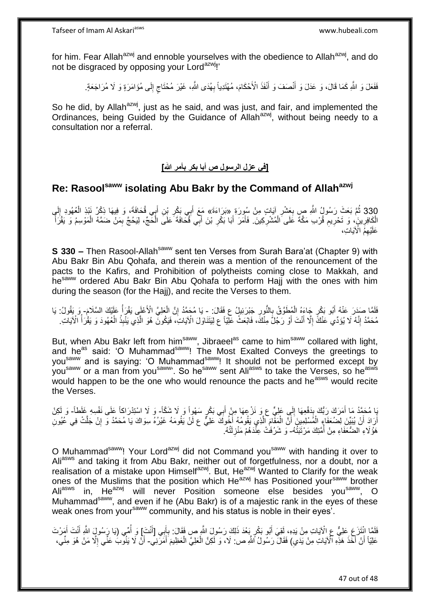for him. Fear Allah<sup>azwj</sup> and ennoble yourselves with the obedience to Allah<sup>azwj</sup>, and do not be disgraced by opposing your Lord<sup>azwj</sup>!'

فَفَعَلَ وَ اللَّهِ كَمَا قَالَ، وَ عَدَلَ وَ أَنْصَفَ وَ أَنْفَذَ الْأَحْكَامَ، مُهْتَدِياً بِهُدَى اللَّهِ، غَيْرَ مُحْتَاجِ إِلَى مُؤَامَرَةٍ وَ لَا مُرَاجَعَةٍ. ِ ٍ ِ َ َ

So he did, by Allah<sup>azwj</sup>, just as he said, and was just, and fair, and implemented the Ordinances, being Guided by the Guidance of Allah<sup>azwj</sup>, without being needy to a consultation nor a referral.

**[في عزل الرسول ص أبا بكر بأمر الله]** 

# **Re: Rasoolsaww isolating Abu Bakr by the Command of Allahazwj**

330 ثُمَّ بَعَثَ رَسُولُ اللَّهِ صِ بِعَشْرِ آيَاتٍ مِنْ سُورَةٍ «بَرَاءَةَ» مَعَ أَبِي بَكْرِ بْنِ أَبِي قُحَافَةً، وَ فِيهَا ذِكْرُ نَبْذِ الْعُهُودِ إِلَي<br>أَيْنَ أَعْبَدُ بِمَعْنَ رَسُولُ اللَّهِ صَبِّ بِعَشْرِ أَيْنَا ِ ْ **∶** َ **∶** َ **∶** الْكَافِرِينَ، وَ تَحْرِيمِ قُرْبِ مَكَّةَ عَلَى الْمُشْرِكِينَ. فَأَمَرَ أَبَا بَكْرِ بْنَ أَبِي قُكَافَةَ عَلَى الْخَجِّ، لِيَحُجَّ بِمَنْ ضَمَّهُ الْمَوْسِمُ وَ يَقْرَأَ **∶** ْ ِ ِ ِ ِ ْ َ ِ َ َ َ ْ عَلَيْهِمُ الْآيَاتِ،

**S 330 –** Then Rasool-Allah<sup>saww</sup> sent ten Verses from Surah Bara'at (Chapter 9) with Abu Bakr Bin Abu Qohafa, and therein was a mention of the renouncement of the pacts to the Kafirs, and Prohibition of polytheists coming close to Makkah, and he<sup>saww</sup> ordered Abu Bakr Bin Abu Qohafa to perform Haji with the ones with him during the season (for the Hajj), and recite the Verses to them.

لَفَلَمَا صَدَرَ عَنْهُ أَبُو بَكْرٍ جَاءَهُ الْمُطَوَّقُ بِالنُّورِ جَبْرَئِيلُ عِ فَقَالَ: - يَا مُحَمَّدُ إِنَّ الْعَلِيَّ الْأَعْلَى يَقْرَأُ عَلَيْكَ السَّلَامَ- وَ يَقُولُ: يَا ِ ¦ ْ ْ ِ ُ مُحَمَّدُ إِنَّهُ لَا يُؤَدِّي عَنْكَ إِلَّا أَنْتَ أَوْ رَجُلَّ مِنْكَ، فَابْعَثْ عَلِّيَاً ع لِيَتَنَاوَلَ الْآياتِ، فَيَكُونَّ هُوَ الَّذِي يَنْبِذُ الْعُهُودَ وَ يَقْرَأُ الْآياتِ. َ َ ِ ِ ُ ْ ه

But, when Abu Bakr left from him<sup>saww</sup>, Jibraeel<sup>as</sup> came to him<sup>saww</sup> collared with light, and he<sup>as</sup> said: 'O Muhammad<sup>saww</sup>! The Most Exalted Conveys the greetings to you<sup>saww</sup> and is saying: 'O Muhammad<sup>saww</sup>! It should not be performed except by you<sup>saww</sup> or a man from you<sup>saww</sup>'. So he<sup>saww</sup> sent Ali<sup>asws</sup> to take the Verses, so he<sup>asws</sup> would happen to be the one who would renounce the pacts and he<sup>asws</sup> would recite the Verses.

َ إِنَّ لَمُحَمَّدُ مَا أَمَرَكَ رَبُّكَ بِدَفْعِهَا إِلَي عَلِيٍّ ع وَ نَزْ عِهَا مِنْ أَبِي بَكْرٍ سَهْوِاً وَ لَا شَنْدَا اسْتِدْرَاكاً عَلَى نَفْسِهِ غَلَطاً- وَ لَكِنْ َ ِ **∫** َ أَرَادَ أَنْ يُبَيِّنَ لِضُعَفَاءٍ الْمُسْلِمِينَ أَنَّ الْمَقَّامَ الَّذِي يَقُومُهُ أَخُوكَ عَلِيٌّ ع لَنْ يَقُومَهُ غَيْرُهُ سِوَاكَ يَا مُحَمَّدُ وَ إِنْ جَلَّتْ فِي عُيُونِ َ ه ْ َ ْ َ َ ِ هَؤُلَاءِ الضُّعَفَاءِ مِنْ أَمَّتِكَ مَرْتَبَتُهُ- وَ شَرُفَتْ عِنْْدَهُمْ مَنْزِلَتُهُ. ِ<br>ا لَ **ٍ** 

O Muhammad<sup>saww</sup>! Your Lord<sup>azwj</sup> did not Command you<sup>saww</sup> with handing it over to Aliasws and taking it from Abu Bakr, neither out of forgetfulness, nor a doubt, nor a realisation of a mistake upon Himselfazwj. But, Heazwj Wanted to Clarify for the weak ones of the Muslims that the position which He<sup>azwj</sup> has Positioned your<sup>saww</sup> brother Aliasws in, Heazwj will never Position someone else besides you<sup>saww</sup>, O Muhammad<sup>saww</sup>, and even if he (Abu Bakr) is of a majestic rank in the eyes of these weak ones from your<sup>saww</sup> community, and his status is noble in their eyes'.

فَلَمَا انْتَزَعَ عَلِيٌّ عِ الْآيَاتِ مِنْ يَدِهِ، لَقِيَ أَبُو بَكْرٍ بَعْدَ ذَلِكَ رَسُولَ اللَّهِ ص فَقَالَ: بِإَبِي [أَنْتَ)] وَ أُمِّي (يَا رَسُولٍ اللَّهِ أَنْتَ أَمَرْتَ **ٔ** َ اً ِ َ َ َ ا<br>ا عَلِيَّاً أَنْ أَخَذَ هَذِهِ الْآيَاتِ مِنْ يَدَيِ) فَقَالٌ رَسُولُ اللَّهِ ص: لَا، وَ لَكِنَّ الْعَلِيَّ الْعَظِيمَ أَمَرَّنِي - أَنْْ لَا يَنُوبُ عَنِّي إِلَّا مَنْ هُوَ مِنِّي، َ ْ ْ  $\ddot{\phantom{0}}$ َ َ ِ َ